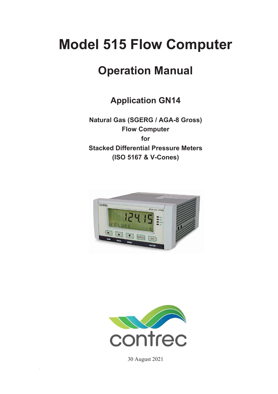# **Model 515 Flow Computer**

# **Operation Manual**

**Application GN14**

**Natural Gas (SGERG / AGA-8 Gross) Flow Computer for Stacked Differential Pressure Meters (ISO 5167 & V-Cones)** 





30 August 2021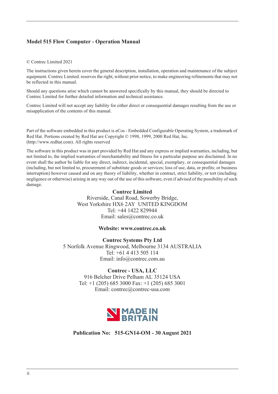#### **Model 515 Flow Computer - Operation Manual**

#### © Contrec Limited 2021

The instructions given herein cover the general description, installation, operation and maintenance of the subject equipment. Contrec Limited. reserves the right, without prior notice, to make engineering refinements that may not be reflected in this manual.

Should any questions arise which cannot be answered specifically by this manual, they should be directed to Contrec Limited for further detailed information and technical assistance.

Contrec Limited will not accept any liability for either direct or consequential damages resulting from the use or misapplication of the contents of this manual.

Part of the software embedded in this product is eCos - Embedded Configurable Operating System, a trademark of Red Hat. Portions created by Red Hat are Copyright © 1998, 1999, 2000 Red Hat, Inc. (http://www.redhat.com). All rights reserved

The software in this product was in part provided by Red Hat and any express or implied warranties, including, but not limited to, the implied warranties of merchantability and fitness for a particular purpose are disclaimed. In no event shall the author be liable for any direct, indirect, incidental, special, exemplary, or consequential damages (including, but not limited to, procurement of substitute goods or services; loss of use, data, or profits; or business interruption) however caused and on any theory of liability, whether in contract, strict liability, or tort (including negligence or otherwise) arising in any way out of the use of this software, even if advised of the possibility of such damage.

#### **Contrec Limited**

Riverside, Canal Road, Sowerby Bridge, West Yorkshire HX6 2AY UNITED KINGDOM Tel: +44 1422 829944 Email: sales@contrec.co.uk

#### **Website: www.contrec.co.uk**

**Contrec Systems Pty Ltd** 5 Norfolk Avenue Ringwood, Melbourne 3134 AUSTRALIA Tel: +61 4 413 505 114 Email: info@contrec.com.au

#### **Contrec - USA, LLC**

916 Belcher Drive Pelham AL 35124 USA Tel: +1 (205) 685 3000 Fax: +1 (205) 685 3001 Email: contrec@contrec-usa.com



**Publication No: 515-GN14-OM - 30 August 2021**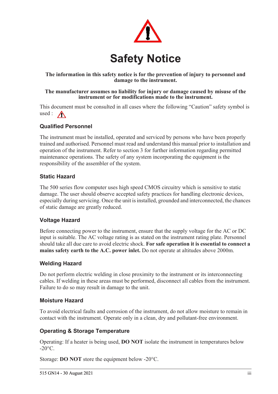

#### **The information in this safety notice is for the prevention of injury to personnel and damage to the instrument.**

#### **The manufacturer assumes no liability for injury or damage caused by misuse of the instrument or for modifications made to the instrument.**

This document must be consulted in all cases where the following "Caution" safety symbol is used :  $\bigwedge$ 

### **Qualified Personnel**

The instrument must be installed, operated and serviced by persons who have been properly trained and authorised. Personnel must read and understand this manual prior to installation and operation of the instrument. Refer to section 3 for further information regarding permitted maintenance operations. The safety of any system incorporating the equipment is the responsibility of the assembler of the system.

#### **Static Hazard**

The 500 series flow computer uses high speed CMOS circuitry which is sensitive to static damage. The user should observe accepted safety practices for handling electronic devices, especially during servicing. Once the unit is installed, grounded and interconnected, the chances of static damage are greatly reduced.

#### **Voltage Hazard**

Before connecting power to the instrument, ensure that the supply voltage for the AC or DC input is suitable. The AC voltage rating is as stated on the instrument rating plate. Personnel should take all due care to avoid electric shock. **For safe operation it is essential to connect a mains safety earth to the A.C. power inlet.** Do not operate at altitudes above 2000m.

#### **Welding Hazard**

Do not perform electric welding in close proximity to the instrument or its interconnecting cables. If welding in these areas must be performed, disconnect all cables from the instrument. Failure to do so may result in damage to the unit.

#### **Moisture Hazard**

To avoid electrical faults and corrosion of the instrument, do not allow moisture to remain in contact with the instrument. Operate only in a clean, dry and pollutant-free environment.

#### **Operating & Storage Temperature**

Operating: If a heater is being used, **DO NOT** isolate the instrument in temperatures below  $-20^{\circ}$ C.

Storage: **DO NOT** store the equipment below -20°C.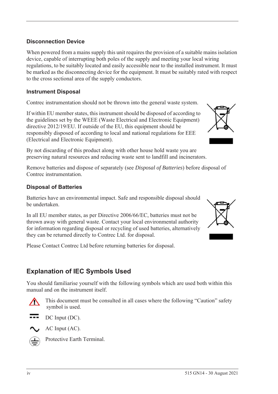#### **Disconnection Device**

When powered from a mains supply this unit requires the provision of a suitable mains isolation device, capable of interrupting both poles of the supply and meeting your local wiring regulations, to be suitably located and easily accessible near to the installed instrument. It must be marked as the disconnecting device for the equipment. It must be suitably rated with respect to the cross sectional area of the supply conductors.

#### **Instrument Disposal**

Contrec instrumentation should not be thrown into the general waste system.

If within EU member states, this instrument should be disposed of according to the guidelines set by the WEEE (Waste Electrical and Electronic Equipment) directive 2012/19/EU. If outside of the EU, this equipment should be responsibly disposed of according to local and national regulations for EEE (Electrical and Electronic Equipment).

By not discarding of this product along with other house hold waste you are preserving natural resources and reducing waste sent to landfill and incinerators.

Remove batteries and dispose of separately (see *Disposal of Batteries*) before disposal of Contrec instrumentation.

#### **Disposal of Batteries**

Batteries have an environmental impact. Safe and responsible disposal should be undertaken.

In all EU member states, as per Directive 2006/66/EC, batteries must not be thrown away with general waste. Contact your local environmental authority for information regarding disposal or recycling of used batteries, alternatively they can be returned directly to Contrec Ltd. for disposal.

Please Contact Contrec Ltd before returning batteries for disposal.

# **Explanation of IEC Symbols Used**

You should familiarise yourself with the following symbols which are used both within this manual and on the instrument itself.



 This document must be consulted in all cases where the following "Caution" safety symbol is used.



AC Input (AC).



Protective Earth Terminal.



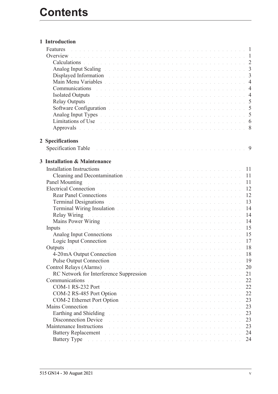| 1 Introduction                                                                                                                                                                                                                      |  |  |  |  |  |  |  |  |    |  |
|-------------------------------------------------------------------------------------------------------------------------------------------------------------------------------------------------------------------------------------|--|--|--|--|--|--|--|--|----|--|
| Features                                                                                                                                                                                                                            |  |  |  |  |  |  |  |  |    |  |
|                                                                                                                                                                                                                                     |  |  |  |  |  |  |  |  |    |  |
| Calculations de la communication de la communication de la communication de la communication de la communication                                                                                                                    |  |  |  |  |  |  |  |  |    |  |
|                                                                                                                                                                                                                                     |  |  |  |  |  |  |  |  |    |  |
| Displayed Information and a contract of the contract of the contract of the contract of the 3                                                                                                                                       |  |  |  |  |  |  |  |  |    |  |
|                                                                                                                                                                                                                                     |  |  |  |  |  |  |  |  |    |  |
| Communications experience and the contract of the contract of the contract of the contract of the contract of the contract of the contract of the contract of the contract of the contract of the contract of the contract of       |  |  |  |  |  |  |  |  |    |  |
| Isolated Outputs and a contract the contract of the contract of the contract of the contract of the 4                                                                                                                               |  |  |  |  |  |  |  |  |    |  |
| Relay Outputs in the contract of the contract of the contract of the contract of the contract of the S                                                                                                                              |  |  |  |  |  |  |  |  |    |  |
|                                                                                                                                                                                                                                     |  |  |  |  |  |  |  |  |    |  |
| Analog Input Types and a contract the contract of the contract of the contract of the 5                                                                                                                                             |  |  |  |  |  |  |  |  |    |  |
| Limitations of Use the community of the community of the community of the community of the community of the community of the community of the community of the community of the community of the community of the community of      |  |  |  |  |  |  |  |  |    |  |
| Approvals received a construction of the contract of the construction of 8                                                                                                                                                          |  |  |  |  |  |  |  |  |    |  |
|                                                                                                                                                                                                                                     |  |  |  |  |  |  |  |  |    |  |
| 2 Specifications                                                                                                                                                                                                                    |  |  |  |  |  |  |  |  |    |  |
|                                                                                                                                                                                                                                     |  |  |  |  |  |  |  |  |    |  |
|                                                                                                                                                                                                                                     |  |  |  |  |  |  |  |  |    |  |
| 3 Installation & Maintenance                                                                                                                                                                                                        |  |  |  |  |  |  |  |  |    |  |
| <b>Installation Instructions</b>                                                                                                                                                                                                    |  |  |  |  |  |  |  |  |    |  |
| Cleaning and Decontamination and the contract of the contract of the contract of the contract of the contract of the contract of the contract of the contract of the contract of the contract of the contract of the contract       |  |  |  |  |  |  |  |  | 11 |  |
| Panel Mounting and a contract the contract of the contract of the contract of the contract of                                                                                                                                       |  |  |  |  |  |  |  |  | 11 |  |
| Electrical Connection and a construction of the contract of the contract of the contract of the contract of the                                                                                                                     |  |  |  |  |  |  |  |  | 12 |  |
| Rear Panel Connections and the contract of the contract of the contract of the contract of the contract of the contract of the contract of the contract of the contract of the contract of the contract of the contract of the      |  |  |  |  |  |  |  |  | 12 |  |
| Terminal Designations and a contract the contract of the contract of the contract of the contract of the contract of the contract of the contract of the contract of the contract of the contract of the contract of the contr      |  |  |  |  |  |  |  |  | 13 |  |
| Terminal Wiring Insulation and a contract of the contract of the contract of the contract of the contract of the contract of the contract of the contract of the contract of the contract of the contract of the contract of t      |  |  |  |  |  |  |  |  | 14 |  |
|                                                                                                                                                                                                                                     |  |  |  |  |  |  |  |  | 14 |  |
| Mains Power Wiring <b>Experience Communication</b> Contract Communication Communication Communication Communication Communication Communication Communication Communication Communication Communication Communication Communication |  |  |  |  |  |  |  |  | 14 |  |
| a constitución de la caractería de la caractería de la caractería de la caractería de la caractería de la cara<br>Inputs                                                                                                            |  |  |  |  |  |  |  |  | 15 |  |
| Analog Input Connections and a contract the contract of the contract of the contract of the contract of the contract of the contract of the contract of the contract of the contract of the contract of the contract of the co      |  |  |  |  |  |  |  |  | 15 |  |
| Logic Input Connection and a construction of the contract of the contract of the Connection of the contract of the contract of the contract of the contract of the contract of the contract of the contract of the contract of      |  |  |  |  |  |  |  |  |    |  |
|                                                                                                                                                                                                                                     |  |  |  |  |  |  |  |  |    |  |
| 4-20 mA Output Connection and a construction of the contract of the contract of the contract of the contract of the contract of the contract of the contract of the contract of the contract of the contract of the contract o      |  |  |  |  |  |  |  |  | 18 |  |
| Pulse Output Connection and and a connection of the connection of the connection of the connection of the connection                                                                                                                |  |  |  |  |  |  |  |  | 19 |  |
| Control Relays (Alarms) and a control of the control of the control of the control of the control of the control of the control of the control of the control of the control of the control of the control of the control of t      |  |  |  |  |  |  |  |  | 20 |  |
| RC Network for Interference Suppression and a contract to the contract of the contract of the contract of the contract of the contract of the contract of the contract of the contract of the contract of the contract of the       |  |  |  |  |  |  |  |  | 21 |  |
| Communications<br>.<br>The second complete the complete service of the complete service of the complete service of the complete service                                                                                             |  |  |  |  |  |  |  |  | 22 |  |
|                                                                                                                                                                                                                                     |  |  |  |  |  |  |  |  | 22 |  |
| COM-2 RS-485 Port Option                                                                                                                                                                                                            |  |  |  |  |  |  |  |  | 22 |  |
| COM-2 Ethernet Port Option                                                                                                                                                                                                          |  |  |  |  |  |  |  |  | 23 |  |
| Mains Connection<br>.<br>In the second contract of the second contract of the second contract of the second contract of the second contr                                                                                            |  |  |  |  |  |  |  |  | 23 |  |
| Earthing and Shielding Theorem 2014 Contract of the Contract of the Contract of the Contract of the Contract of the Contract of the Contract of the Contract of the Contract of the Contract of the Contract of the Contract o      |  |  |  |  |  |  |  |  | 23 |  |
| Disconnection Device                                                                                                                                                                                                                |  |  |  |  |  |  |  |  | 23 |  |
| Maintenance Instructions<br>.<br>In the company of the company of the company of the company of the company of the company of the company of th                                                                                     |  |  |  |  |  |  |  |  | 23 |  |
| Battery Replacement and the contract of the contract of the contract of the contract of the contract of the contract of the contract of the contract of the contract of the contract of the contract of the contract of the co      |  |  |  |  |  |  |  |  | 24 |  |
| Battery Type and a substantial contract the contract of the contract of the contract of the contract of the contract of the contract of the contract of the contract of the contract of the contract of the contract of the co      |  |  |  |  |  |  |  |  | 24 |  |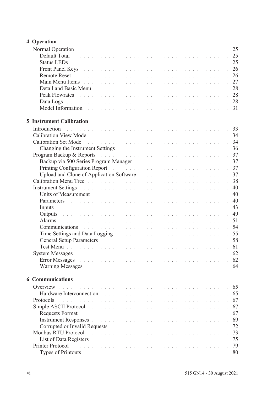# **[4 Operation](#page-34-0)**

| Normal Operation and a contract the contract of the contract of the contract of the 25                                                                                                                                         |  |  |  |  |  |  |  |  |    |
|--------------------------------------------------------------------------------------------------------------------------------------------------------------------------------------------------------------------------------|--|--|--|--|--|--|--|--|----|
| Default Total de la commune de la commune de la commune de la commune de la commune de 25                                                                                                                                      |  |  |  |  |  |  |  |  |    |
| Status LEDs <b>Election Community 25</b> Status Leader Community 25                                                                                                                                                            |  |  |  |  |  |  |  |  |    |
| Front Panel Keys and a construction of the construction of the construction of 26                                                                                                                                              |  |  |  |  |  |  |  |  |    |
|                                                                                                                                                                                                                                |  |  |  |  |  |  |  |  |    |
| Main Menu Items de la component de la component de la component de la component de la component de la component                                                                                                                |  |  |  |  |  |  |  |  | 27 |
|                                                                                                                                                                                                                                |  |  |  |  |  |  |  |  |    |
|                                                                                                                                                                                                                                |  |  |  |  |  |  |  |  |    |
| Data Logs de la component de la component de la component de la component de 28                                                                                                                                                |  |  |  |  |  |  |  |  |    |
|                                                                                                                                                                                                                                |  |  |  |  |  |  |  |  |    |
|                                                                                                                                                                                                                                |  |  |  |  |  |  |  |  |    |
| <b>5 Instrument Calibration</b>                                                                                                                                                                                                |  |  |  |  |  |  |  |  |    |
| Introduction                                                                                                                                                                                                                   |  |  |  |  |  |  |  |  |    |
|                                                                                                                                                                                                                                |  |  |  |  |  |  |  |  |    |
|                                                                                                                                                                                                                                |  |  |  |  |  |  |  |  |    |
| Changing the Instrument Settings and a contract of the contract of the settings of the contract of the contract of the contract of the contract of the contract of the contract of the contract of the contract of the contrac |  |  |  |  |  |  |  |  |    |
| Program Backup & Reports and a contract the contract of the contract of the contract of                                                                                                                                        |  |  |  |  |  |  |  |  | 37 |
|                                                                                                                                                                                                                                |  |  |  |  |  |  |  |  |    |
| Printing Configuration Report environment and the contract of the contract of the 37                                                                                                                                           |  |  |  |  |  |  |  |  |    |
| Upload and Clone of Application Software Marshall and Clone of Application Software                                                                                                                                            |  |  |  |  |  |  |  |  | 37 |
|                                                                                                                                                                                                                                |  |  |  |  |  |  |  |  |    |
|                                                                                                                                                                                                                                |  |  |  |  |  |  |  |  |    |
| Units of Measurement                                                                                                                                                                                                           |  |  |  |  |  |  |  |  | 40 |
| Parameters and a construction of the construction of the construction of the construction of                                                                                                                                   |  |  |  |  |  |  |  |  | 40 |
| Inputs and a communication of the communication of the communication of the communication of the communication                                                                                                                 |  |  |  |  |  |  |  |  | 43 |
| Outputs and a construction of the construction of the construction of the construction of the construction of the construction of the construction of the construction of the construction of the construction of the construc |  |  |  |  |  |  |  |  | 49 |
| Alarms<br>di serie de la caractería de la caractería de la caractería de la caractería de la caractería de la caractería                                                                                                       |  |  |  |  |  |  |  |  | 51 |
| Communications de la communication de la communication de la communication de la communication de la communication de la communication de S4                                                                                   |  |  |  |  |  |  |  |  |    |
| Time Settings and Data Logging The Contract of the Contract of the Settings and Data Logging                                                                                                                                   |  |  |  |  |  |  |  |  | 55 |
| General Setup Parameters and a construction of the construction of the set of the SS                                                                                                                                           |  |  |  |  |  |  |  |  |    |
| Test Menu de la componencia de la componencia de la componencia de la componenta 61                                                                                                                                            |  |  |  |  |  |  |  |  |    |
| System Messages with a community of the community of the set of the community of the community of the community of the community of the community of the community of the community of the community of the community of the c |  |  |  |  |  |  |  |  | 62 |
| <b>Error Messages</b><br>.<br>The company of the company of the company of the company of the company of the company of the company of the co                                                                                  |  |  |  |  |  |  |  |  | 62 |
| Warning Messages entertainment and the contract of the contract of the contract of the contract of the contract of the contract of the contract of the contract of the contract of the contract of the contract of the contrac |  |  |  |  |  |  |  |  | 64 |
| <b>6 Communications</b>                                                                                                                                                                                                        |  |  |  |  |  |  |  |  |    |
| Overview<br>.<br>In the second complete that the second complete second complete the second complete second complete second com                                                                                                |  |  |  |  |  |  |  |  | 65 |
| Hardware Interconnection<br>.<br>The contract of the contract of the contract of the contract of the contract of the contract of the contract of                                                                               |  |  |  |  |  |  |  |  | 65 |
| Protocols<br>de la caractería de la caractería de la caractería de la caractería de la caractería de la caractería                                                                                                             |  |  |  |  |  |  |  |  | 67 |
| Simple ASCII Protocol<br>.<br>In detection of the contract of the contract of the contract of the contract of the contract of the contract of                                                                                  |  |  |  |  |  |  |  |  | 67 |
| <b>Requests Format</b>                                                                                                                                                                                                         |  |  |  |  |  |  |  |  | 67 |
| Instrument Responses and a construction of the construction of the construction of the construction of the construction of the construction of the construction of the construction of the construction of the construction of |  |  |  |  |  |  |  |  | 69 |
| Corrupted or Invalid Requests and the contract of the contract of the contract of the contract of the contract of the contract of the contract of the contract of the contract of the contract of the contract of the contract |  |  |  |  |  |  |  |  | 72 |
| <b>Modbus RTU Protocol</b><br>والمتعاون والمتعاون والمتعاون والمتعاونة والمتعاونة والمتعاونة والمتعاونة والمتعاونة والمتعاونة والمتعاونة                                                                                       |  |  |  |  |  |  |  |  | 73 |
| List of Data Registers and a conservation of the conservation of the conservation of the conservation of the conservation of the conservation of the conservation of the conservation of the conservation of the conservation  |  |  |  |  |  |  |  |  | 75 |
| Printer Protocol<br>a de la caractería de la caractería de la caractería de la caractería de la caractería de la caractería de la                                                                                              |  |  |  |  |  |  |  |  | 79 |
| Types of Printouts and a contract of the contract of the contract of the contract of the contract of the contract of the contract of the contract of the contract of the contract of the contract of the contract of the contr |  |  |  |  |  |  |  |  | 80 |
|                                                                                                                                                                                                                                |  |  |  |  |  |  |  |  |    |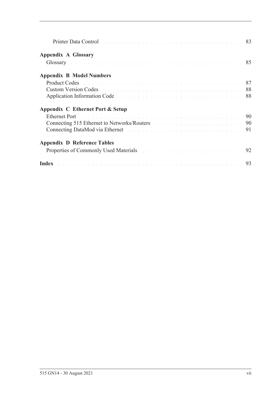| Printer Data Control and a control of the control of the control of the control of the control of the control of the control of the control of the control of the control of the control of the control of the control of the        |  |
|--------------------------------------------------------------------------------------------------------------------------------------------------------------------------------------------------------------------------------------|--|
| <b>Appendix A Glossary</b>                                                                                                                                                                                                           |  |
| Glossary and a contract the contract of the contract of the contract of the S5                                                                                                                                                       |  |
| <b>Appendix B Model Numbers</b>                                                                                                                                                                                                      |  |
| Product Codes entering the contract of the contract of the contract of the contract of the contract of the contract of the contract of the contract of the contract of the contract of the contract of the contract of the con       |  |
| <b>Custom Version Codes Contract Codes Codes Codes Code Reserves Algebra 2008 Code Reserves Algebra 2009 Codes Codes Codes Codes Codes Codes Codes Codes Codes Codes Codes Codes Codes Cod</b>                                       |  |
| Application Information Code enterity and the contract of the contract of the state of the S88                                                                                                                                       |  |
| Appendix C Ethernet Port & Setup                                                                                                                                                                                                     |  |
| Ethernet Port <b>Executive Contract Contract Contract Contract Contract Contract Contract Contract Contract Contract Contract Contract Contract Contract Contract Contract Contract Contract Contract Contract Contract Contract</b> |  |
| Connecting 515 Ethernet to Networks/Routers and a connection of the settlement of the 190                                                                                                                                            |  |
|                                                                                                                                                                                                                                      |  |
| <b>Appendix D Reference Tables</b>                                                                                                                                                                                                   |  |
| Properties of Commonly Used Materials and a contract the contract of Commonly Used Materials                                                                                                                                         |  |
| Index resources a construction of the contract of the construction of the 193                                                                                                                                                        |  |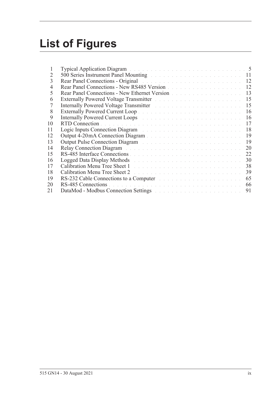# **List of Figures**

| T              | Typical Application Diagram and a contract of the contract of the contract of the 5                                                                                                                                            |    |
|----------------|--------------------------------------------------------------------------------------------------------------------------------------------------------------------------------------------------------------------------------|----|
| 2              | 500 Series Instrument Panel Mounting and a contract of the series of the 11                                                                                                                                                    |    |
| 3              | Rear Panel Connections - Original entrepreneur and a series of the series of the 12                                                                                                                                            |    |
| $\overline{4}$ | Rear Panel Connections - New RS485 Version                                                                                                                                                                                     | 12 |
| 5              | Rear Panel Connections - New Ethernet Version                                                                                                                                                                                  | 13 |
| 6              | Externally Powered Voltage Transmitter North State Land and American State Land                                                                                                                                                | 15 |
| 7              | Internally Powered Voltage Transmitter March 2014 and March 2014                                                                                                                                                               | 15 |
| 8              |                                                                                                                                                                                                                                | 16 |
| 9              | Internally Powered Current Loops and a substitution of the state of the state of the                                                                                                                                           | 16 |
| 10             |                                                                                                                                                                                                                                | 17 |
| 11             | Logic Inputs Connection Diagram and a connection of the Connection of the Connection of the Connection of the Connection of the Connection of the Connection of the Connection of the Connection of the Connection of the Conn | 18 |
| 12             |                                                                                                                                                                                                                                | 19 |
| 13             | Output Pulse Connection Diagram and a constant of the contract of the contract of the connection of the connection of the connection of the connection of the connection of the connection of the connection of the connection | 19 |
| 14             | Relay Connection Diagram Albert and Albert and Albert and Albert and Albert and Albert and Albert and Albert and                                                                                                               | 20 |
| 15             |                                                                                                                                                                                                                                | 22 |
| 16             | Logged Data Display Methods and a contract the contract of the contract of the contract of the contract of the                                                                                                                 | 30 |
| 17             |                                                                                                                                                                                                                                | 38 |
| 18             | Calibration Menu Tree Sheet 2 and the contract of the contract of the contract of the Contract of the Contract of the Contract of the Contract of the Contract of the Contract of the Contract of the Contract of the Contract | 39 |
| 19             | RS-232 Cable Connections to a Computer and a substitution of the set of the set of the set of the set of the set of the set of the set of the set of the set of the set of the set of the set of the set of the set of the set | 65 |
| 20             |                                                                                                                                                                                                                                | 66 |
| 21             | DataMod - Modbus Connection Settings and the connection of the connection of the connection of the connection of the connection of the connection of the connection of the connection of the connection of the connection of t | 91 |
|                |                                                                                                                                                                                                                                |    |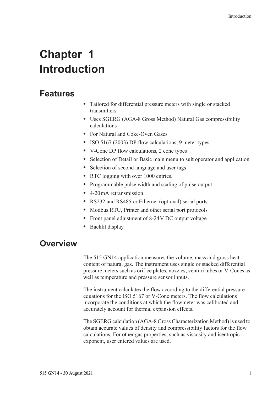# <span id="page-10-0"></span>**Chapter 1 Introduction**

# <span id="page-10-1"></span>**Features**

- **•** Tailored for differential pressure meters with single or stacked transmitters
- **•** Uses SGERG (AGA-8 Gross Method) Natural Gas compressibility calculations
- **•** For Natural and Coke-Oven Gases
- **•** ISO 5167 (2003) DP flow calculations, 9 meter types
- **•** V-Cone DP flow calculations, 2 cone types
- **•** Selection of Detail or Basic main menu to suit operator and application
- **•** Selection of second language and user tags
- **•** RTC logging with over 1000 entries.
- **•** Programmable pulse width and scaling of pulse output
- **•** 4-20 mA retransmission
- **•** RS232 and RS485 or Ethernet (optional) serial ports
- **•** Modbus RTU, Printer and other serial port protocols
- **•** Front panel adjustment of 8-24 V DC output voltage
- **•** Backlit display

# <span id="page-10-2"></span>**Overview**

The 515 GN14 application measures the volume, mass and gross heat content of natural gas. The instrument uses single or stacked differential pressure meters such as orifice plates, nozzles, venturi tubes or V-Cones as well as temperature and pressure sensor inputs.

The instrument calculates the flow according to the differential pressure equations for the ISO 5167 or V-Cone meters. The flow calculations incorporate the conditions at which the flowmeter was calibrated and accurately account for thermal expansion effects.

The SGERG calculation (AGA-8 Gross Characterization Method) is used to obtain accurate values of density and compressibility factors for the flow calculations. For other gas properties, such as viscosity and isentropic exponent, user entered values are used.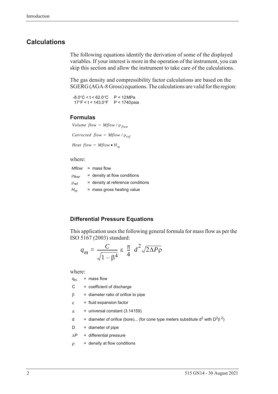#### <span id="page-11-0"></span>**Calculations**

The following equations identify the derivation of some of the displayed variables. If your interest is more in the operation of the instrument, you can skip this section and allow the instrument to take care of the calculations.

The gas density and compressibility factor calculations are based on the SGERG (AGA-8 Gross) equations. The calculations are valid for the region:

 $-8.0^{\circ}$ C < t < 62.0 $^{\circ}$ C  $17^{\circ}$ F < t < 143.0 $^{\circ}$ F P < 12 MPa P < 1740 psia

#### **Formulas**

```
Volume flow = Mflow / \rho_{flow}Corrected flow = Mflow / \rho_{ref}
```
*Heat flow =*  $Mflow \cdot H_m$ 

#### where:

|              | $Mflow = mass flow$               |
|--------------|-----------------------------------|
| $P$ flow     | $=$ density at flow conditions    |
| $\rho_{ref}$ | = density at reference conditions |
| $H_m$        | $=$ mass gross heating value      |

#### **Differential Pressure Equations**

This application uses the following general formula for mass flow as per the ISO 5167 (2003) standard:

$$
q_m = \frac{C}{\sqrt{1 - \beta^4}} \varepsilon \frac{\pi}{4} d^2 \sqrt{2\Delta P \rho}
$$

where:

| $=$ mass flow<br>$q_m$ |  |
|------------------------|--|
|------------------------|--|

 $C = coefficient of *discharge*$ 

- $\beta$  = diameter ratio of orifice to pipe
- $\varepsilon$  = fluid expansion factor
- $\pi$  = universal constant (3.14159)
- d = diameter of orifice (bore)... (for cone type meters substitute  $d^2$  with  $D^2\beta^2$ )
- $D =$  diameter of pipe

 $\Delta P$  = differential pressure

 $\rho =$  density at flow conditions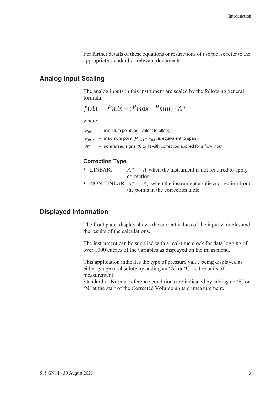For further details of these equations or restrictions of use please refer to the appropriate standard or relevant documents.

#### <span id="page-12-0"></span>**Analog Input Scaling**

The analog inputs in this instrument are scaled by the following general formula:

$$
f(A) = P_{min} + (P_{max} - P_{min}) \cdot A^*
$$

where:

*Pmin* = minimum point (equivalent to offset)

 $P_{\text{max}}$  = maximum point ( $P_{\text{max}} - P_{\text{min}}$  is equivalent to span)

*A\** = normalised signal (0 to 1) with correction applied for a flow input

#### **Correction Type**

- LINEAR:  $A^* = A$  when the instrument is not required to apply correction
- NON-LINEAR:  $A^* = A_c$  when the instrument applies correction from the points in the correction table

#### <span id="page-12-1"></span>**Displayed Information**

The front panel display shows the current values of the input variables and the results of the calculations.

The instrument can be supplied with a real-time clock for data logging of over 1000 entries of the variables as displayed on the main menu.

This application indicates the type of pressure value being displayed as either gauge or absolute by adding an 'A' or 'G' to the units of measurement.

Standard or Normal reference conditions are indicated by adding an 'S' or 'N' at the start of the Corrected Volume units or measurement.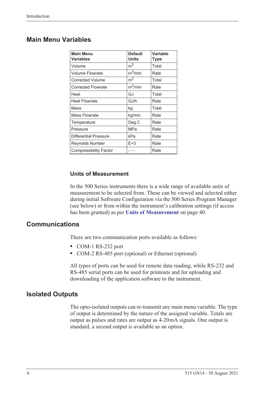# <span id="page-13-0"></span>**Main Menu Variables**

| <b>Main Menu</b><br><b>Variables</b> | <b>Default</b><br><b>Units</b> | <b>Variable</b><br>Type |
|--------------------------------------|--------------------------------|-------------------------|
| Volume                               | m <sup>3</sup>                 | Total                   |
| <b>Volume Flowrate</b>               | $m^3/m$ in                     | Rate                    |
| <b>Corrected Volume</b>              | m <sup>3</sup>                 | Total                   |
| <b>Corrected Flowrate</b>            | $m^3/m$ in                     | Rate                    |
| Heat                                 | GJ                             | Total                   |
| <b>Heat Flowrate</b>                 | GJ/h                           | Rate                    |
| Mass                                 | kg                             | Total                   |
| <b>Mass Flowrate</b>                 | kg/min                         | Rate                    |
| Temperature                          | Deg C                          | Rate                    |
| Pressure                             | MPa                            | Rate                    |
| <b>Differential Pressure</b>         | kPa                            | Rate                    |
| Reynolds Number                      | $E+3$                          | Rate                    |
| <b>Compressibility Factor</b>        |                                | Rate                    |

#### **Units of Measurement**

In the 500 Series instruments there is a wide range of available units of measurement to be selected from. These can be viewed and selected either during initial Software Configuration via the 500 Series Program Manager (see below) or from within the instrument's calibration settings (if access has been granted) as per **[Units of Measurement](#page-49-3)** on page 40.

### <span id="page-13-1"></span>**Communications**

There are two communication ports available as follows:

- **•** COM-1 RS-232 port
- **•** COM-2 RS-485 port (optional) or Ethernet (optional)

All types of ports can be used for remote data reading, while RS-232 and RS-485 serial ports can be used for printouts and for uploading and downloading of the application software to the instrument.

#### <span id="page-13-2"></span>**Isolated Outputs**

The opto-isolated outputs can re-transmit any main menu variable. The type of output is determined by the nature of the assigned variable. Totals are output as pulses and rates are output as 4-20 mA signals. One output is standard, a second output is available as an option.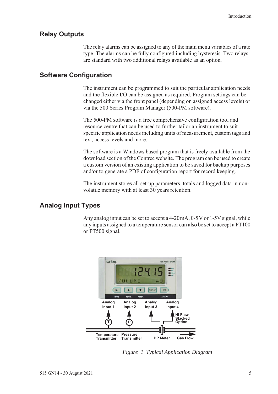## <span id="page-14-0"></span>**Relay Outputs**

The relay alarms can be assigned to any of the main menu variables of a rate type. The alarms can be fully configured including hysteresis. Two relays are standard with two additional relays available as an option.

## <span id="page-14-1"></span>**Software Configuration**

The instrument can be programmed to suit the particular application needs and the flexible I/O can be assigned as required. Program settings can be changed either via the front panel (depending on assigned access levels) or via the 500 Series Program Manager (500-PM software).

The 500-PM software is a free comprehensive configuration tool and resource centre that can be used to further tailor an instrument to suit specific application needs including units of measurement, custom tags and text, access levels and more.

The software is a Windows based program that is freely available from the download section of the Contrec website. The program can be used to create a custom version of an existing application to be saved for backup purposes and/or to generate a PDF of configuration report for record keeping.

The instrument stores all set-up parameters, totals and logged data in nonvolatile memory with at least 30 years retention.

# <span id="page-14-2"></span>**Analog Input Types**

Any analog input can be set to accept a 4-20 mA, 0-5 V or 1-5 V signal, while any inputs assigned to a temperature sensor can also be set to accept a PT100 or PT500 signal.

<span id="page-14-3"></span>

*Figure 1 Typical Application Diagram*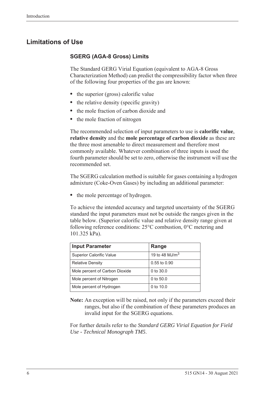# <span id="page-15-0"></span>**Limitations of Use**

#### **SGERG (AGA-8 Gross) Limits**

The Standard GERG Virial Equation (equivalent to AGA-8 Gross Characterization Method) can predict the compressibility factor when three of the following four properties of the gas are known:

- the superior (gross) calorific value
- the relative density (specific gravity)
- **•** the mole fraction of carbon dioxide and
- **•** the mole fraction of nitrogen

The recommended selection of input parameters to use is **calorific value**, **relative density** and the **mole percentage of carbon dioxide** as these are the three most amenable to direct measurement and therefore most commonly available. Whatever combination of three inputs is used the fourth parameter should be set to zero, otherwise the instrument will use the recommended set.

The SGERG calculation method is suitable for gases containing a hydrogen admixture (Coke-Oven Gases) by including an additional parameter:

• the mole percentage of hydrogen.

To achieve the intended accuracy and targeted uncertainty of the SGERG standard the input parameters must not be outside the ranges given in the table below. (Superior calorific value and relative density range given at following reference conditions: 25°C combustion, 0°C metering and 101.325 kPa).

| <b>Input Parameter</b>          | Range             |
|---------------------------------|-------------------|
| <b>Superior Calorific Value</b> | 19 to 48 MJ/ $m3$ |
| <b>Relative Density</b>         | 0.55 to 0.90      |
| Mole percent of Carbon Dioxide  | 0 to $30.0$       |
| Mole percent of Nitrogen        | 0 to $50.0$       |
| Mole percent of Hydrogen        | 0 to $10.0$       |

**Note:** An exception will be raised, not only if the parameters exceed their ranges, but also if the combination of these parameters produces an invalid input for the SGERG equations.

For further details refer to the *Standard GERG Virial Equation for Field Use - Technical Monograph TM5*.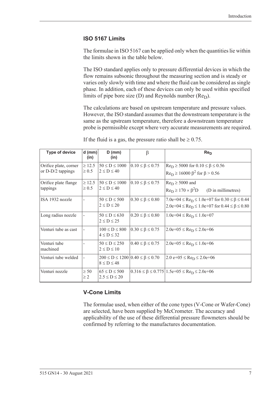#### **ISO 5167 Limits**

The formulae in ISO 5167 can be applied only when the quantities lie within the limits shown in the table below.

The ISO standard applies only to pressure differential devices in which the flow remains subsonic throughout the measuring section and is steady or varies only slowly with time and where the fluid can be considered as single phase. In addition, each of these devices can only be used within specified limits of pipe bore size (D) and Reynolds number  $(Re<sub>D</sub>)$ .

The calculations are based on upstream temperature and pressure values. However, the ISO standard assumes that the downstream temperature is the same as the upstream temperature, therefore a downstream temperature probe is permissible except where very accurate measurements are required.

| <b>Type of device</b>                        | $d$ (mm)<br>(in)          | $D$ (mm)<br>(in)                         | β                                              | Re <sub>D</sub>                                                                                                                      |
|----------------------------------------------|---------------------------|------------------------------------------|------------------------------------------------|--------------------------------------------------------------------------------------------------------------------------------------|
| Orifice plate, corner<br>or $D-D/2$ tappings | $\geq 12.5$<br>$\geq 0.5$ | $50 \le D \le 1000$<br>$2 \le D \le 40$  | $0.10 \leq \beta \leq 0.75$                    | $\text{Re}_{D} \ge 5000$ for $0.10 \le \beta \le 0.56$<br>$\text{Re}_{\text{D}} \ge 16000 \ \beta^2 \text{ for } \beta > 0.56$       |
| Orifice plate flange<br>tappings             | $\geq 12.5$<br>$\geq 0.5$ | $50 \le D \le 1000$<br>$2 \le D \le 40$  | $0.10 \leq \beta \leq 0.75$                    | $Re_D \ge 5000$ and<br>$Re_D \ge 170 \times \beta^2D$<br>(D in millimetres)                                                          |
| ISA 1932 nozzle                              |                           | $50 \le D \le 500$<br>$2 \le D \le 20$   | $0.30 \le \beta \le 0.80$                      | $7.0e+04 \leq Re_D \leq 1.0e+07$ for $0.30 \leq \beta \leq 0.44$<br>$2.0e+04 \leq Re_D \leq 1.0e+07$ for $0.44 \leq \beta \leq 0.80$ |
| Long radius nozzle                           |                           | $50 \le D \le 630$<br>$2 \le D \le 25$   | $0.20 \le \beta \le 0.80$                      | $1.0e+04 \leq Re_D \leq 1.0e+07$                                                                                                     |
| Venturi tube as cast                         |                           | $100 \le D \le 800$<br>$4 \le D \le 32$  | $0.30 \le \beta \le 0.75$                      | $2.0e+05 \leq Re_D \leq 2.0e+06$                                                                                                     |
| Venturi tube<br>machined                     |                           | $50 \le D \le 250$<br>$2 \le D \le 10$   | $0.40 \le \beta \le 0.75$                      | $2.0e+05 \leq Re_D \leq 1.0e+06$                                                                                                     |
| Venturi tube welded                          |                           | $8 \le D \le 48$                         | $200 \le D \le 1200   0.40 \le \beta \le 0.70$ | $2.0 e+05 \leq Re_D \leq 2.0 e+06$                                                                                                   |
| Venturi nozzle                               | $\geq 50$<br>$\geq$ 2     | $65 \le D \le 500$<br>$2.5 \le D \le 20$ |                                                | $0.316 \le \beta \le 0.775 \mid 1.5e+0.5 \le \text{Re}_D \le 2.0e+0.6$                                                               |

If the fluid is a gas, the pressure ratio shall be  $\geq 0.75$ .

### **V-Cone Limits**

The formulae used, when either of the cone types (V-Cone or Wafer-Cone) are selected, have been supplied by McCrometer. The accuracy and applicability of the use of these differential pressure flowmeters should be confirmed by referring to the manufactures documentation.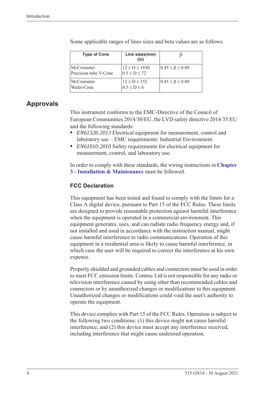| <b>Type of Cone</b>                        | Line sizes(mm)<br>(in)                    |                             |
|--------------------------------------------|-------------------------------------------|-----------------------------|
| <b>McCrometer</b><br>Precision tube V-Cone | $12 \le D \le 1830$<br>$0.5 \le D \le 72$ | $0.45 \leq \beta \leq 0.80$ |
| <b>McCrometer</b><br>Wafer-Cone            | $12 \le D \le 152$<br>$0.5 \leq D \leq 6$ | $0.45 \leq \beta \leq 0.80$ |

Some applicable ranges of lines sizes and beta values are as follows:

# <span id="page-17-0"></span>**Approvals**

This instrument conforms to the EMC-Directive of the Council of European Communities 2014/30/EU, the LVD safety directive 2014/35/EU and the following standards:

- **•** *EN61326:2013* Electrical equipment for measurement, control and laboratory use – EMC requirements: Industrial Environment.
- **•** *EN61010:2010* Safety requirements for electrical equipment for measurement, control, and laboratory use.

In order to comply with these standards, the wiring instructions in **[Chapter](#page-20-5)  [3 - Installation & Maintenance](#page-20-5)** must be followed.

### **FCC Declaration**

This equipment has been tested and found to comply with the limits for a Class A digital device, pursuant to Part 15 of the FCC Rules. These limits are designed to provide reasonable protection against harmful interference when the equipment is operated in a commercial environment. This equipment generates, uses, and can radiate radio frequency energy and, if not installed and used in accordance with the instruction manual, might cause harmful interference to radio communications. Operation of this equipment in a residential area is likely to cause harmful interference, in which case the user will be required to correct the interference at his own expense.

Properly shielded and grounded cables and connectors must be used in order to meet FCC emission limits. Contrec Ltd is not responsible for any radio or television interference caused by using other than recommended cables and connectors or by unauthorized changes or modifications to this equipment. Unauthorized changes or modifications could void the user's authority to operate the equipment.

This device complies with Part 15 of the FCC Rules. Operation is subject to the following two conditions: (1) this device might not cause harmful interference, and (2) this device must accept any interference received, including interference that might cause undesired operation.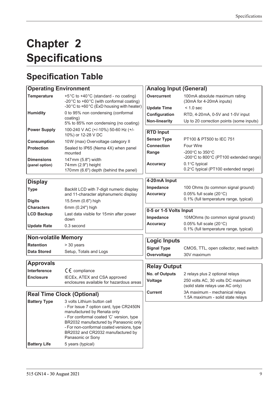# <span id="page-18-0"></span>**Chapter 2 Specifications**

# <span id="page-18-1"></span>**Specification Table**

| <b>Operating Environment</b>        |                                                                                                                                                                                                                                                                                                   | <b>Analog Input (General)</b> |                                                                               |  |  |  |  |
|-------------------------------------|---------------------------------------------------------------------------------------------------------------------------------------------------------------------------------------------------------------------------------------------------------------------------------------------------|-------------------------------|-------------------------------------------------------------------------------|--|--|--|--|
| <b>Temperature</b>                  | +5°C to +40°C (standard - no coating)<br>-20°C to +60°C (with conformal coating)                                                                                                                                                                                                                  | <b>Overcurrent</b>            | 100mA absolute maximum rating<br>(30mA for 4-20mA inputs)                     |  |  |  |  |
|                                     | -30°C to +60°C (ExD housing with heater)                                                                                                                                                                                                                                                          | <b>Update Time</b>            | $< 1.0$ sec                                                                   |  |  |  |  |
| <b>Humidity</b>                     | 0 to 95% non condensing (conformal                                                                                                                                                                                                                                                                | Configuration                 | RTD, 4-20mA, 0-5V and 1-5V input                                              |  |  |  |  |
|                                     | coating)<br>5% to 85% non condensing (no coating)                                                                                                                                                                                                                                                 | <b>Non-linearity</b>          | Up to 20 correction points (some inputs)                                      |  |  |  |  |
| <b>Power Supply</b>                 | 100-240 V AC (+/-10%) 50-60 Hz (+/-<br>10%) or 12-28 V DC                                                                                                                                                                                                                                         | <b>RTD Input</b>              |                                                                               |  |  |  |  |
| <b>Consumption</b>                  | 10W (max) Overvoltage category II                                                                                                                                                                                                                                                                 | <b>Sensor Type</b>            | PT100 & PT500 to IEC 751                                                      |  |  |  |  |
| <b>Protection</b>                   | Sealed to IP65 (Nema 4X) when panel                                                                                                                                                                                                                                                               | <b>Connection</b>             | <b>Four Wire</b>                                                              |  |  |  |  |
|                                     | mounted                                                                                                                                                                                                                                                                                           | Range                         | -200 $\degree$ C to 350 $\degree$ C<br>-200°C to 800°C (PT100 extended range) |  |  |  |  |
| <b>Dimensions</b><br>(panel option) | 147mm (5.8") width<br>74 mm (2.9") height<br>170mm (6.6") depth (behind the panel)                                                                                                                                                                                                                | <b>Accuracy</b>               | 0.1°C typical<br>0.2°C typical (PT100 extended range)                         |  |  |  |  |
| <b>Display</b>                      |                                                                                                                                                                                                                                                                                                   | 4-20mA Input                  |                                                                               |  |  |  |  |
| <b>Type</b>                         | Backlit LCD with 7-digit numeric display                                                                                                                                                                                                                                                          | Impedance                     | 100 Ohms (to common signal ground)                                            |  |  |  |  |
|                                     | and 11-character alphanumeric display                                                                                                                                                                                                                                                             | <b>Accuracy</b>               | 0.05% full scale $(20^{\circ}C)$                                              |  |  |  |  |
| <b>Digits</b>                       | 15.5mm (0.6") high                                                                                                                                                                                                                                                                                |                               | 0.1% (full temperature range, typical)                                        |  |  |  |  |
| <b>Characters</b>                   | 6mm (0.24") high                                                                                                                                                                                                                                                                                  |                               |                                                                               |  |  |  |  |
| <b>LCD Backup</b>                   | Last data visible for 15min after power                                                                                                                                                                                                                                                           | 0-5 or 1-5 Volts Input        |                                                                               |  |  |  |  |
|                                     | down                                                                                                                                                                                                                                                                                              | Impedance                     | 10 MOhms (to common signal ground)                                            |  |  |  |  |
| <b>Update Rate</b>                  | 0.3 second                                                                                                                                                                                                                                                                                        | <b>Accuracy</b>               | 0.05% full scale $(20^{\circ}C)$<br>0.1% (full temperature range, typical)    |  |  |  |  |
| <b>Non-volatile Memory</b>          |                                                                                                                                                                                                                                                                                                   |                               |                                                                               |  |  |  |  |
| <b>Retention</b>                    | > 30 years                                                                                                                                                                                                                                                                                        | <b>Logic Inputs</b>           |                                                                               |  |  |  |  |
| <b>Data Stored</b>                  | Setup, Totals and Logs                                                                                                                                                                                                                                                                            | <b>Signal Type</b>            | CMOS, TTL, open collector, reed switch                                        |  |  |  |  |
|                                     |                                                                                                                                                                                                                                                                                                   | Overvoltage                   | 30V maximum                                                                   |  |  |  |  |
| <b>Approvals</b>                    |                                                                                                                                                                                                                                                                                                   | <b>Relay Output</b>           |                                                                               |  |  |  |  |
| Interference                        | $C \in \mathbb{C}$ compliance                                                                                                                                                                                                                                                                     | <b>No. of Outputs</b>         | 2 relays plus 2 optional relays                                               |  |  |  |  |
| <b>Enclosure</b>                    | IECEx, ATEX and CSA approved                                                                                                                                                                                                                                                                      | <b>Voltage</b>                | 250 volts AC, 30 volts DC maximum                                             |  |  |  |  |
|                                     | enclosures available for hazardous areas                                                                                                                                                                                                                                                          |                               | (solid state relays use AC only)                                              |  |  |  |  |
|                                     | <b>Real Time Clock (Optional)</b>                                                                                                                                                                                                                                                                 | <b>Current</b>                | 3A maximum - mechanical relays<br>1.5A maximum - solid state relays           |  |  |  |  |
| <b>Battery Type</b>                 | 3 volts Lithium button cell<br>- For Issue 7 option card, type CR2450N<br>manufactured by Renata only<br>- For conformal coated 'C' version, type<br>BR2032 manufactured by Panasonic only<br>- For non-conformal coated versions, type<br>BR2032 and CR2032 manufactured by<br>Panasonic or Sony |                               |                                                                               |  |  |  |  |

**Battery Life** 5 years (typical)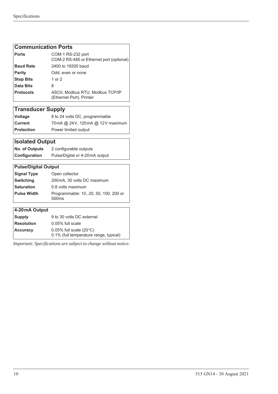#### **Communication Ports**

| <b>Ports</b>     | COM-1 RS-232 port<br>COM-2 RS-485 or Ethernet port (optional) |
|------------------|---------------------------------------------------------------|
| <b>Baud Rate</b> | 2400 to 19200 baud                                            |
| <b>Parity</b>    | Odd, even or none                                             |
| <b>Stop Bits</b> | 1 or 2                                                        |
| Data Bits        | 8                                                             |
| <b>Protocols</b> | ASCII, Modbus RTU, Modbus TCP/IP<br>(Ethernet Port), Printer  |

# **Transducer Supply**

| <b>Voltage</b>    | 8 to 24 volts DC, programmable  |
|-------------------|---------------------------------|
| Current           | 70mA @ 24V, 120mA @ 12V maximum |
| <b>Protection</b> | Power limited output            |

# **Isolated Output**

| <b>No. of Outputs</b> | 2 configurable outputs         |  |  |
|-----------------------|--------------------------------|--|--|
| Configuration         | Pulse/Digital or 4-20mA output |  |  |

### **Pulse/Digital Output Signal Type** Open collector **Switching** 200mA, 30 volts DC maximum **Saturation** 0.8 volts maximum **Pulse Width** Programmable: 10 , 20, 50, 100, 200 or 500ms

| 4-20mA Output     |                                        |
|-------------------|----------------------------------------|
| <b>Supply</b>     | 9 to 30 volts DC external              |
| <b>Resolution</b> | 0.05% full scale                       |
| <b>Accuracy</b>   | $0.05\%$ full scale (20 $\degree$ C)   |
|                   | 0.1% (full temperature range, typical) |

*Important: Specifications are subject to change without notice.*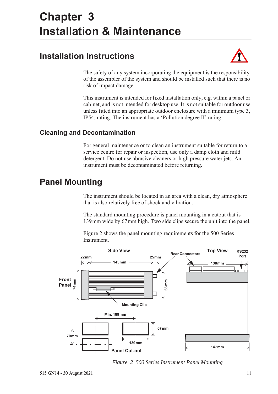# <span id="page-20-5"></span><span id="page-20-0"></span>**Chapter 3 Installation & Maintenance**

# <span id="page-20-1"></span>**Installation Instructions**



The safety of any system incorporating the equipment is the responsibility of the assembler of the system and should be installed such that there is no risk of impact damage.

This instrument is intended for fixed installation only, e.g. within a panel or cabinet, and is not intended for desktop use. It is not suitable for outdoor use unless fitted into an appropriate outdoor enclosure with a minimum type 3, IP54, rating. The instrument has a 'Pollution degree II' rating.

# <span id="page-20-2"></span>**Cleaning and Decontamination**

For general maintenance or to clean an instrument suitable for return to a service centre for repair or inspection, use only a damp cloth and mild detergent. Do not use abrasive cleaners or high pressure water jets. An instrument must be decontaminated before returning.

# <span id="page-20-3"></span>**Panel Mounting**

The instrument should be located in an area with a clean, dry atmosphere that is also relatively free of shock and vibration.

The standard mounting procedure is panel mounting in a cutout that is 139 mm wide by 67 mm high. Two side clips secure the unit into the panel.

[Figure 2](#page-20-4) shows the panel mounting requirements for the 500 Series Instrument.



<span id="page-20-4"></span>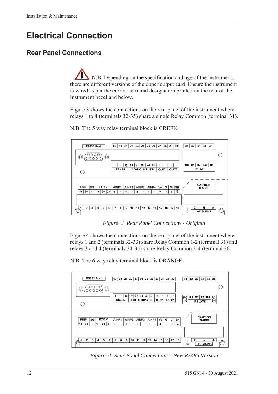# <span id="page-21-0"></span>**Electrical Connection**

# <span id="page-21-1"></span>**Rear Panel Connections**

N.B. Depending on the specification and age of the instrument, there are different versions of the upper output card. Ensure the instrument is wired as per the correct terminal designation printed on the rear of the instrument bezel and below.

[Figure 3](#page-21-2) shows the connections on the rear panel of the instrument where relays 1 to 4 (terminals 32-35) share a single Relay Common (terminal 31).



N.B. The 5 way relay terminal block is GREEN.

*Figure 3 Rear Panel Connections - Original*

<span id="page-21-2"></span>[Figure 4](#page-21-3) shows the connections on the rear panel of the instrument where relays 1 and 2 (terminals 32-33) share Relay Common 1-2 (terminal 31) and relays 3 and 4 (terminals 34-35) share Relay Common 3-4 (terminal 36.

N.B. The 6 way relay terminal block is ORANGE.



<span id="page-21-3"></span>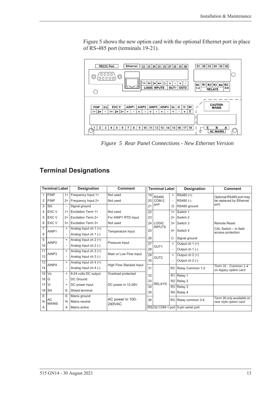[Figure 5](#page-22-1) shows the new option card with the optional Ethernet port in place of RS-485 port (terminals 19-21).



<span id="page-22-1"></span>*Figure 5 Rear Panel Connections - New Ethernet Version*

# <span id="page-22-0"></span>**Terminal Designations**

|                | <b>Terminal Label</b><br><b>Designation</b> |                          | <b>Comment</b>            | <b>Terminal Label</b>      |                 |                  | <b>Designation</b> | <b>Comment</b>                     |                                               |
|----------------|---------------------------------------------|--------------------------|---------------------------|----------------------------|-----------------|------------------|--------------------|------------------------------------|-----------------------------------------------|
| $\mathbf{1}$   | <b>FINP</b>                                 | $1+$                     | Frequency Input 1+        | Not used                   | 19              | <b>RS485</b>     | $+$                | RS485 (+)                          | Optional RS485 port may                       |
| 2              | <b>FINP</b>                                 | $2+$                     | Frequency Input 2+        | Not used                   | 20 <sub>1</sub> | COM-2            |                    | RS485 (-)                          | be replaced by Ethernet                       |
| 3              | <b>SG</b>                                   | $\overline{\phantom{a}}$ | Signal ground             |                            | 21              | port             | G                  | RS485 ground                       | port.                                         |
| 4              | <b>EXC V</b>                                | $1+$                     | <b>Excitation Term 1+</b> | Not used                   | 22              |                  | $1+$               | Switch 1                           |                                               |
| 5              | <b>EXC V</b>                                | $2+$                     | <b>Excitation Term 2+</b> | For AINP1 RTD Input        | 23              |                  | $2+$               | Switch 2                           |                                               |
| 6              | <b>EXC V</b>                                | $3+$                     | <b>Excitation Term 3+</b> | Not used                   | 24 <sub>1</sub> | <b>LOGIC</b>     | $3+$               | Switch 3                           | <b>Remote Reset</b>                           |
| $\overline{7}$ | AINP1                                       | $\ddot{}$                | Analog Input ch $1 (+)$   | Temperature Input          | 25              | <b>INPUTS</b>    | $4+$               | Switch 4                           | CAL Switch - In field                         |
| 8              |                                             | $\overline{\phantom{a}}$ | Analog Input ch 1 (-)     |                            |                 |                  |                    |                                    | access protection                             |
| 9              |                                             | $\ddot{}$                | Analog Input ch $2 (+)$   | Pressure Input             | 26              |                  | $C-$               | Signal ground                      |                                               |
| 10             | AINP <sub>2</sub>                           |                          | Analog Input ch 2 (-)     |                            | $\overline{27}$ | OUT <sub>1</sub> | $\ddot{}$          | Output ch $1 (+)$                  |                                               |
| 11             |                                             | $\ddot{}$                | Analog Input ch $3 (+)$   | Main or Low Flow Input     | 28              |                  |                    | Output ch 1 (-)                    |                                               |
| 12             | AINP3                                       | $\overline{\phantom{a}}$ | Analog Input ch 3 (-)     |                            | 29              | OUT <sub>2</sub> | $+$                | Output ch $2 (+)$                  |                                               |
| 13             |                                             | $\ddot{}$                | Analog Input ch $4 (+)$   |                            | 30              |                  |                    | Output ch 2 (-)                    |                                               |
| 14             | AINP4                                       | $\overline{\phantom{a}}$ | Analog Input ch 4 (-)     | High Flow Stacked Input    | 31              |                  | RC                 | Relay Common 1-2                   | Term 31 - Common 1-4<br>on legacy option card |
| 15             | Vo                                          | $\ddot{}$                | 8-24 volts DC output      | Overload protected         | 32              |                  |                    | R <sub>1</sub> Relay 1             |                                               |
| 16             | G                                           | $\blacksquare$           | DC Ground                 |                            | 33              |                  |                    | $R2$ Relay 2                       |                                               |
|                | $17$ Vi                                     | $\ddot{}$                | DC power input            | DC power in 12-28V         | $\overline{34}$ | <b>RELAYS</b>    |                    | $R3$ Relay 3                       |                                               |
| 18             | <b>SH</b>                                   | E                        | Shield terminal           |                            | 35              |                  |                    | R4   Relay 4                       |                                               |
| E              |                                             | E                        | Mains ground              |                            |                 |                  |                    |                                    | Term 36 only available on                     |
| N              | AC<br><b>MAINS</b>                          | N                        | Mains neutral             | AC power in 100-<br>240VAC | 36              |                  |                    | RC Relay common 3-4                | new style option card                         |
| A              |                                             | A                        | Mains active              |                            |                 |                  |                    | RS232 COM-1 port 9-pin serial port |                                               |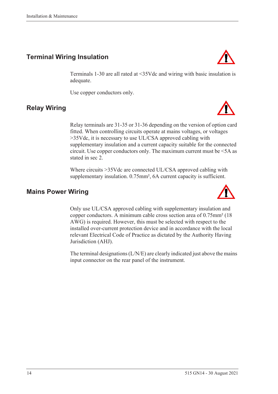# <span id="page-23-0"></span>**Terminal Wiring Insulation**

Terminals 1-30 are all rated at <35Vdc and wiring with basic insulation is adequate.

Use copper conductors only.

# <span id="page-23-1"></span>**Relay Wiring**

Relay terminals are 31-35 or 31-36 depending on the version of option card fitted. When controlling circuits operate at mains voltages, or voltages >35Vdc, it is necessary to use UL/CSA approved cabling with supplementary insulation and a current capacity suitable for the connected circuit. Use copper conductors only. The maximum current must be <5A as stated in sec 2.

Where circuits >35Vdc are connected UL/CSA approved cabling with supplementary insulation. 0.75mm<sup>2</sup>, 6A current capacity is sufficient.

## <span id="page-23-2"></span>**Mains Power Wiring**

Only use UL/CSA approved cabling with supplementary insulation and copper conductors. A minimum cable cross section area of 0.75mm² (18 AWG) is required. However, this must be selected with respect to the installed over-current protection device and in accordance with the local relevant Electrical Code of Practice as dictated by the Authority Having Jurisdiction (AHJ).

The terminal designations (L/N/E) are clearly indicated just above the mains input connector on the rear panel of the instrument.





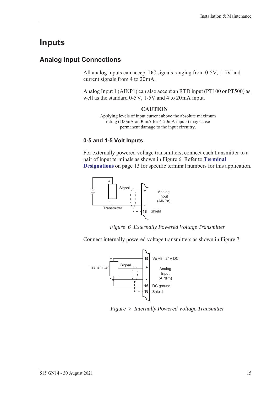# <span id="page-24-0"></span>**Inputs**

# <span id="page-24-1"></span>**Analog Input Connections**

All analog inputs can accept DC signals ranging from 0-5V, 1-5V and current signals from 4 to 20 mA.

Analog Input 1 (AINP1) can also accept an RTD input (PT100 or PT500) as well as the standard  $0-5V$ ,  $1-5V$  and  $4$  to  $20mA$  input.

#### **CAUTION**

Applying levels of input current above the absolute maximum rating (100mA or 30mA for 4-20mA inputs) may cause permanent damage to the input circuitry.

#### **0-5 and 1-5 Volt Inputs**

For externally powered voltage transmitters, connect each transmitter to a pair of input terminals as shown in [Figure 6.](#page-24-2) Refer to **[Terminal](#page-22-0)  [Designations](#page-22-0)** on page 13 for specific terminal numbers for this application.



*Figure 6 Externally Powered Voltage Transmitter*

<span id="page-24-2"></span>Connect internally powered voltage transmitters as shown in [Figure 7.](#page-24-3)



<span id="page-24-3"></span>*Figure 7 Internally Powered Voltage Transmitter*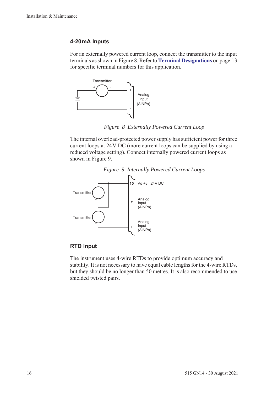#### **4-20 mA Inputs**

For an externally powered current loop, connect the transmitter to the input terminals as shown in [Figure 8](#page-25-0). Refer to **[Terminal Designations](#page-22-0)** on page 13 for specific terminal numbers for this application.



*Figure 8 Externally Powered Current Loop*

<span id="page-25-0"></span>The internal overload-protected power supply has sufficient power for three current loops at 24 V DC (more current loops can be supplied by using a reduced voltage setting). Connect internally powered current loops as shown in [Figure 9](#page-25-1).



<span id="page-25-1"></span>

#### **RTD Input**

The instrument uses 4-wire RTDs to provide optimum accuracy and stability. It is not necessary to have equal cable lengths for the 4-wire RTDs, but they should be no longer than 50 metres. It is also recommended to use shielded twisted pairs.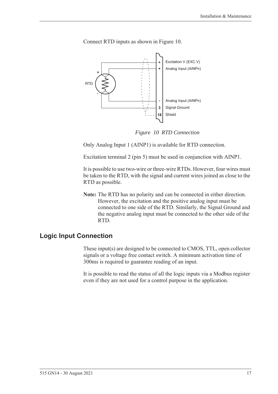

Connect RTD inputs as shown in [Figure 10.](#page-26-1)

*Figure 10 RTD Connection*

<span id="page-26-1"></span>Only Analog Input 1 (AINP1) is available for RTD connection.

Excitation terminal 2 (pin 5) must be used in conjunction with AINP1.

It is possible to use two-wire or three-wire RTDs. However, four wires must be taken to the RTD, with the signal and current wires joined as close to the RTD as possible.

**Note:** The RTD has no polarity and can be connected in either direction. However, the excitation and the positive analog input must be connected to one side of the RTD. Similarly, the Signal Ground and the negative analog input must be connected to the other side of the RTD.

### <span id="page-26-0"></span>**Logic Input Connection**

These input(s) are designed to be connected to CMOS, TTL, open collector signals or a voltage free contact switch. A minimum activation time of 300ms is required to guarantee reading of an input.

It is possible to read the status of all the logic inputs via a Modbus register even if they are not used for a control purpose in the application.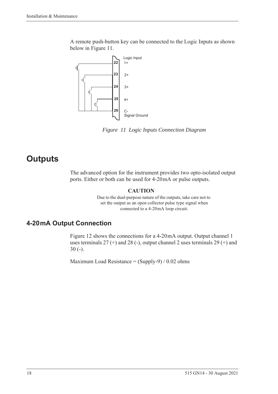A remote push-button key can be connected to the Logic Inputs as shown below in [Figure 11](#page-27-2).



<span id="page-27-2"></span>*Figure 11 Logic Inputs Connection Diagram*

# <span id="page-27-0"></span>**Outputs**

The advanced option for the instrument provides two opto-isolated output ports. Either or both can be used for 4-20 mA or pulse outputs.

#### **CAUTION**

Due to the dual-purpose nature of the outputs, take care not to set the output as an open collector pulse type signal when connected to a 4-20 mA loop circuit.

# <span id="page-27-1"></span>**4-20 mA Output Connection**

[Figure 12](#page-28-1) shows the connections for a 4-20 mA output. Output channel 1 uses terminals  $27 (+)$  and  $28 (-)$ , output channel 2 uses terminals  $29 (+)$  and 30 (-).

Maximum Load Resistance =  $(Supply-9) / 0.02$  ohms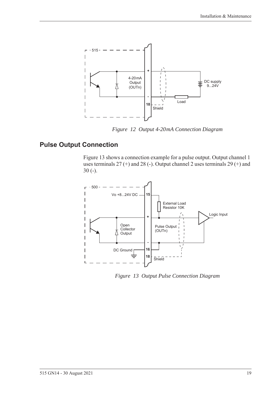

*Figure 12 Output 4-20 mA Connection Diagram*

# <span id="page-28-0"></span>**Pulse Output Connection**

<span id="page-28-1"></span>[Figure 13](#page-28-2) shows a connection example for a pulse output. Output channel 1 uses terminals 27 (+) and 28 (-). Output channel 2 uses terminals 29 (+) and 30 (-).



<span id="page-28-2"></span>*Figure 13 Output Pulse Connection Diagram*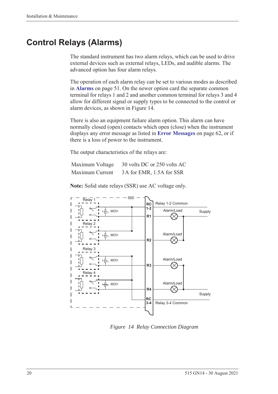# <span id="page-29-0"></span>**Control Relays (Alarms)**

The standard instrument has two alarm relays, which can be used to drive external devices such as external relays, LEDs, and audible alarms. The advanced option has four alarm relays.

The operation of each alarm relay can be set to various modes as described in **Alarms** [on page 51](#page-60-1). On the newer option card the separate common terminal for relays 1 and 2 and another common terminal for relays 3 and 4 allow for different signal or supply types to be connected to the control or alarm devices, as shown in [Figure 14.](#page-29-1)

There is also an equipment failure alarm option. This alarm can have normally closed (open) contacts which open (close) when the instrument displays any error message as listed in **[Error Messages](#page-71-2)** on page 62, or if there is a loss of power to the instrument.

The output characteristics of the relays are:

| Maximum Voltage | 30 volts DC or 250 volts AC |
|-----------------|-----------------------------|
| Maximum Current | 3A for EMR, 1.5A for SSR    |

**Note:** Solid state relays (SSR) use AC voltage only.



<span id="page-29-1"></span>*Figure 14 Relay Connection Diagram*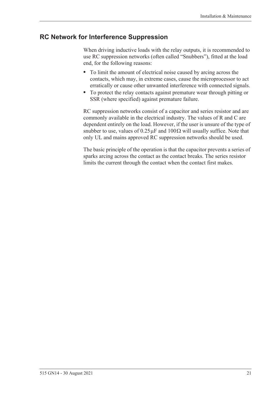## <span id="page-30-0"></span>**RC Network for Interference Suppression**

When driving inductive loads with the relay outputs, it is recommended to use RC suppression networks (often called "Snubbers"), fitted at the load end, for the following reasons:

- **•** To limit the amount of electrical noise caused by arcing across the contacts, which may, in extreme cases, cause the microprocessor to act erratically or cause other unwanted interference with connected signals.
- **•** To protect the relay contacts against premature wear through pitting or SSR (where specified) against premature failure.

RC suppression networks consist of a capacitor and series resistor and are commonly available in the electrical industry. The values of R and C are dependent entirely on the load. However, if the user is unsure of the type of snubber to use, values of  $0.25 \mu$ F and  $100 \Omega$  will usually suffice. Note that only UL and mains approved RC suppression networks should be used.

The basic principle of the operation is that the capacitor prevents a series of sparks arcing across the contact as the contact breaks. The series resistor limits the current through the contact when the contact first makes.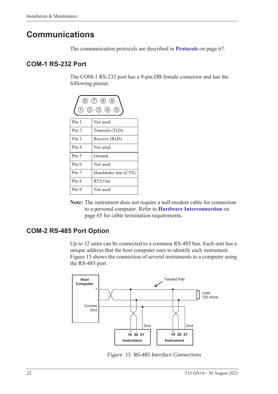# <span id="page-31-0"></span>**Communications**

The communication protocols are described in **Protocols** [on page 67.](#page-76-3)

## <span id="page-31-1"></span>**COM-1 RS-232 Port**

The COM-1 RS-232 port has a 9-pin DB female connector and has the following pinout:



**Note:** The instrument does not require a null-modem cable for connection to a personal computer. Refer to **[Hardware Interconnection](#page-74-4)** on [page 65](#page-74-4) for cable termination requirements.

# <span id="page-31-2"></span>**COM-2 RS-485 Port Option**

Up to 32 units can be connected to a common RS-485 bus. Each unit has a unique address that the host computer uses to identify each instrument. [Figure 15](#page-31-3) shows the connection of several instruments to a computer using the RS-485 port.



<span id="page-31-3"></span>*Figure 15 RS-485 Interface Connections*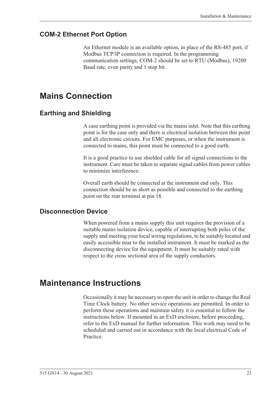## <span id="page-32-0"></span>**COM-2 Ethernet Port Option**

An Ethernet module is an available option, in place of the RS-485 port, if Modbus TCP/IP connection is required. In the programming communication settings, COM-2 should be set to RTU (Modbus), 19200 Baud rate, even parity and 1 stop bit.

# <span id="page-32-1"></span>**Mains Connection**

## <span id="page-32-2"></span>**Earthing and Shielding**

A case earthing point is provided via the mains inlet. Note that this earthing point is for the case only and there is electrical isolation between this point and all electronic circuits. For EMC purposes, or when the instrument is connected to mains, this point must be connected to a good earth.

It is a good practice to use shielded cable for all signal connections to the instrument. Care must be taken to separate signal cables from power cables to minimize interference.

Overall earth should be connected at the instrument end only. This connection should be as short as possible and connected to the earthing point on the rear terminal at pin 18.

### <span id="page-32-3"></span>**Disconnection Device**

When powered from a mains supply this unit requires the provision of a suitable mains isolation device, capable of interrupting both poles of the supply and meeting your local wiring regulations, to be suitably located and easily accessible near to the installed instrument. It must be marked as the disconnecting device for the equipment. It must be suitably rated with respect to the cross sectional area of the supply conductors.

# <span id="page-32-4"></span>**Maintenance Instructions**

Occasionally it may be necessary to open the unit in order to change the Real Time Clock battery. No other service operations are permitted. In order to perform these operations and maintain safety it is essential to follow the instructions below. If mounted in an ExD enclosure, before proceeding, refer to the ExD manual for further information. This work may need to be scheduled and carried out in accordance with the local electrical Code of Practice.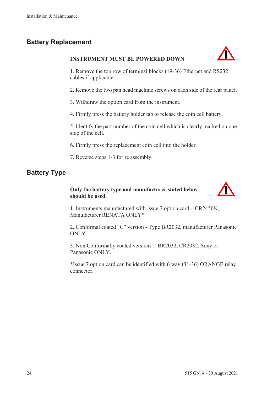# <span id="page-33-0"></span>**Battery Replacement**

#### **INSTRUMENT MUST BE POWERED DOWN**



1. Remove the top row of terminal blocks (19-36) Ethernet and RS232 cables if applicable.

2. Remove the two pan head machine screws on each side of the rear panel.

3. Withdraw the option card from the instrument.

4. Firmly press the battery holder tab to release the coin cell battery.

5. Identify the part number of the coin cell which is clearly marked on one side of the cell.

6. Firmly press the replacement coin cell into the holder

7. Reverse steps 1-3 for re assembly.

# <span id="page-33-1"></span>**Battery Type**

#### **Only the battery type and manufacturer stated below should be used.**



1. Instruments manufactured with issue 7 option card – CR2450N, Manufacturer RENATA ONLY\*

2. Conformal coated "C" version - Type BR2032, manufacturer Panasonic ONLY.

3. Non Conformally coated versions :- BR2032, CR2032, Sony or Panasonic ONLY.

\*Issue 7 option card can be identified with 6 way (31-36) ORANGE relay connector.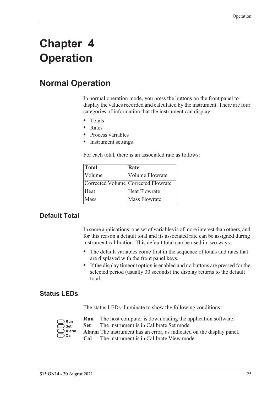# <span id="page-34-0"></span>**Chapter 4 Operation**

# <span id="page-34-1"></span>**Normal Operation**

In normal operation mode, you press the buttons on the front panel to display the values recorded and calculated by the instrument. There are four categories of information that the instrument can display:

- **•** Totals
- **•** Rates
- **•** Process variables
- **•** Instrument settings

For each total, there is an associated rate as follows:

| Total                       | Rate                                |
|-----------------------------|-------------------------------------|
| <i><u><b>Nolume</b></u></i> | <b>Volume Flowrate</b>              |
|                             | Corrected Volume Corrected Flowrate |
| Heat                        | <b>Heat Flowrate</b>                |
| Mass                        | <b>Mass Flowrate</b>                |

# <span id="page-34-2"></span>**Default Total**

In some applications, one set of variables is of more interest than others, and for this reason a default total and its associated rate can be assigned during instrument calibration. This default total can be used in two ways:

- **•** The default variables come first in the sequence of totals and rates that are displayed with the front panel keys.
- **•** If the display timeout option is enabled and no buttons are pressed for the selected period (usually 30 seconds) the display returns to the default total.

### <span id="page-34-3"></span>**Status LEDs**

The status LEDs illuminate to show the following conditions:

| Run   |
|-------|
| Set   |
| Alarm |
| Cal   |

- **Run** The host computer is downloading the application software.
- **Set** The instrument is in Calibrate Set mode.
- **Alarm** The instrument has an error, as indicated on the display panel.
	- **Cal** The instrument is in Calibrate View mode.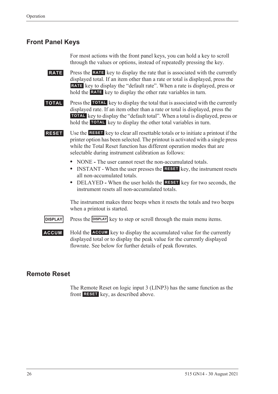## <span id="page-35-0"></span>**Front Panel Keys**

For most actions with the front panel keys, you can hold a key to scroll through the values or options, instead of repeatedly pressing the key.

**RATE** Press the **RATE** key to display the rate that is associated with the currently displayed total. If an item other than a rate or total is displayed, press the RATE key to display the "default rate". When a rate is displayed, press or hold the **RATE** key to display the other rate variables in turn.

**TOTAL** Press the TOTAL key to display the total that is associated with the currently displayed rate. If an item other than a rate or total is displayed, press the **TOTAL** key to display the "default total". When a total is displayed, press or hold the **TOTAL** key to display the other total variables in turn.

**RESET** Use the **RESET** key to clear all resettable totals or to initiate a printout if the printer option has been selected. The printout is activated with a single press while the Total Reset function has different operation modes that are selectable during instrument calibration as follows:

- NONE The user cannot reset the non-accumulated totals.
- INSTANT When the user presses the **RESET** key, the instrument resets all non-accumulated totals.
- DELAYED When the user holds the **RESET** key for two seconds, the instrument resets all non-accumulated totals.

The instrument makes three beeps when it resets the totals and two beeps when a printout is started.

**DISPLAY** Press the **DISPLAY** key to step or scroll through the main menu items.

**ACCUM** Hold the **ACCUM** key to display the accumulated value for the currently displayed total or to display the peak value for the currently displayed flowrate. See below for further details of peak flowrates.

# <span id="page-35-1"></span>**Remote Reset**

The Remote Reset on logic input 3 (LINP3) has the same function as the front **RESET** key, as described above.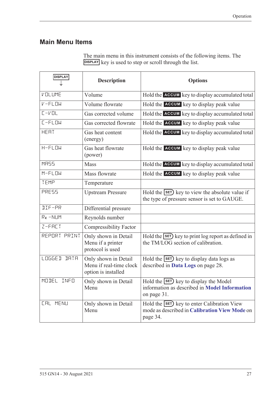# **Main Menu Items**

| The main menu in this instrument consists of the following items. The |  |
|-----------------------------------------------------------------------|--|
| DISPLAY key is used to step or scroll through the list.               |  |

| <b>DISPLAY</b>        | <b>Description</b>                                                     | <b>Options</b>                                                                                           |  |
|-----------------------|------------------------------------------------------------------------|----------------------------------------------------------------------------------------------------------|--|
| VOLUME                | Volume                                                                 | Hold the ACCUM key to display accumulated total                                                          |  |
| $V$ -FLOW             | Volume flowrate                                                        | Hold the ACCUM key to display peak value                                                                 |  |
| $L - VDL$             | Gas corrected volume                                                   | Hold the ACCUM key to display accumulated total                                                          |  |
| $L$ -FLOW             | Gas corrected flowrate                                                 | Hold the <b>ACCUM</b> key to display peak value                                                          |  |
| HERT                  | Gas heat content<br>(energy)                                           | Hold the ACCUM key to display accumulated total                                                          |  |
| $H-FLDW$              | Gas heat flowrate<br>(power)                                           | Hold the <b>ACCUM</b> key to display peak value                                                          |  |
| <b>MR55</b>           | Mass                                                                   | Hold the ACCUM key to display accumulated total                                                          |  |
| $M-FLDW$              | Mass flowrate                                                          | Hold the ACCUM key to display peak value                                                                 |  |
| TEMP                  | Temperature                                                            |                                                                                                          |  |
| PRESS                 | <b>Upstream Pressure</b>                                               | Hold the SET) key to view the absolute value if<br>the type of pressure sensor is set to GAUGE.          |  |
| <b>JIF-PR</b>         | Differential pressure                                                  |                                                                                                          |  |
| Re-NUM                | Reynolds number                                                        |                                                                                                          |  |
| $Z-FHCT$              | <b>Compressibility Factor</b>                                          |                                                                                                          |  |
| REPORT PRINT          | Only shown in Detail<br>Menu if a printer<br>protocol is used          | Hold the SET) key to print log report as defined in<br>the TM/LOG section of calibration.                |  |
| LOGGED<br><b>IRTR</b> | Only shown in Detail<br>Menu if real-time clock<br>option is installed | Hold the <b>SET</b> ) key to display data logs as<br>described in Data Logs on page 28.                  |  |
| MODEL<br>INFO         | Only shown in Detail<br>Menu                                           | Hold the SET key to display the Model<br>information as described in Model Information<br>on page 31.    |  |
| <b>CAL MENU</b>       | Only shown in Detail<br>Menu                                           | Hold the SET) key to enter Calibration View<br>mode as described in Calibration View Mode on<br>page 34. |  |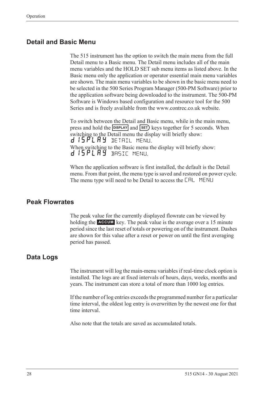### **Detail and Basic Menu**

The 515 instrument has the option to switch the main menu from the full Detail menu to a Basic menu. The Detail menu includes all of the main menu variables and the HOLD SET sub menu items as listed above. In the Basic menu only the application or operator essential main menu variables are shown. The main menu variables to be shown in the basic menu need to be selected in the 500 Series Program Manager (500-PM Software) prior to the application software being downloaded to the instrument. The 500-PM Software is Windows based configuration and resource tool for the 500 Series and is freely available from the www.contrec.co.uk website.

To switch between the Detail and Basic menu, while in the main menu, press and hold the **DISPLAY** and **SET**) keys together for 5 seconds. When switching to the Detail menu the display will briefly show: d 15 PL A Y DETAIL MENU. When switching to the Basic menu the display will briefly show: d 15PLAY BASIC MENU.

When the application software is first installed, the default is the Detail menu. From that point, the menu type is saved and restored on power cycle. The menu type will need to be Detail to access the CAL MENU

### **Peak Flowrates**

The peak value for the currently displayed flowrate can be viewed by holding the **ACCUM** key. The peak value is the average over a 15 minute period since the last reset of totals or powering on of the instrument. Dashes are shown for this value after a reset or power on until the first averaging period has passed.

#### <span id="page-37-0"></span>**Data Logs**

The instrument will log the main-menu variables if real-time clock option is installed. The logs are at fixed intervals of hours, days, weeks, months and years. The instrument can store a total of more than 1000 log entries.

If the number of log entries exceeds the programmed number for a particular time interval, the oldest log entry is overwritten by the newest one for that time interval.

Also note that the totals are saved as accumulated totals.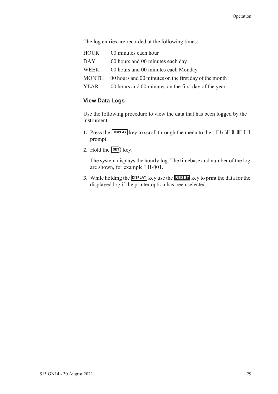The log entries are recorded at the following times:

HOUR 00 minutes each hour DAY 00 hours and 00 minutes each day WEEK 00 hours and 00 minutes each Monday MONTH 00 hours and 00 minutes on the first day of the month YEAR 00 hours and 00 minutes on the first day of the year.

#### **View Data Logs**

Use the following procedure to view the data that has been logged by the instrument:

- **1.** Press the **DISPLAY** key to scroll through the menu to the LOGGE D DATA prompt.
- **2.** Hold the  $\overline{\text{SET}}$  key.

The system displays the hourly log. The timebase and number of the log are shown, for example LH-001.

**3.** While holding the **DISPLAY** key use the **RESET** key to print the data for the displayed log if the printer option has been selected.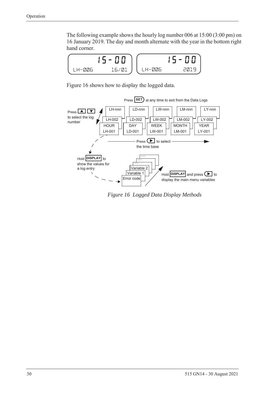The following example shows the hourly log number 006 at 15:00 (3:00 pm) on 16 January 2019. The day and month alternate with the year in the bottom right hand corner.



[Figure 16](#page-39-0) shows how to display the logged data.



<span id="page-39-0"></span>*Figure 16 Logged Data Display Methods*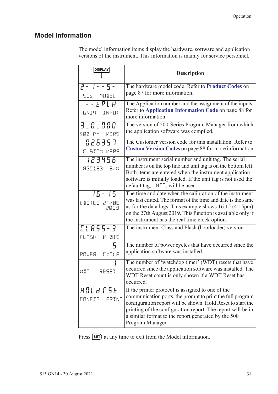# <span id="page-40-1"></span><span id="page-40-0"></span>**Model Information**

The model information items display the hardware, software and application versions of the instrument. This information is mainly for service personnel.

| <b>DISPLAY</b>                     | <b>Description</b>                                                                                                                                                                                                                                                                                                      |  |  |
|------------------------------------|-------------------------------------------------------------------------------------------------------------------------------------------------------------------------------------------------------------------------------------------------------------------------------------------------------------------------|--|--|
| $2 - 1 - 5 -$<br>SIS MODEL         | The hardware model code. Refer to Product Codes on<br>page 87 for more information.                                                                                                                                                                                                                                     |  |  |
| $  FPLH$<br>GN14 INPUT             | The Application number and the assignment of the inputs.<br>Refer to Application Information Code on page 88 for<br>more information.                                                                                                                                                                                   |  |  |
| 3.0.000<br>SØØ-PM VERS             | The version of 500-Series Program Manager from which<br>the application software was compiled.                                                                                                                                                                                                                          |  |  |
| 026357<br>CUSTOM VERS              | The Customer version code for this installation. Refer to<br>Custom Version Codes on page 88 for more information.                                                                                                                                                                                                      |  |  |
| 123456<br>RBE123 5/N               | The instrument serial number and unit tag. The serial<br>number is on the top line and unit tag is on the bottom left.<br>Both items are entered when the instrument application<br>software is initially loaded. If the unit tag is not used the<br>default tag, UNIT, will be used.                                   |  |  |
| $15 - 15$<br>EDITED 27/08<br>2019  | The time and date when the calibration of the instrument<br>was last edited. The format of the time and date is the same<br>as for the data logs. This example shows $16:15$ (4:15pm)<br>on the 27th August 2019. This function is available only if<br>the instrument has the real time clock option.                  |  |  |
| [LASS-3<br>FLASH V-019             | The instrument Class and Flash (bootloader) version.                                                                                                                                                                                                                                                                    |  |  |
| 5<br>POWER EYELE                   | The number of power cycles that have occurred since the<br>application software was installed.                                                                                                                                                                                                                          |  |  |
| WIT<br>RESET                       | The number of 'watchdog timer' (WDT) resets that have<br>occurred since the application software was installed. The<br>WDT Reset count is only shown if a WDT Reset has<br>occurred.                                                                                                                                    |  |  |
| HOLd.PSE<br><b>CONFIG</b><br>PRINT | If the printer protocol is assigned to one of the<br>communication ports, the prompt to print the full program<br>configuration report will be shown. Hold Reset to start the<br>printing of the configuration report. The report will be in<br>a similar format to the report generated by the 500<br>Program Manager. |  |  |

Press **SET**) at any time to exit from the Model information.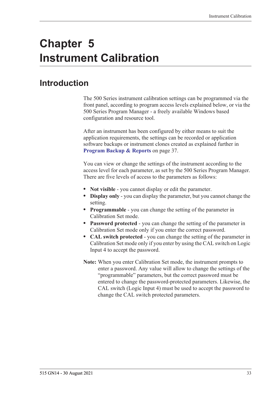# **Chapter 5 Instrument Calibration**

# **Introduction**

The 500 Series instrument calibration settings can be programmed via the front panel, according to program access levels explained below, or via the 500 Series Program Manager - a freely available Windows based configuration and resource tool.

After an instrument has been configured by either means to suit the application requirements, the settings can be recorded or application software backups or instrument clones created as explained further in **[Program Backup & Reports](#page-46-0)** on page 37.

You can view or change the settings of the instrument according to the access level for each parameter, as set by the 500 Series Program Manager. There are five levels of access to the parameters as follows:

- **• Not visible** you cannot display or edit the parameter.
- **• Display only** you can display the parameter, but you cannot change the setting.
- **• Programmable** you can change the setting of the parameter in Calibration Set mode.
- **• Password protected** you can change the setting of the parameter in Calibration Set mode only if you enter the correct password.
- **• CAL switch protected**  you can change the setting of the parameter in Calibration Set mode only if you enter by using the CAL switch on Logic Input 4 to accept the password.
- **Note:** When you enter Calibration Set mode, the instrument prompts to enter a password. Any value will allow to change the settings of the "programmable" parameters, but the correct password must be entered to change the password-protected parameters. Likewise, the CAL switch (Logic Input 4) must be used to accept the password to change the CAL switch protected parameters.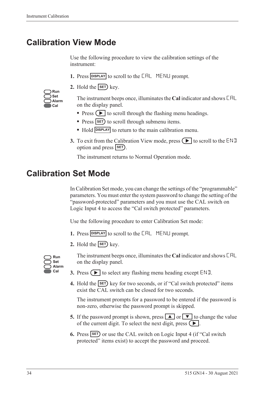# <span id="page-43-0"></span>**Calibration View Mode**

Use the following procedure to view the calibration settings of the instrument:

- 1. Press **DISPLAY** to scroll to the **CAL** MENLI prompt.
- **2.** Hold the  $\overline{\text{SET}}$  key.

| Run   |
|-------|
| Set   |
| Alarm |
| Cal   |

The instrument beeps once, illuminates the **Cal** indicator and shows CAL on the display panel.

- Press  $\left( \blacktriangleright \right)$  to scroll through the flashing menu headings.
- Press **SET** to scroll through submenu items.
- Hold **DISPLAY** to return to the main calibration menu.
- **3.** To exit from the Calibration View mode, press  $\Box$  to scroll to the END option and press **SET**).

The instrument returns to Normal Operation mode.

# **Calibration Set Mode**

In Calibration Set mode, you can change the settings of the "programmable" parameters. You must enter the system password to change the setting of the "password-protected" parameters and you must use the CAL switch on Logic Input 4 to access the "Cal switch protected" parameters.

Use the following procedure to enter Calibration Set mode:

- **1.** Press **DISPLAY** to scroll to the **CAL** MENLI prompt.
- **2.** Hold the  $\overline{\text{SET}}$  key.



The instrument beeps once, illuminates the **Cal** indicator and shows CAL on the display panel.

- **3.** Press  $\left( \blacktriangleright \right)$  to select any flashing menu heading except END.
- **4.** Hold the **SET** key for two seconds, or if "Cal switch protected" items exist the CAL switch can be closed for two seconds.

The instrument prompts for a password to be entered if the password is non-zero, otherwise the password prompt is skipped.

- **5.** If the password prompt is shown, press  $\boxed{\blacktriangle}$  or  $\boxed{\blacktriangledown}$  to change the value of the current digit. To select the next digit, press  $\left( \blacktriangleright \right)$ .
- **6.** Press **SET** or use the CAL switch on Logic Input 4 (if "Cal switch protected" items exist) to accept the password and proceed.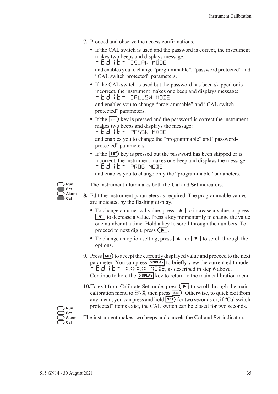- **7.** Proceed and observe the access confirmations.
	- **•** If the CAL switch is used and the password is correct, the instrument makes two beeps and displays message: - Ed IL - CS\_PW MODE

and enables you to change "programmable", "password protected" and "CAL switch protected" parameters.

**•** If the CAL switch is used but the password has been skipped or is incorrect, the instrument makes one beep and displays message: -EDIT- CAL\_SW MODE

and enables you to change "programmable" and "CAL switch protected" parameters.

• If the **SET**) key is pressed and the password is correct the instrument makes two beeps and displays the message:

 $-Ed$  it - PASSW MODE

and enables you to change the "programmable" and "passwordprotected" parameters.

• If the **SET**) key is pressed but the password has been skipped or is incorrect, the instrument makes one beep and displays the message: -EDIT- PROG MODE

and enables you to change only the "programmable" parameters.



The instrument illuminates both the **Cal** and **Set** indicators.

- **8.** Edit the instrument parameters as required. The programmable values are indicated by the flashing display.
	- To change a numerical value, press **A** to increase a value, or press  $\blacktriangledown$  to decrease a value. Press a key momentarily to change the value one number at a time. Hold a key to scroll through the numbers. To proceed to next digit, press  $( \blacktriangleright ).$
	- To change an option setting, press **A** or  $\bullet$  to scroll through the options.
- **9.** Press **SET** to accept the currently displayed value and proceed to the next parameter. You can press **DISPLAY** to briefly view the current edit mode:  $-Ed$   $E - \frac{2}{x}$  XXXXXX MODE, as described in step 6 above. Continue to hold the **DISPLAY** key to return to the main calibration menu.
- **10.**To exit from Calibrate Set mode, press  $\left( \blacktriangleright \right)$  to scroll through the main calibration menu to  $ENI$ , then press  $SET$ . Otherwise, to quick exit from any menu, you can press and hold **SET** for two seconds or, if "Cal switch protected" items exist, the CAL switch can be closed for two seconds.

**Run Set Alarm Cal**

The instrument makes two beeps and cancels the **Cal** and **Set** indicators.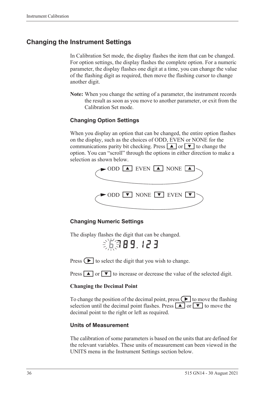### **Changing the Instrument Settings**

In Calibration Set mode, the display flashes the item that can be changed. For option settings, the display flashes the complete option. For a numeric parameter, the display flashes one digit at a time, you can change the value of the flashing digit as required, then move the flashing cursor to change another digit.

**Note:** When you change the setting of a parameter, the instrument records the result as soon as you move to another parameter, or exit from the Calibration Set mode.

#### **Changing Option Settings**

When you display an option that can be changed, the entire option flashes on the display, such as the choices of ODD, EVEN or NONE for the communications parity bit checking. Press  $\boxed{\blacktriangle}$  or  $\boxed{\blacktriangledown}$  to change the option. You can "scroll" through the options in either direction to make a selection as shown below.



#### **Changing Numeric Settings**

The display flashes the digit that can be changed.

第第89.123

Press  $\left( \blacktriangleright \right)$  to select the digit that you wish to change.

Press  $\boxed{\blacktriangle}$  or  $\boxed{\blacktriangledown}$  to increase or decrease the value of the selected digit.

#### **Changing the Decimal Point**

To change the position of the decimal point, press  $\Box$  to move the flashing selection until the decimal point flashes. Press  $\boxed{\blacktriangle}$  or  $\boxed{\blacktriangledown}$  to move the decimal point to the right or left as required.

#### **Units of Measurement**

The calibration of some parameters is based on the units that are defined for the relevant variables. These units of measurement can been viewed in the UNITS menu in the Instrument Settings section below.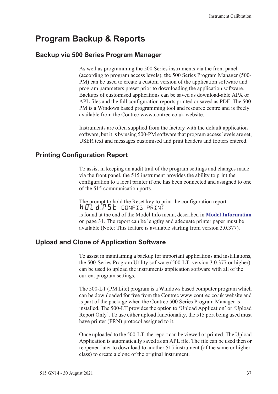# <span id="page-46-0"></span>**Program Backup & Reports**

### **Backup via 500 Series Program Manager**

As well as programming the 500 Series instruments via the front panel (according to program access levels), the 500 Series Program Manager (500- PM) can be used to create a custom version of the application software and program parameters preset prior to downloading the application software. Backups of customised applications can be saved as download-able APX or APL files and the full configuration reports printed or saved as PDF. The 500- PM is a Windows based programming tool and resource centre and is freely available from the Contrec www.contrec.co.uk website.

Instruments are often supplied from the factory with the default application software, but it is by using 500-PM software that program access levels are set, USER text and messages customised and print headers and footers entered.

### **Printing Configuration Report**

To assist in keeping an audit trail of the program settings and changes made via the front panel, the 515 instrument provides the ability to print the configuration to a local printer if one has been connected and assigned to one of the 515 communication ports.

The prompt to hold the Reset key to print the configuration report HOLd:P5E config print is found at the end of the Model Info menu, described in **[Model Information](#page-40-1)** [on page 31](#page-40-1). The report can be lengthy and adequate printer paper must be available (Note: This feature is available starting from version 3.0.377).

### **Upload and Clone of Application Software**

To assist in maintaining a backup for important applications and installations, the 500-Series Program Utility software (500-LT, version 3.0.377 or higher) can be used to upload the instruments application software with all of the current program settings.

The 500-LT (PM Lite) program is a Windows based computer program which can be downloaded for free from the Contrec www.contrec.co.uk website and is part of the package when the Contrec 500 Series Program Manager is installed. The 500-LT provides the option to 'Upload Application' or 'Upload Report Only'. To use either upload functionality, the 515 port being used must have printer (PRN) protocol assigned to it.

Once uploaded to the 500-LT, the report can be viewed or printed. The Upload Application is automatically saved as an APL file. The file can be used then or reopened later to download to another 515 instrument (of the same or higher class) to create a clone of the original instrument.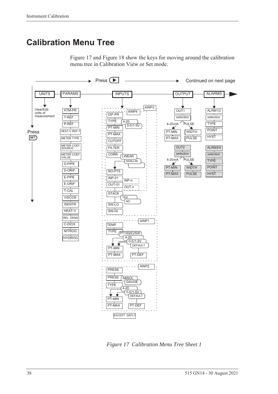# **Calibration Menu Tree**





<span id="page-47-0"></span>*Figure 17 Calibration Menu Tree Sheet 1*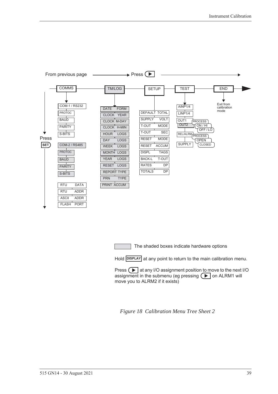

The shaded boxes indicate hardware options

Hold **DISPLAY** at any point to return to the main calibration menu.

Press  $\Box$  at any I/O assignment position to move to the next I/O assignment in the submenu (eg pressing  $\left( \blacktriangleright \right)$  on ALRM1 will move you to ALRM2 if it exists)

<span id="page-48-0"></span>*Figure 18 Calibration Menu Tree Sheet 2*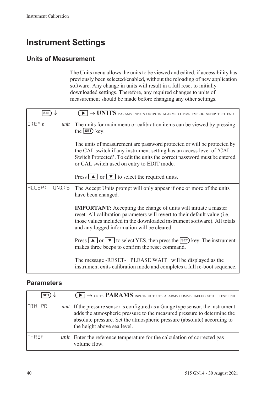# **Instrument Settings**

# **Units of Measurement**

The Units menu allows the units to be viewed and edited, if accessibility has previously been selected/enabled, without the reloading of new application software. Any change in units will result in a full reset to initially downloaded settings. Therefore, any required changes to units of measurement should be made before changing any other settings.

| <b>SET</b>             | $\blacktriangleright$ $\rightarrow$ UNITS params inputs outputs alarms comms tm/log setup test end                                                                                                                                                                              |  |  |
|------------------------|---------------------------------------------------------------------------------------------------------------------------------------------------------------------------------------------------------------------------------------------------------------------------------|--|--|
| ITEMn<br>unit          | The units for main menu or calibration items can be viewed by pressing<br>the $\left  \text{set} \right $ key.                                                                                                                                                                  |  |  |
|                        | The units of measurement are password protected or will be protected by<br>the CAL switch if any instrument setting has an access level of 'CAL<br>Switch Protected'. To edit the units the correct password must be entered<br>or CAL switch used on entry to EDIT mode.       |  |  |
|                        | Press $\boxed{\blacktriangle}$ or $\boxed{\blacktriangledown}$ to select the required units.                                                                                                                                                                                    |  |  |
| <b>ACCEPT</b><br>UNIT5 | The Accept Units prompt will only appear if one or more of the units<br>have been changed.                                                                                                                                                                                      |  |  |
|                        | <b>IMPORTANT:</b> Accepting the change of units will initiate a master<br>reset. All calibration parameters will revert to their default value (i.e.<br>those values included in the downloaded instrument software). All totals<br>and any logged information will be cleared. |  |  |
|                        | Press $\Box$ or $\nabla$ to select YES, then press the <b>SET</b> ) key. The instrument<br>makes three beeps to confirm the reset command.                                                                                                                                      |  |  |
|                        | The message -RESET- PLEASE WAIT will be displayed as the<br>instrument exits calibration mode and completes a full re-boot sequence.                                                                                                                                            |  |  |

### **Parameters**

| <b>SET</b> |      | $\left(\blacktriangleright\right)\rightarrow$ units <b>PARAMS</b> inputs outputs alarms comms tm/log setup test end                                                                                                                                                          |
|------------|------|------------------------------------------------------------------------------------------------------------------------------------------------------------------------------------------------------------------------------------------------------------------------------|
| IATM-PR    |      | <i>unit</i> If the pressure sensor is configured as a Gauge type sensor, the instrument<br>adds the atmospheric pressure to the measured pressure to determine the<br>absolute pressure. Set the atmospheric pressure (absolute) according to<br>the height above sea level. |
| $T-REF$    | unit | Enter the reference temperature for the calculation of corrected gas<br>volume flow.                                                                                                                                                                                         |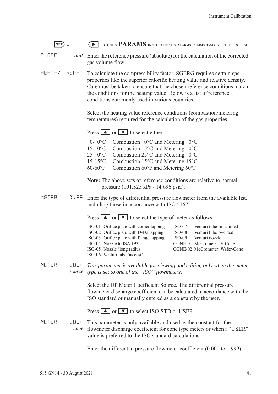| SET)                           | $\blacktriangleright$ $\rightarrow$ units PARAMS inputs outputs alarms comms tm/log setup test end                                                                                                                                                                                                                                                                                                    |  |  |  |
|--------------------------------|-------------------------------------------------------------------------------------------------------------------------------------------------------------------------------------------------------------------------------------------------------------------------------------------------------------------------------------------------------------------------------------------------------|--|--|--|
| P-REF<br>unit                  | Enter the reference pressure (absolute) for the calculation of the corrected<br>gas volume flow.                                                                                                                                                                                                                                                                                                      |  |  |  |
| HEAT-V<br>$REF-T$              | To calculate the compressibility factor, SGERG requires certain gas<br>properties like the superior calorific heating value and relative density.<br>Care must be taken to ensure that the chosen reference conditions match<br>the conditions for the heating value. Below is a list of reference<br>conditions commonly used in various countries.                                                  |  |  |  |
|                                | Select the heating value reference conditions (combustion/metering<br>temperatures) required for the calculation of the gas properties.                                                                                                                                                                                                                                                               |  |  |  |
|                                | Press $\Box$ or $\nabla$ to select either:                                                                                                                                                                                                                                                                                                                                                            |  |  |  |
|                                | $0 - 0$ °C<br>Combustion $0^{\circ}$ C and Metering<br>$0^{\circ}$ C<br>15- $0^{\circ}$ C<br>Combustion $15^{\circ}$ C and Metering $0^{\circ}$ C<br>$25 - 0$ °C<br>Combustion $25^{\circ}$ C and Metering $0^{\circ}$ C<br>$15-15$ °C<br>Combustion 15°C and Metering 15°C<br>$60-60$ °F<br>Combustion 60°F and Metering 60°F                                                                        |  |  |  |
|                                | Note: The above sets of reference conditions are relative to normal<br>pressure (101.325 kPa / 14.696 psia).                                                                                                                                                                                                                                                                                          |  |  |  |
| METER<br><b>TYPE</b>           | Enter the type of differential pressure flowmeter from the available list,<br>including those in accordance with ISO 5167.                                                                                                                                                                                                                                                                            |  |  |  |
|                                | Press $\Box$ or $\nabla$ to select the type of meter as follows:                                                                                                                                                                                                                                                                                                                                      |  |  |  |
|                                | ISO-01 Orifice plate with corner tapping<br>$ISO-07$<br>Venturi tube 'machined'<br>ISO-02 Orifice plate with D-D2 tapping<br>$ISO-08$<br>Venturi tube 'welded'<br>Venturi nozzle<br>ISO-03 Orifice plate with flange tapping<br>$ISO-09$<br>ISO-04 Nozzle to ISA 1932<br>CONE-01 McCrometer: V-Cone<br>ISO-05 Nozzle 'long radius'<br>CONE-02 McCrometer: Wafer-Cone<br>ISO-06 Venturi tube 'as cast' |  |  |  |
| METER<br><b>COEF</b><br>source | This parameter is available for viewing and editing only when the meter<br>type is set to one of the "ISO" flowmeters.                                                                                                                                                                                                                                                                                |  |  |  |
|                                | Select the DP Meter Coefficient Source. The differential pressure<br>flowmeter discharge coefficient can be calculated in accordance with the<br>ISO standard or manually entered as a constant by the user.                                                                                                                                                                                          |  |  |  |
|                                | Press $\Delta$ or $\nabla$ to select ISO-STD or USER.                                                                                                                                                                                                                                                                                                                                                 |  |  |  |
| METER<br><b>COEF</b><br>value  | This parameter is only available and used as the constant for the<br>flowmeter discharge coefficient for cone type meters or when a "USER"<br>value is preferred to the ISO standard calculations.                                                                                                                                                                                                    |  |  |  |
|                                | Enter the differential pressure flowmeter coefficient $(0.000 \text{ to } 1.999)$ .                                                                                                                                                                                                                                                                                                                   |  |  |  |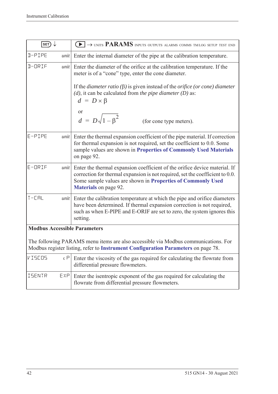| SET)                                |      | $\rightarrow$ units PARAMS inputs outputs alarms comms tm/log setup test end<br>$\blacktriangleright$ 1                                                                                                                                                    |  |  |
|-------------------------------------|------|------------------------------------------------------------------------------------------------------------------------------------------------------------------------------------------------------------------------------------------------------------|--|--|
| D-PIPE                              | unit | Enter the internal diameter of the pipe at the calibration temperature.                                                                                                                                                                                    |  |  |
| D-ORIF                              | unit | Enter the diameter of the orifice at the calibration temperature. If the<br>meter is of a "cone" type, enter the cone diameter.                                                                                                                            |  |  |
|                                     |      | If the <i>diameter ratio</i> ( $\beta$ ) is given instead of the <i>orifice</i> ( <i>or cone</i> ) <i>diameter</i><br>$(d)$ , it can be calculated from the pipe diameter $(D)$ as:<br>$d = D \times \beta$                                                |  |  |
|                                     |      | <sub>or</sub><br>$d = D\sqrt{1-\beta^2}$<br>(for cone type meters).                                                                                                                                                                                        |  |  |
| $E-PIPE$                            | unit | Enter the thermal expansion coefficient of the pipe material. If correction<br>for thermal expansion is not required, set the coefficient to 0.0. Some<br>sample values are shown in Properties of Commonly Used Materials<br>on page 92.                  |  |  |
| $E$ -ORIF                           | unit | Enter the thermal expansion coefficient of the orifice device material. If<br>correction for thermal expansion is not required, set the coefficient to 0.0.<br>Some sample values are shown in Properties of Commonly Used<br><b>Materials</b> on page 92. |  |  |
| $T - L H$                           | unit | Enter the calibration temperature at which the pipe and orifice diameters<br>have been determined. If thermal expansion correction is not required,<br>such as when E-PIPE and E-ORIF are set to zero, the system ignores this<br>setting.                 |  |  |
| <b>Modbus Accessible Parameters</b> |      |                                                                                                                                                                                                                                                            |  |  |
|                                     |      | The following PARAMS menu items are also accessible via Modbus communications. For<br>Modbus register listing, refer to Instrument Configuration Parameters on page 78.                                                                                    |  |  |
| VISEOS                              | εP   | Enter the viscosity of the gas required for calculating the flowrate from<br>differential pressure flowmeters.                                                                                                                                             |  |  |
| <b>ISENTR</b>                       | EXP  | Enter the isentropic exponent of the gas required for calculating the<br>flowrate from differential pressure flowmeters.                                                                                                                                   |  |  |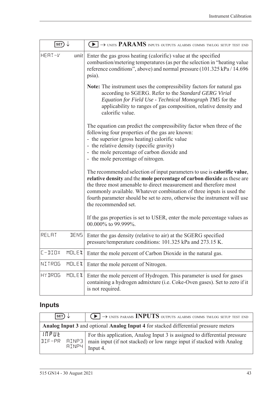| SET)                    |       | $\blacktriangleright$ $\rightarrow$ units PARAMS inputs outputs alarms comms tm/log setup test end                                                                                                                                                                                                                                                                                                                                                                                        |
|-------------------------|-------|-------------------------------------------------------------------------------------------------------------------------------------------------------------------------------------------------------------------------------------------------------------------------------------------------------------------------------------------------------------------------------------------------------------------------------------------------------------------------------------------|
| HERT-V<br>unit          |       | Enter the gas gross heating (calorific) value at the specified<br>combustion/metering temperatures (as per the selection in "heating value"<br>reference conditions", above) and normal pressure (101.325 kPa / 14.696<br>psia).                                                                                                                                                                                                                                                          |
|                         |       | <b>Note:</b> The instrument uses the compressibility factors for natural gas<br>according to SGERG. Refer to the Standard GERG Virial<br>Equation for Field Use - Technical Monograph TM5 for the<br>applicability to ranges of gas composition, relative density and<br>calorific value.                                                                                                                                                                                                 |
|                         |       | The equation can predict the compressibility factor when three of the<br>following four properties of the gas are known:<br>- the superior (gross heating) calorific value<br>- the relative density (specific gravity)<br>- the mole percentage of carbon dioxide and<br>- the mole percentage of nitrogen.                                                                                                                                                                              |
|                         |       | The recommended selection of input parameters to use is <b>calorific value</b> ,<br>relative density and the mole percentage of carbon dioxide as these are<br>the three most amenable to direct measurement and therefore most<br>commonly available. Whatever combination of three inputs is used the<br>fourth parameter should be set to zero, otherwise the instrument will use<br>the recommended set.<br>If the gas properties is set to USER, enter the mole percentage values as |
|                         |       | 00.000% to 99.999%.                                                                                                                                                                                                                                                                                                                                                                                                                                                                       |
| RELAT                   | JENS. | Enter the gas density (relative to air) at the SGERG specified<br>pressure/temperature conditions: 101.325 kPa and 273.15 K.                                                                                                                                                                                                                                                                                                                                                              |
| $L - IIOX$<br>MOLEX     |       | Enter the mole percent of Carbon Dioxide in the natural gas.                                                                                                                                                                                                                                                                                                                                                                                                                              |
| NITROG<br>MOLEX         |       | Enter the mole percent of Nitrogen.                                                                                                                                                                                                                                                                                                                                                                                                                                                       |
| <b>HY JROG</b><br>MOLEX |       | Enter the mole percent of Hydrogen. This parameter is used for gases<br>containing a hydrogen admixture (i.e. Coke-Oven gases). Set to zero if it<br>is not required.                                                                                                                                                                                                                                                                                                                     |

# **Inputs**

| $ $ SET $)\downarrow$  |       | $\left(\rightarrow\right)$ $\rightarrow$ UNITS PARAMS <b>INPUTS</b> outputs alarms comms tm/log setup test end                                                 |
|------------------------|-------|----------------------------------------------------------------------------------------------------------------------------------------------------------------|
|                        |       | <b>Analog Input 3 and optional Analog Input 4 for stacked differential pressure meters</b>                                                                     |
| INPUE<br>IIIF-PR AINP3 | HINPH | For this application, Analog Input 3 is assigned to differential pressure<br>main input (if not stacked) or low range input if stacked with Analog<br>Input 4. |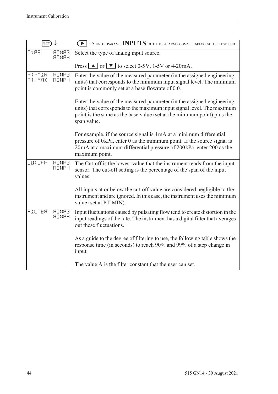| SET)             |                              | $\textcolor{blue}{\blacktriangleright} \rightarrow$ units params INPUTS outputs alarms comms tm/log setup test end                                                                                                                         |  |  |
|------------------|------------------------------|--------------------------------------------------------------------------------------------------------------------------------------------------------------------------------------------------------------------------------------------|--|--|
| TYPE             | <b>AINP3</b><br><b>AINP4</b> | Select the type of analog input source.                                                                                                                                                                                                    |  |  |
|                  |                              | Press $\boxed{\blacktriangle}$ or $\boxed{\blacktriangledown}$ to select 0-5V, 1-5V or 4-20 mA.                                                                                                                                            |  |  |
| PT-MIN<br>PT-MRX | <b>AINP3</b><br><b>AINP4</b> | Enter the value of the measured parameter (in the assigned engineering<br>units) that corresponds to the minimum input signal level. The minimum<br>point is commonly set at a base flowrate of 0.0.                                       |  |  |
|                  |                              | Enter the value of the measured parameter (in the assigned engineering<br>units) that corresponds to the maximum input signal level. The maximum<br>point is the same as the base value (set at the minimum point) plus the<br>span value. |  |  |
|                  |                              | For example, if the source signal is 4mA at a minimum differential<br>pressure of 0kPa, enter 0 as the minimum point. If the source signal is<br>20mA at a maximum differential pressure of 200kPa, enter 200 as the<br>maximum point.     |  |  |
| CUTOFF           | <b>AINP3</b><br><b>AINP4</b> | The Cut-off is the lowest value that the instrument reads from the input<br>sensor. The cut-off setting is the percentage of the span of the input<br>values.                                                                              |  |  |
|                  |                              | All inputs at or below the cut-off value are considered negligible to the<br>instrument and are ignored. In this case, the instrument uses the minimum<br>value (set at PT-MIN).                                                           |  |  |
| FILTER           | <b>AINP3</b><br><b>AINP4</b> | Input fluctuations caused by pulsating flow tend to create distortion in the<br>input readings of the rate. The instrument has a digital filter that averages<br>out these fluctuations.                                                   |  |  |
|                  |                              | As a guide to the degree of filtering to use, the following table shows the<br>response time (in seconds) to reach 90% and 99% of a step change in<br>input.                                                                               |  |  |
|                  |                              | The value A is the filter constant that the user can set.                                                                                                                                                                                  |  |  |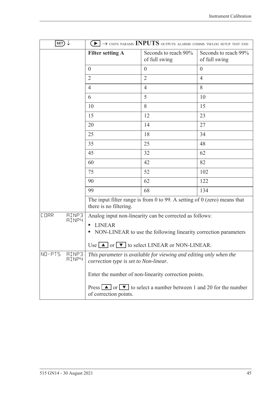| $\ket{\texttt{SET}} \downarrow$             |                                                                                                                                            | $\blacktriangleright$ $\rightarrow$ units params INPUTS outputs alarms comms tm/log setup test end         |                                       |  |  |
|---------------------------------------------|--------------------------------------------------------------------------------------------------------------------------------------------|------------------------------------------------------------------------------------------------------------|---------------------------------------|--|--|
|                                             | <b>Filter setting A</b>                                                                                                                    | Seconds to reach 90%<br>of full swing                                                                      | Seconds to reach 99%<br>of full swing |  |  |
|                                             | $\overline{0}$                                                                                                                             | $\theta$                                                                                                   | $\theta$                              |  |  |
|                                             | $\overline{2}$                                                                                                                             | $\overline{2}$                                                                                             | $\overline{4}$                        |  |  |
|                                             | 4                                                                                                                                          | $\overline{4}$                                                                                             | 8                                     |  |  |
|                                             | 6                                                                                                                                          | 5                                                                                                          | 10                                    |  |  |
|                                             | 10                                                                                                                                         | 8                                                                                                          | 15                                    |  |  |
|                                             | 15                                                                                                                                         | 12                                                                                                         | 23                                    |  |  |
|                                             | 20                                                                                                                                         | 14                                                                                                         | 27                                    |  |  |
|                                             | 25                                                                                                                                         | 18                                                                                                         | 34                                    |  |  |
|                                             | 35                                                                                                                                         | 25                                                                                                         | 48                                    |  |  |
|                                             | 45                                                                                                                                         | 32                                                                                                         | 62                                    |  |  |
|                                             | 60                                                                                                                                         | 42                                                                                                         | 82                                    |  |  |
|                                             | 75                                                                                                                                         | 52                                                                                                         | 102                                   |  |  |
|                                             | 90                                                                                                                                         | 62                                                                                                         | 122                                   |  |  |
|                                             | 99                                                                                                                                         | 68                                                                                                         | 134                                   |  |  |
|                                             | there is no filtering.                                                                                                                     | The input filter range is from 0 to 99. A setting of $0$ (zero) means that                                 |                                       |  |  |
| <b>AINP3</b><br><b>CORR</b><br><b>AINP4</b> |                                                                                                                                            | Analog input non-linearity can be corrected as follows:                                                    |                                       |  |  |
|                                             | <b>LINEAR</b>                                                                                                                              |                                                                                                            |                                       |  |  |
|                                             | NON-LINEAR to use the following linearity correction parameters                                                                            |                                                                                                            |                                       |  |  |
|                                             |                                                                                                                                            | Use $\Box$ or $\nabla$ to select LINEAR or NON-LINEAR.                                                     |                                       |  |  |
| NO-PIS<br><b>AINP3</b><br><b>AINP4</b>      |                                                                                                                                            | This parameter is available for viewing and editing only when the<br>correction type is set to Non-linear. |                                       |  |  |
|                                             | Enter the number of non-linearity correction points.                                                                                       |                                                                                                            |                                       |  |  |
|                                             | Press $\boxed{\blacktriangle}$ or $\boxed{\blacktriangledown}$ to select a number between 1 and 20 for the number<br>of correction points. |                                                                                                            |                                       |  |  |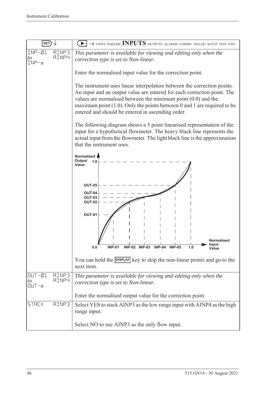| <b>SET</b>                                                          | $\rightarrow$ units params INPUTS outputs alarms comms tm/log setup test end                                                                                                                                                                                                                                                                             |
|---------------------------------------------------------------------|----------------------------------------------------------------------------------------------------------------------------------------------------------------------------------------------------------------------------------------------------------------------------------------------------------------------------------------------------------|
| INP-01<br>RINP3<br><b>AINP4</b><br>to<br>$INP - n$                  | This parameter is available for viewing and editing only when the<br>correction type is set to Non-linear.                                                                                                                                                                                                                                               |
|                                                                     | Enter the normalised input value for the correction point.                                                                                                                                                                                                                                                                                               |
|                                                                     | The instrument uses linear interpolation between the correction points.<br>An input and an output value are entered for each correction point. The<br>values are normalised between the minimum point $(0.0)$ and the<br>maximum point $(1.0)$ . Only the points between 0 and 1 are required to be<br>entered and should be entered in ascending order. |
|                                                                     | The following diagram shows a 5 point linearised representation of the<br>input for a hypothetical flowmeter. The heavy black line represents the<br>actual input from the flowmeter. The light black line is the approximation<br>that the instrument uses.                                                                                             |
|                                                                     | Normalised<br>Output<br>1.0<br>Value                                                                                                                                                                                                                                                                                                                     |
|                                                                     | <b>OUT-05</b><br>OUT-04                                                                                                                                                                                                                                                                                                                                  |
|                                                                     | <b>OUT-03</b><br><b>OUT-02</b>                                                                                                                                                                                                                                                                                                                           |
|                                                                     | <b>OUT-01</b>                                                                                                                                                                                                                                                                                                                                            |
|                                                                     | <b>Normalised</b><br>Input<br><b>INP-02 INP-03</b><br>$INP-04$<br><b>INP-05</b><br><b>INP-01</b><br>1.0<br>0.0                                                                                                                                                                                                                                           |
|                                                                     | You can hold the <b>DISPLAY</b> key to skip the non-linear points and go to the<br>next item.                                                                                                                                                                                                                                                            |
| $OUT-21$<br><b>AINP3</b><br><b>AINP4</b><br>to<br>$[[] \cup T - n]$ | This parameter is available for viewing and editing only when the<br>correction type is set to Non-linear.                                                                                                                                                                                                                                               |
|                                                                     | Enter the normalised output value for the correction point.                                                                                                                                                                                                                                                                                              |
| <b>AINP3</b><br><b>STACK</b>                                        | Select YES to stack AINP3 as the low range input with AINP4 as the high<br>range input.                                                                                                                                                                                                                                                                  |
|                                                                     | Select NO to use AINP3 as the only flow input.                                                                                                                                                                                                                                                                                                           |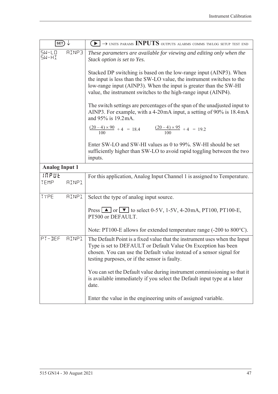| $ $ SET                                                     | $\blacktriangleright$ $\rightarrow$ units params INPUTS outputs alarms comms tm/log setup test end                                                                                                                                                                                   |
|-------------------------------------------------------------|--------------------------------------------------------------------------------------------------------------------------------------------------------------------------------------------------------------------------------------------------------------------------------------|
| <b>AINP3</b><br>$5W - L$ <sup><math>0</math></sup><br>SW-HI | These parameters are available for viewing and editing only when the<br>Stack option is set to Yes.                                                                                                                                                                                  |
|                                                             | Stacked DP switching is based on the low-range input (AINP3). When<br>the input is less than the SW-LO value, the instrument switches to the<br>low-range input (AINP3). When the input is greater than the SW-HI<br>value, the instrument switches to the high-range input (AINP4). |
|                                                             | The switch settings are percentages of the span of the unadjusted input to<br>AINP3. For example, with a 4-20mA input, a setting of 90% is 18.4mA<br>and 95% is 19.2 mA.                                                                                                             |
|                                                             | $\frac{(20-4)\times 90}{100} + 4 = 18.4$ $\frac{(20-4)\times 95}{100} + 4 = 19.2$                                                                                                                                                                                                    |
|                                                             | Enter SW-LO and SW-HI values as 0 to 99%. SW-HI should be set<br>sufficiently higher than SW-LO to avoid rapid toggling between the two<br>inputs.                                                                                                                                   |
| <b>Analog Input 1</b>                                       |                                                                                                                                                                                                                                                                                      |
| INPUE<br>TEMP<br><b>AINP1</b>                               | For this application, Analog Input Channel 1 is assigned to Temperature.                                                                                                                                                                                                             |
| TYPE<br><b>AINP1</b>                                        | Select the type of analog input source.                                                                                                                                                                                                                                              |
|                                                             | Press $\blacksquare$ or $\blacksquare$ to select 0-5V, 1-5V, 4-20mA, PT100, PT100-E,<br>PT500 or DEFAULT.                                                                                                                                                                            |
|                                                             | Note: PT100-E allows for extended temperature range (-200 to 800°C).                                                                                                                                                                                                                 |
| PT-DEF<br><b>AINP1</b>                                      | The Default Point is a fixed value that the instrument uses when the Input<br>Type is set to DEFAULT or Default Value On Exception has been<br>chosen. You can use the Default value instead of a sensor signal for<br>testing purposes, or if the sensor is faulty.                 |
|                                                             | You can set the Default value during instrument commissioning so that it<br>is available immediately if you select the Default input type at a later<br>date.                                                                                                                        |
|                                                             | Enter the value in the engineering units of assigned variable.                                                                                                                                                                                                                       |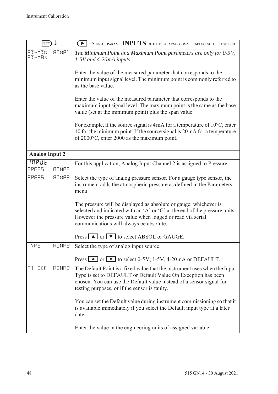| SET                   |              | $\blacktriangleright$ $\rightarrow$ units params INPUTS outputs alarms comms tmlog setup test end                                                                                                                                                                    |
|-----------------------|--------------|----------------------------------------------------------------------------------------------------------------------------------------------------------------------------------------------------------------------------------------------------------------------|
| PT-MIN<br>PT-MRX      | AINP1        | The Minimum Point and Maximum Point parameters are only for 0-5V,<br>$1-5V$ and 4-20mA inputs.                                                                                                                                                                       |
|                       |              | Enter the value of the measured parameter that corresponds to the<br>minimum input signal level. The minimum point is commonly referred to<br>as the base value.                                                                                                     |
|                       |              | Enter the value of the measured parameter that corresponds to the<br>maximum input signal level. The maximum point is the same as the base<br>value (set at the minimum point) plus the span value.                                                                  |
|                       |              | For example, if the source signal is $4mA$ for a temperature of $10^{\circ}$ C, enter<br>10 for the minimum point. If the source signal is 20 mA for a temperature<br>of 2000°C, enter 2000 as the maximum point.                                                    |
| <b>Analog Input 2</b> |              |                                                                                                                                                                                                                                                                      |
| <b>INPUE</b><br>PRESS | <b>AINP2</b> | For this application, Analog Input Channel 2 is assigned to Pressure.                                                                                                                                                                                                |
| PRESS                 | <b>AINP2</b> | Select the type of analog pressure sensor. For a gauge type sensor, the<br>instrument adds the atmospheric pressure as defined in the Parameters<br>menu.                                                                                                            |
|                       |              | The pressure will be displayed as absolute or gauge, whichever is<br>selected and indicated with an 'A' or 'G' at the end of the pressure units.<br>However the pressure value when logged or read via serial<br>communications will always be absolute.             |
|                       |              | Press $\boxed{\blacktriangle}$ or $\boxed{\blacktriangledown}$ to select ABSOL or GAUGE.                                                                                                                                                                             |
| TYPE                  | SANTR        | Select the type of analog input source.                                                                                                                                                                                                                              |
|                       |              | Press $\Box$ or $\nabla$ to select 0-5V, 1-5V, 4-20mA or DEFAULT.                                                                                                                                                                                                    |
| PT-DEF                | <b>AINP2</b> | The Default Point is a fixed value that the instrument uses when the Input<br>Type is set to DEFAULT or Default Value On Exception has been<br>chosen. You can use the Default value instead of a sensor signal for<br>testing purposes, or if the sensor is faulty. |
|                       |              | You can set the Default value during instrument commissioning so that it<br>is available immediately if you select the Default input type at a later<br>date.                                                                                                        |
|                       |              | Enter the value in the engineering units of assigned variable.                                                                                                                                                                                                       |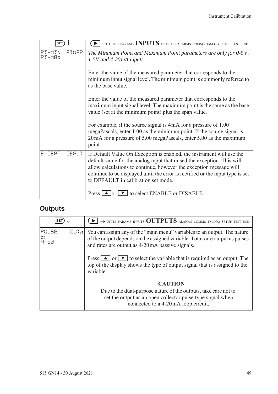| <b>SET</b>                       | $\rightarrow$ UNITS PARAMS INPUTS OUTPUTS ALARMS COMMS TM/LOG SETUP TEST END                                                                                                                                                                                                                                                                    |
|----------------------------------|-------------------------------------------------------------------------------------------------------------------------------------------------------------------------------------------------------------------------------------------------------------------------------------------------------------------------------------------------|
| PT-MIN<br><b>AINP2</b><br>PT-MAX | The Minimum Point and Maximum Point parameters are only for 0-5V,<br>$1-5V$ and 4-20mA inputs.                                                                                                                                                                                                                                                  |
|                                  | Enter the value of the measured parameter that corresponds to the<br>minimum input signal level. The minimum point is commonly referred to<br>as the base value.                                                                                                                                                                                |
|                                  | Enter the value of the measured parameter that corresponds to the<br>maximum input signal level. The maximum point is the same as the base<br>value (set at the minimum point) plus the span value.                                                                                                                                             |
|                                  | For example, if the source signal is 4mA for a pressure of 1.00<br>megaPascals, enter 1.00 as the minimum point. If the source signal is<br>20 mA for a pressure of 5.00 megaPascals, enter 5.00 as the maximum<br>point.                                                                                                                       |
| EXCEPT<br><b>JEFLT</b>           | If Default Value On Exception is enabled, the instrument will use the<br>default value for the analog input that raised the exception. This will<br>allow calculations to continue, however the exception message will<br>continue to be displayed until the error is rectified or the input type is set<br>to DEFAULT in calibration set mode. |
|                                  | Press $\Box$ or $\nabla$ to select ENABLE or DISABLE.                                                                                                                                                                                                                                                                                           |

# **Outputs**

| <b>SET</b>            |      | $\rightarrow$ UNITS PARAMS INPUTS OUTPUTS ALARMS COMMS TM/LOG SETUP TEST END                                                                                                                               |
|-----------------------|------|------------------------------------------------------------------------------------------------------------------------------------------------------------------------------------------------------------|
| PULSE<br> or<br> 닉-근Q | [[]] | You can assign any of the "main menu" variables to an output. The nature<br>of the output depends on the assigned variable. Totals are output as pulses<br>and rates are output as 4-20mA passive signals. |
|                       |      | Press $\Box$ or $\nabla$ to select the variable that is required as an output. The<br>top of the display shows the type of output signal that is assigned to the<br>variable.                              |
|                       |      | <b>CAUTION</b><br>Due to the dual-purpose nature of the outputs, take care not to<br>set the output as an open collector pulse type signal when<br>connected to a 4-20mA loop circuit.                     |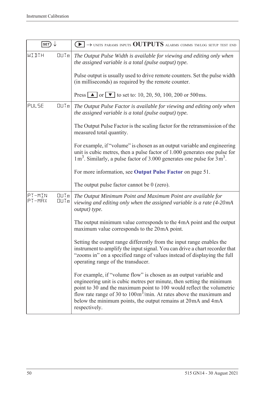| SET)             |                                        | $\rightarrow$ units params inputs OUTPUTS alarms comms tm/log setup test end                                                                                                                                                                                                                                                                                                                    |
|------------------|----------------------------------------|-------------------------------------------------------------------------------------------------------------------------------------------------------------------------------------------------------------------------------------------------------------------------------------------------------------------------------------------------------------------------------------------------|
| WIJTH            | QUTn                                   | The Output Pulse Width is available for viewing and editing only when<br>the assigned variable is a total (pulse output) type.                                                                                                                                                                                                                                                                  |
|                  |                                        | Pulse output is usually used to drive remote counters. Set the pulse width<br>(in milliseconds) as required by the remote counter.                                                                                                                                                                                                                                                              |
|                  |                                        | Press $\boxed{\triangle}$ or $\boxed{\triangledown}$ to set to: 10, 20, 50, 100, 200 or 500 ms.                                                                                                                                                                                                                                                                                                 |
| PULSE            | QUTn                                   | The Output Pulse Factor is available for viewing and editing only when<br>the assigned variable is a total (pulse output) type.                                                                                                                                                                                                                                                                 |
|                  |                                        | The Output Pulse Factor is the scaling factor for the retransmission of the<br>measured total quantity.                                                                                                                                                                                                                                                                                         |
|                  |                                        | For example, if "volume" is chosen as an output variable and engineering<br>unit is cubic metres, then a pulse factor of 1.000 generates one pulse for<br>$1 \text{ m}^3$ . Similarly, a pulse factor of 3.000 generates one pulse for $3 \text{ m}^3$ .                                                                                                                                        |
|                  |                                        | For more information, see Output Pulse Factor on page 51.                                                                                                                                                                                                                                                                                                                                       |
|                  |                                        | The output pulse factor cannot be $0$ (zero).                                                                                                                                                                                                                                                                                                                                                   |
| PT-MIN<br>PT-MRX | $\Box$ $\Box$ $\Box$ $n$<br>$QU$ T $n$ | The Output Minimum Point and Maximum Point are available for<br>viewing and editing only when the assigned variable is a rate (4-20mA<br>output) type.                                                                                                                                                                                                                                          |
|                  |                                        | The output minimum value corresponds to the 4mA point and the output<br>maximum value corresponds to the 20mA point.                                                                                                                                                                                                                                                                            |
|                  |                                        | Setting the output range differently from the input range enables the<br>instrument to amplify the input signal. You can drive a chart recorder that<br>"zooms in" on a specified range of values instead of displaying the full<br>operating range of the transducer.                                                                                                                          |
|                  |                                        | For example, if "volume flow" is chosen as an output variable and<br>engineering unit is cubic metres per minute, then setting the minimum<br>point to 30 and the maximum point to 100 would reflect the volumetric<br>flow rate range of 30 to $100 \text{m}^3/\text{min}$ . At rates above the maximum and<br>below the minimum points, the output remains at 20 mA and 4 mA<br>respectively. |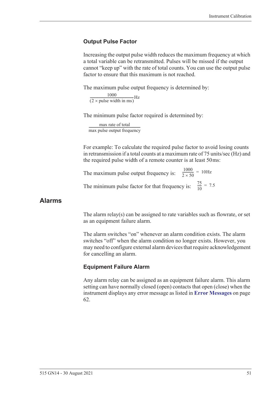#### <span id="page-60-0"></span>**Output Pulse Factor**

Increasing the output pulse width reduces the maximum frequency at which a total variable can be retransmitted. Pulses will be missed if the output cannot "keep up" with the rate of total counts. You can use the output pulse factor to ensure that this maximum is not reached.

The maximum pulse output frequency is determined by:

 $\frac{1000}{(2 \times \text{pulse width in ms)}}$ Hz

The minimum pulse factor required is determined by:

max rate of total max pulse output frequency ------------------------------------------------------------------

For example: To calculate the required pulse factor to avoid losing counts in retransmission if a total counts at a maximum rate of 75 units/sec (Hz) and the required pulse width of a remote counter is at least 50 ms:

The maximum pulse output frequency is:  $\frac{1000}{2 \times 50}$  = 10Hz The minimum pulse factor for that frequency is:  $\frac{75}{10}$  $\frac{73}{10}$  = 7.5

#### **Alarms**

The alarm relay(s) can be assigned to rate variables such as flowrate, or set as an equipment failure alarm.

The alarm switches "on" whenever an alarm condition exists. The alarm switches "off" when the alarm condition no longer exists. However, you may need to configure external alarm devices that require acknowledgement for cancelling an alarm.

#### **Equipment Failure Alarm**

Any alarm relay can be assigned as an equipment failure alarm. This alarm setting can have normally closed (open) contacts that open (close) when the instrument displays any error message as listed in **[Error Messages](#page-71-0)** on page [62.](#page-71-0)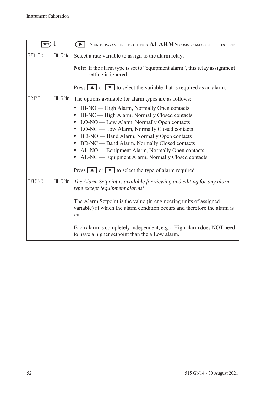| SET)  |       | $\rightarrow$ units params inputs outputs $ALARMS$ comms tm/log setup test end                                                                                                                                                                                                                                                                                                                                                                                                                                                                                                                |
|-------|-------|-----------------------------------------------------------------------------------------------------------------------------------------------------------------------------------------------------------------------------------------------------------------------------------------------------------------------------------------------------------------------------------------------------------------------------------------------------------------------------------------------------------------------------------------------------------------------------------------------|
| RELAY | HLRMn | Select a rate variable to assign to the alarm relay.<br><b>Note:</b> If the alarm type is set to "equipment alarm", this relay assignment<br>setting is ignored.<br>Press $\boxed{\blacktriangle}$ or $\boxed{\blacktriangledown}$ to select the variable that is required as an alarm.                                                                                                                                                                                                                                                                                                       |
| TYPE  | HLRMn | The options available for alarm types are as follows:<br>HI-NO — High Alarm, Normally Open contacts<br>$\bullet$<br>HI-NC — High Alarm, Normally Closed contacts<br>$\bullet$<br>• LO-NO — Low Alarm, Normally Open contacts<br>LO-NC — Low Alarm, Normally Closed contacts<br>BD-NO — Band Alarm, Normally Open contacts<br>$\bullet$<br>BD-NC — Band Alarm, Normally Closed contacts<br>$\bullet$<br>AL-NO — Equipment Alarm, Normally Open contacts<br>٠<br>AL-NC — Equipment Alarm, Normally Closed contacts<br>$\bullet$<br>Press $\Box$ or $\Box$ to select the type of alarm required. |
| POINT | HLRMn | The Alarm Setpoint is available for viewing and editing for any alarm<br>type except 'equipment alarms'.<br>The Alarm Setpoint is the value (in engineering units of assigned<br>variable) at which the alarm condition occurs and therefore the alarm is<br>on.<br>Each alarm is completely independent, e.g. a High alarm does NOT need<br>to have a higher setpoint than the a Low alarm.                                                                                                                                                                                                  |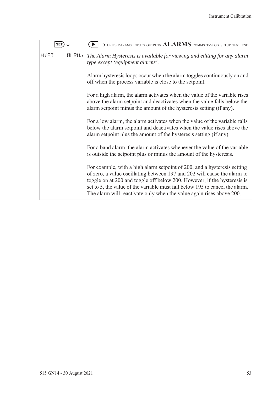| SET                  | $\rightarrow$ units params inputs outputs $ALARMS$ comms tm/log setup test end                                                                                                                                                                                                                                                                                                           |
|----------------------|------------------------------------------------------------------------------------------------------------------------------------------------------------------------------------------------------------------------------------------------------------------------------------------------------------------------------------------------------------------------------------------|
| <b>HY5T</b><br>HLRMn | The Alarm Hysteresis is available for viewing and editing for any alarm<br>type except 'equipment alarms'.                                                                                                                                                                                                                                                                               |
|                      | Alarm hysteresis loops occur when the alarm toggles continuously on and<br>off when the process variable is close to the setpoint.                                                                                                                                                                                                                                                       |
|                      | For a high alarm, the alarm activates when the value of the variable rises<br>above the alarm setpoint and deactivates when the value falls below the<br>alarm setpoint minus the amount of the hysteresis setting (if any).                                                                                                                                                             |
|                      | For a low alarm, the alarm activates when the value of the variable falls<br>below the alarm setpoint and deactivates when the value rises above the<br>alarm setpoint plus the amount of the hysteresis setting (if any).                                                                                                                                                               |
|                      | For a band alarm, the alarm activates whenever the value of the variable<br>is outside the setpoint plus or minus the amount of the hysteresis.                                                                                                                                                                                                                                          |
|                      | For example, with a high alarm setpoint of 200, and a hysteresis setting<br>of zero, a value oscillating between 197 and 202 will cause the alarm to<br>toggle on at 200 and toggle off below 200. However, if the hysteresis is<br>set to 5, the value of the variable must fall below 195 to cancel the alarm.<br>The alarm will reactivate only when the value again rises above 200. |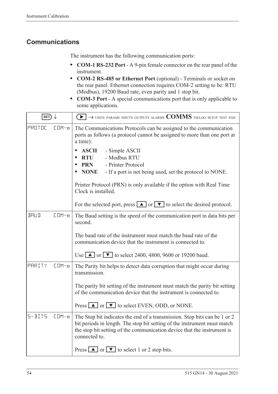# **Communications**

The instrument has the following communication ports:

- **• COM-1 RS-232 Port** A 9-pin female connector on the rear panel of the instrument.
- **• COM-2 RS-485 or Ethernet Port** (optional) Terminals or socket on the rear panel. Ethernet connection requires COM-2 setting to be: RTU (Modbus), 19200 Baud rate, even parity and 1 stop bit.
- **• COM-3 Port** A special communications port that is only applicable to some applications.

| SET)                     | $\left\{ \bullet\right\} \rightarrow$ units params inputs outputs alarms $\text{COMMS}$ tm/log setup test end                                                                                                                                     |
|--------------------------|---------------------------------------------------------------------------------------------------------------------------------------------------------------------------------------------------------------------------------------------------|
| PROTOC<br>$CDM - n$      | The Communications Protocols can be assigned to the communication<br>ports as follows (a protocol cannot be assigned to more than one port at<br>a time):                                                                                         |
|                          | <b>ASCII</b><br>- Simple ASCII<br>- Modbus RTU<br><b>RTU</b><br>- Printer Protocol<br><b>PRN</b><br><b>NONE</b><br>- If a port is not being used, set the protocol to NONE.                                                                       |
|                          | Printer Protocol (PRN) is only available if the option with Real Time<br>Clock is installed.                                                                                                                                                      |
|                          | For the selected port, press $\Box$ or $\Box$ to select the desired protocol.                                                                                                                                                                     |
| <b>BRUD</b><br>$CDM - n$ | The Baud setting is the speed of the communication port in data bits per<br>second.                                                                                                                                                               |
|                          | The baud rate of the instrument must match the baud rate of the<br>communication device that the instrument is connected to.                                                                                                                      |
|                          | Use $\blacksquare$ or $\blacksquare$ to select 2400, 4800, 9600 or 19200 baud.                                                                                                                                                                    |
| PARITY<br>$CDM - n$      | The Parity bit helps to detect data corruption that might occur during<br>transmission.                                                                                                                                                           |
|                          | The parity bit setting of the instrument must match the parity bit setting<br>of the communication device that the instrument is connected to.                                                                                                    |
|                          | Press $\Box$ or $\nabla$ to select EVEN, ODD, or NONE.                                                                                                                                                                                            |
| $5 - B175$<br>$CDM - n$  | The Stop bit indicates the end of a transmission. Stop bits can be 1 or 2<br>bit periods in length. The stop bit setting of the instrument must match<br>the stop bit setting of the communication device that the instrument is<br>connected to. |
|                          | Press $\boxed{\blacktriangle}$ or $\boxed{\blacktriangledown}$ to select 1 or 2 stop bits.                                                                                                                                                        |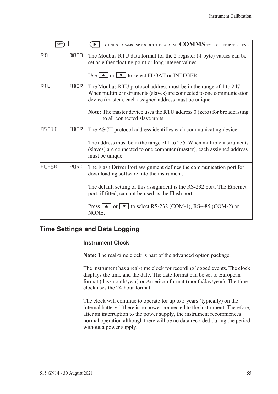| <b>SET</b>   |             | $\rightarrow$ units params inputs outputs alarms $COMMS$ tmlog setup test end                                                                                                                        |
|--------------|-------------|------------------------------------------------------------------------------------------------------------------------------------------------------------------------------------------------------|
| RTU          | <b>JATA</b> | The Modbus RTU data format for the 2-register (4-byte) values can be<br>set as either floating point or long integer values.                                                                         |
|              |             | Use $\Box$ or $\Box$ to select FLOAT or INTEGER.                                                                                                                                                     |
| RTU          | ALLR        | The Modbus RTU protocol address must be in the range of 1 to 247.<br>When multiple instruments (slaves) are connected to one communication<br>device (master), each assigned address must be unique. |
|              |             | <b>Note:</b> The master device uses the RTU address $0$ (zero) for broadcasting<br>to all connected slave units.                                                                                     |
| <b>ASCII</b> | <b>ATTR</b> | The ASCII protocol address identifies each communicating device.                                                                                                                                     |
|              |             | The address must be in the range of 1 to 255. When multiple instruments<br>(slaves) are connected to one computer (master), each assigned address<br>must be unique.                                 |
| FLASH        | PORT        | The Flash Driver Port assignment defines the communication port for<br>downloading software into the instrument.                                                                                     |
|              |             | The default setting of this assignment is the RS-232 port. The Ethernet<br>port, if fitted, can not be used as the Flash port.                                                                       |
|              |             | Press $\Box$ or $\nabla$ to select RS-232 (COM-1), RS-485 (COM-2) or<br>NONE.                                                                                                                        |

# **Time Settings and Data Logging**

#### **Instrument Clock**

**Note:** The real-time clock is part of the advanced option package.

The instrument has a real-time clock for recording logged events. The clock displays the time and the date. The date format can be set to European format (day/month/year) or American format (month/day/year). The time clock uses the 24-hour format.

The clock will continue to operate for up to 5 years (typically) on the internal battery if there is no power connected to the instrument. Therefore, after an interruption to the power supply, the instrument recommences normal operation although there will be no data recorded during the period without a power supply.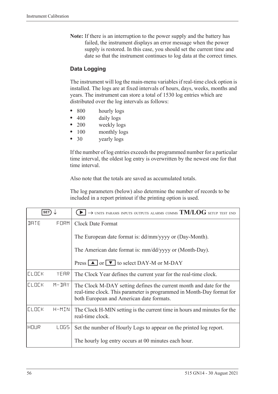**Note:** If there is an interruption to the power supply and the battery has failed, the instrument displays an error message when the power supply is restored. In this case, you should set the current time and date so that the instrument continues to log data at the correct times.

### **Data Logging**

The instrument will log the main-menu variables if real-time clock option is installed. The logs are at fixed intervals of hours, days, weeks, months and years. The instrument can store a total of 1530 log entries which are distributed over the log intervals as follows:

- 800 hourly logs
- **•** 400 daily logs
- **•** 200 weekly logs
- 100 monthly logs
- 30 yearly logs

If the number of log entries exceeds the programmed number for a particular time interval, the oldest log entry is overwritten by the newest one for that time interval.

Also note that the totals are saved as accumulated totals.

The log parameters (below) also determine the number of records to be included in a report printout if the printing option is used.

| <b>SET</b>   |           | $\rightarrow$ units params inputs outputs alarms comms $\mathrm{TM/LOG}$ setup test end                                                                                                 |
|--------------|-----------|-----------------------------------------------------------------------------------------------------------------------------------------------------------------------------------------|
| <b>JATE</b>  | FORM      | <b>Clock Date Format</b>                                                                                                                                                                |
|              |           | The European date format is: dd/mm/yyyy or (Day-Month).                                                                                                                                 |
|              |           | The American date format is: mm/dd/yyyy or (Month-Day).                                                                                                                                 |
|              |           | Press $\boxed{\blacktriangle}$ or $\boxed{\blacktriangledown}$ to select DAY-M or M-DAY                                                                                                 |
| <b>ELDEK</b> | YEAR      | The Clock Year defines the current year for the real-time clock.                                                                                                                        |
| <b>CLOCK</b> | $M - JHY$ | The Clock M-DAY setting defines the current month and date for the<br>real-time clock. This parameter is programmed in Month-Day format for<br>both European and American date formats. |
| <b>CLOCK</b> | H-MIN     | The Clock H-MIN setting is the current time in hours and minutes for the<br>real-time clock.                                                                                            |
| HOUR         | LOGS      | Set the number of Hourly Logs to appear on the printed log report.                                                                                                                      |
|              |           | The hourly log entry occurs at 00 minutes each hour.                                                                                                                                    |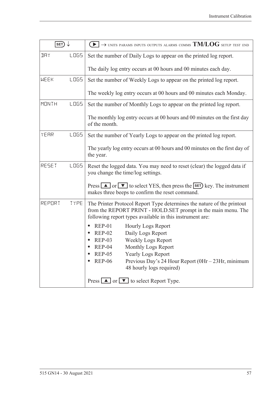| SET)         |             | $\blacktriangleright$ $\rightarrow$ units params inputs outputs alarms comms TM/LOG setup test end                                                                                                                                                                                                                    |
|--------------|-------------|-----------------------------------------------------------------------------------------------------------------------------------------------------------------------------------------------------------------------------------------------------------------------------------------------------------------------|
| IJΑY         | <b>LOGS</b> | Set the number of Daily Logs to appear on the printed log report.                                                                                                                                                                                                                                                     |
|              |             | The daily log entry occurs at 00 hours and 00 minutes each day.                                                                                                                                                                                                                                                       |
| <b>WEEK</b>  | <b>LOGS</b> | Set the number of Weekly Logs to appear on the printed log report.                                                                                                                                                                                                                                                    |
|              |             | The weekly log entry occurs at 00 hours and 00 minutes each Monday.                                                                                                                                                                                                                                                   |
| <b>MONTH</b> | LO65        | Set the number of Monthly Logs to appear on the printed log report.                                                                                                                                                                                                                                                   |
|              |             | The monthly log entry occurs at 00 hours and 00 minutes on the first day<br>of the month.                                                                                                                                                                                                                             |
| YEAR         | LO65        | Set the number of Yearly Logs to appear on the printed log report.                                                                                                                                                                                                                                                    |
|              |             | The yearly log entry occurs at 00 hours and 00 minutes on the first day of<br>the year.                                                                                                                                                                                                                               |
| RESET        | <b>LOGS</b> | Reset the logged data. You may need to reset (clear) the logged data if<br>you change the time/log settings.                                                                                                                                                                                                          |
|              |             | Press $\Box$ or $\nabla$ to select YES, then press the <b>SET</b> ) key. The instrument<br>makes three beeps to confirm the reset command.                                                                                                                                                                            |
| REPORT       | TYPE        | The Printer Protocol Report Type determines the nature of the printout<br>from the REPORT PRINT - HOLD.SET prompt in the main menu. The<br>following report types available in this instrument are:                                                                                                                   |
|              |             | $REP-01$<br><b>Hourly Logs Report</b><br>$\bullet$<br>Daily Logs Report<br><b>REP-02</b><br><b>Weekly Logs Report</b><br>$REP-03$<br>Monthly Logs Report<br>$REP-04$<br><b>REP-05</b><br><b>Yearly Logs Report</b><br><b>REP-06</b><br>Previous Day's 24 Hour Report (0Hr - 23Hr, minimum<br>48 hourly logs required) |
|              |             | Press $\boxed{\blacktriangle}$ or $\boxed{\blacktriangledown}$ to select Report Type.                                                                                                                                                                                                                                 |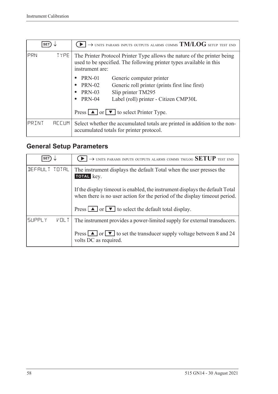|       | <b>SET</b>   | $\rightarrow$ units params inputs outputs alarms comms $\mathrm{TM/LOG}$ setup test end                                                                            |
|-------|--------------|--------------------------------------------------------------------------------------------------------------------------------------------------------------------|
| PRN   | <b>TYPE</b>  | The Printer Protocol Printer Type allows the nature of the printer being<br>used to be specified. The following printer types available in this<br>instrument are: |
|       |              | PRN-01<br>Generic computer printer                                                                                                                                 |
|       |              | <b>PRN-02</b><br>Generic roll printer (prints first line first)<br>$\bullet$                                                                                       |
|       |              | <b>PRN-03</b><br>Slip printer TM295                                                                                                                                |
|       |              | <b>PRN-04</b><br>Label (roll) printer - Citizen CMP30L<br>$\bullet$                                                                                                |
|       |              | Press $\boxed{\blacktriangle}$ or $\boxed{\blacktriangledown}$ to select Printer Type.                                                                             |
| PRINT | <b>REEUM</b> | Select whether the accumulated totals are printed in addition to the non-<br>accumulated totals for printer protocol.                                              |

# <span id="page-67-0"></span>**General Setup Parameters**

| <b>SET</b>                       | $\rightarrow$ units params inputs outputs alarms comms tm/log SETUP test end                                                                                 |
|----------------------------------|--------------------------------------------------------------------------------------------------------------------------------------------------------------|
| DEFAULT TOTAL                    | The instrument displays the default Total when the user presses the<br>TOTAL key.                                                                            |
|                                  | If the display time out is enabled, the instrument displays the default Total<br>when there is no user action for the period of the display time out period. |
|                                  | Press $\boxed{\blacktriangle}$ or $\boxed{\blacktriangledown}$ to select the default total display.                                                          |
| <b>SUPPLY</b><br>$V \square L$ T | The instrument provides a power-limited supply for external transducers.                                                                                     |
|                                  | Press $\boxed{\blacktriangle}$ or $\boxed{\blacktriangledown}$ to set the transducer supply voltage between 8 and 24<br>volts DC as required.                |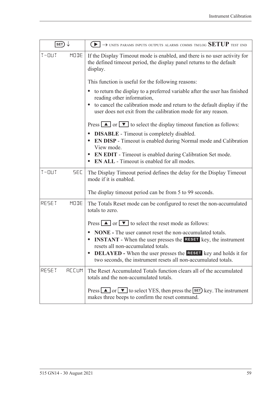| SET)                    | $\blacktriangleright$ $\rightarrow$ units params inputs outputs alarms comms tm/log $\operatorname{SETUP}$ test end                                                                                                                                                                                                                    |
|-------------------------|----------------------------------------------------------------------------------------------------------------------------------------------------------------------------------------------------------------------------------------------------------------------------------------------------------------------------------------|
| MODE<br>$T - 111T$      | If the Display Timeout mode is enabled, and there is no user activity for<br>the defined timeout period, the display panel returns to the default<br>display.                                                                                                                                                                          |
|                         | This function is useful for the following reasons:                                                                                                                                                                                                                                                                                     |
|                         | to return the display to a preferred variable after the user has finished<br>$\bullet$<br>reading other information,                                                                                                                                                                                                                   |
|                         | to cancel the calibration mode and return to the default display if the<br>user does not exit from the calibration mode for any reason.                                                                                                                                                                                                |
|                         | Press $\boxed{\blacktriangle}$ or $\boxed{\blacktriangledown}$ to select the display timeout function as follows:                                                                                                                                                                                                                      |
|                         | <b>DISABLE</b> - Timeout is completely disabled.<br>$\bullet$<br><b>EN DISP</b> - Timeout is enabled during Normal mode and Calibration<br>View mode.                                                                                                                                                                                  |
|                         | <b>EN EDIT</b> - Timeout is enabled during Calibration Set mode.<br><b>EN ALL</b> - Timeout is enabled for all modes.                                                                                                                                                                                                                  |
| <b>SEC</b><br>$T - 11T$ | The Display Timeout period defines the delay for the Display Timeout<br>mode if it is enabled.                                                                                                                                                                                                                                         |
|                         | The display timeout period can be from 5 to 99 seconds.                                                                                                                                                                                                                                                                                |
| MODE<br>RESET           | The Totals Reset mode can be configured to reset the non-accumulated<br>totals to zero.                                                                                                                                                                                                                                                |
|                         | Press $\boxed{\blacktriangle}$ or $\boxed{\blacktriangledown}$ to select the reset mode as follows:                                                                                                                                                                                                                                    |
|                         | <b>NONE</b> - The user cannot reset the non-accumulated totals.<br><b>INSTANT</b> - When the user presses the <b>RESET</b> key, the instrument<br>resets all non-accumulated totals.<br><b>DELAYED</b> - When the user presses the <b>RESET</b> key and holds it for<br>two seconds, the instrument resets all non-accumulated totals. |
| RESET<br><b>RECUM</b>   | The Reset Accumulated Totals function clears all of the accumulated<br>totals and the non-accumulated totals.                                                                                                                                                                                                                          |
|                         | Press $\Box$ or $\nabla$ to select YES, then press the <b>SET</b> ) key. The instrument<br>makes three beeps to confirm the reset command.                                                                                                                                                                                             |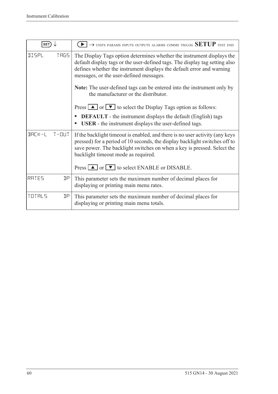| <b>SET</b>   |                | $\rightarrow$ units params inputs outputs alarms comms tm/log SETUP test end                                                                                                                                                                                                                                                                               |
|--------------|----------------|------------------------------------------------------------------------------------------------------------------------------------------------------------------------------------------------------------------------------------------------------------------------------------------------------------------------------------------------------------|
| <b>NISPL</b> | <b>TRGS</b>    | The Display Tags option determines whether the instrument displays the<br>default display tags or the user-defined tags. The display tag setting also<br>defines whether the instrument displays the default error and warning<br>messages, or the user-defined messages.<br><b>Note:</b> The user-defined tags can be entered into the instrument only by |
|              |                | the manufacturer or the distributor.                                                                                                                                                                                                                                                                                                                       |
|              |                | Press $\boxed{\blacktriangle}$ or $\boxed{\blacktriangledown}$ to select the Display Tags option as follows:                                                                                                                                                                                                                                               |
|              |                | <b>DEFAULT</b> - the instrument displays the default (English) tags<br>$\bullet$<br><b>USER</b> - the instrument displays the user-defined tags.                                                                                                                                                                                                           |
| $BHLK-L$     | $T - \Box U T$ | If the backlight timeout is enabled, and there is no user activity (any keys<br>pressed) for a period of 10 seconds, the display backlight switches off to<br>save power. The backlight switches on when a key is pressed. Select the<br>backlight timeout mode as required.                                                                               |
|              |                | Press $\Box$ or $\Box$ to select ENABLE or DISABLE.                                                                                                                                                                                                                                                                                                        |
| RATES        | ηp             | This parameter sets the maximum number of decimal places for<br>displaying or printing main menu rates.                                                                                                                                                                                                                                                    |
| TOTALS       | ηp             | This parameter sets the maximum number of decimal places for<br>displaying or printing main menu totals.                                                                                                                                                                                                                                                   |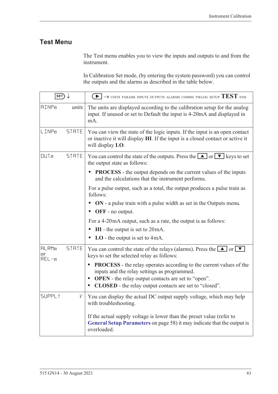# **Test Menu**

The Test menu enables you to view the inputs and outputs to and from the instrument.

In Calibration Set mode, (by entering the system password) you can control the outputs and the alarms as described in the table below.

| $\overline{\textsf{set}}$ |              | $(\blacktriangleright)$ $\rightarrow$ units params inputs outputs alarms comms tm/log setup $\text{TEST}$ end                                                                                                                                                                                     |
|---------------------------|--------------|---------------------------------------------------------------------------------------------------------------------------------------------------------------------------------------------------------------------------------------------------------------------------------------------------|
| $\text{HIMP}_n$           | units        | The units are displayed according to the calibration setup for the analog<br>input. If unused or set to Default the input is 4-20mA and displayed in<br>mA.                                                                                                                                       |
| $L$ INP $n$               | STRTE        | You can view the state of the logic inputs. If the input is an open contact<br>or inactive it will display HI. If the input is a closed contact or active it<br>will display LO.                                                                                                                  |
| UUTn                      | <b>STRTE</b> | You can control the state of the outputs. Press the $\Box$ or $\nabla$ keys to set<br>the output state as follows:                                                                                                                                                                                |
|                           |              | <b>PROCESS</b> - the output depends on the current values of the inputs<br>and the calculations that the instrument performs.                                                                                                                                                                     |
|                           |              | For a pulse output, such as a total, the output produces a pulse train as<br>follows:                                                                                                                                                                                                             |
|                           |              | ON - a pulse train with a pulse width as set in the Outputs menu.<br><b>OFF</b> - no output.<br>$\bullet$                                                                                                                                                                                         |
|                           |              | For a 4-20mA output, such as a rate, the output is as follows:                                                                                                                                                                                                                                    |
|                           |              | $HI$ - the output is set to $20mA$ .<br>$\bullet$                                                                                                                                                                                                                                                 |
|                           |              | LO - the output is set to $4mA$ .<br>$\bullet$                                                                                                                                                                                                                                                    |
| HLRMn<br>0r<br>$REL - n$  | <b>STRTE</b> | You can control the state of the relays (alarms). Press the $\Box$ or $\nabla$<br>keys to set the selected relay as follows:                                                                                                                                                                      |
|                           |              | <b>PROCESS</b> - the relay operates according to the current values of the<br>$\bullet$<br>inputs and the relay settings as programmed.<br><b>OPEN</b> - the relay output contacts are set to "open".<br>$\bullet$<br><b>CLOSED</b> - the relay output contacts are set to "closed".<br>$\bullet$ |
| <b>SUPPLY</b>             | V            | You can display the actual DC output supply voltage, which may help<br>with troubleshooting.                                                                                                                                                                                                      |
|                           |              | If the actual supply voltage is lower than the preset value (refer to<br>General Setup Parameters on page 58) it may indicate that the output is<br>overloaded.                                                                                                                                   |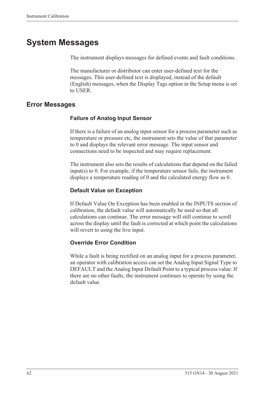# **System Messages**

The instrument displays messages for defined events and fault conditions.

The manufacturer or distributor can enter user-defined text for the messages. This user-defined text is displayed, instead of the default (English) messages, when the Display Tags option in the Setup menu is set to USER.

### <span id="page-71-0"></span>**Error Messages**

### **Failure of Analog Input Sensor**

If there is a failure of an analog input sensor for a process parameter such as temperature or pressure etc, the instrument sets the value of that parameter to 0 and displays the relevant error message. The input sensor and connections need to be inspected and may require replacement.

The instrument also sets the results of calculations that depend on the failed input(s) to 0. For example, if the temperature sensor fails, the instrument displays a temperature reading of 0 and the calculated energy flow as 0.

### **Default Value on Exception**

If Default Value On Exception has been enabled in the INPUTS section of calibration, the default value will automatically be used so that all calculations can continue. The error message will still continue to scroll across the display until the fault is corrected at which point the calculations will revert to using the live input.

#### **Override Error Condition**

While a fault is being rectified on an analog input for a process parameter, an operator with calibration access can set the Analog Input Signal Type to DEFAULT and the Analog Input Default Point to a typical process value. If there are no other faults, the instrument continues to operate by using the default value.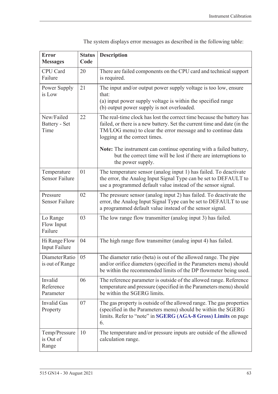<span id="page-72-0"></span>

| <b>Error</b><br><b>Messages</b>      | <b>Status</b><br>Code | <b>Description</b>                                                                                                                                                                                                                                 |
|--------------------------------------|-----------------------|----------------------------------------------------------------------------------------------------------------------------------------------------------------------------------------------------------------------------------------------------|
| CPU Card<br>Failure                  | 20                    | There are failed components on the CPU card and technical support<br>is required.                                                                                                                                                                  |
| Power Supply<br>is Low               | 21                    | The input and/or output power supply voltage is too low, ensure<br>that:<br>(a) input power supply voltage is within the specified range<br>(b) output power supply is not overloaded.                                                             |
| New/Failed<br>Battery - Set<br>Time  | 22                    | The real-time clock has lost the correct time because the battery has<br>failed, or there is a new battery. Set the current time and date (in the<br>TM/LOG menu) to clear the error message and to continue data<br>logging at the correct times. |
|                                      |                       | Note: The instrument can continue operating with a failed battery,<br>but the correct time will be lost if there are interruptions to<br>the power supply.                                                                                         |
| Temperature<br><b>Sensor Failure</b> | 01                    | The temperature sensor (analog input 1) has failed. To deactivate<br>the error, the Analog Input Signal Type can be set to DEFAULT to<br>use a programmed default value instead of the sensor signal.                                              |
| Pressure<br><b>Sensor Failure</b>    | 02                    | The pressure sensor (analog input 2) has failed. To deactivate the<br>error, the Analog Input Signal Type can be set to DEFAULT to use<br>a programmed default value instead of the sensor signal.                                                 |
| Lo Range<br>Flow Input<br>Failure    | 03                    | The low range flow transmitter (analog input 3) has failed.                                                                                                                                                                                        |
| Hi Range Flow<br>Input Failure       | 04                    | The high range flow transmitter (analog input 4) has failed.                                                                                                                                                                                       |
| Diameter Ratio<br>is out of Range    | 05                    | The diameter ratio (beta) is out of the allowed range. The pipe<br>and/or orifice diameters (specified in the Parameters menu) should<br>be within the recommended limits of the DP flowmeter being used.                                          |
| Invalid<br>Reference<br>Parameter    | 06                    | The reference parameter is outside of the allowed range. Reference<br>temperature and pressure (specified in the Parameters menu) should<br>be within the SGERG limits.                                                                            |
| <b>Invalid Gas</b><br>Property       | 07                    | The gas property is outside of the allowed range. The gas properties<br>(specified in the Parameters menu) should be within the SGERG<br>limits. Refer to "note" in SGERG (AGA-8 Gross) Limits on page<br>6.                                       |
| Temp/Pressure<br>is Out of<br>Range  | 10                    | The temperature and/or pressure inputs are outside of the allowed<br>calculation range.                                                                                                                                                            |

The system displays error messages as described in the following table: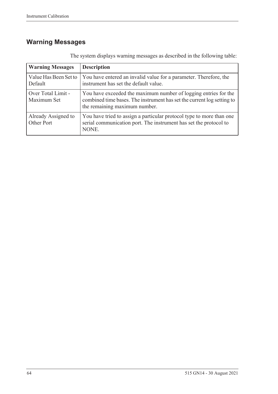# <span id="page-73-0"></span>**Warning Messages**

| <b>Warning Messages</b>           | <b>Description</b>                                                                                                                                                         |
|-----------------------------------|----------------------------------------------------------------------------------------------------------------------------------------------------------------------------|
| Value Has Been Set to<br>Default  | You have entered an invalid value for a parameter. Therefore, the<br>instrument has set the default value.                                                                 |
| Over Total Limit -<br>Maximum Set | You have exceeded the maximum number of logging entries for the<br>combined time bases. The instrument has set the current log setting to<br>the remaining maximum number. |
| Already Assigned to<br>Other Port | You have tried to assign a particular protocol type to more than one<br>serial communication port. The instrument has set the protocol to<br>NONE.                         |

The system displays warning messages as described in the following table: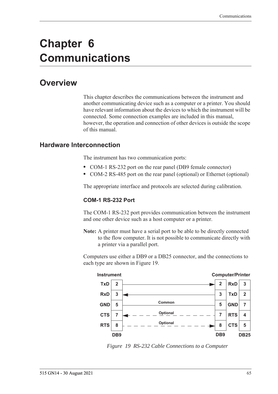# **Chapter 6 Communications**

# **Overview**

<span id="page-74-2"></span>This chapter describes the communications between the instrument and another communicating device such as a computer or a printer. You should have relevant information about the devices to which the instrument will be connected. Some connection examples are included in this manual, however, the operation and connection of other devices is outside the scope of this manual.

## **Hardware Interconnection**

<span id="page-74-3"></span>The instrument has two communication ports:

- **•** COM-1 RS-232 port on the rear panel (DB9 female connector)
- **•** COM-2 RS-485 port on the rear panel (optional) or Ethernet (optional)

The appropriate interface and protocols are selected during calibration.

#### <span id="page-74-1"></span>**COM-1 RS-232 Port**

The COM-1 RS-232 port provides communication between the instrument and one other device such as a host computer or a printer.

**Note:** A printer must have a serial port to be able to be directly connected to the flow computer. It is not possible to communicate directly with a printer via a parallel port.

Computers use either a DB9 or a DB25 connector, and the connections to each type are shown in [Figure 19.](#page-74-0)



<span id="page-74-0"></span>*Figure 19 RS-232 Cable Connections to a Computer*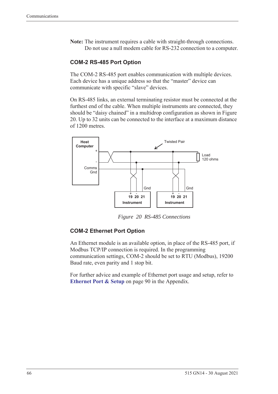**Note:** The instrument requires a cable with straight-through connections. Do not use a null modem cable for RS-232 connection to a computer.

#### <span id="page-75-1"></span>**COM-2 RS-485 Port Option**

The COM-2 RS-485 port enables communication with multiple devices. Each device has a unique address so that the "master" device can communicate with specific "slave" devices.

On RS-485 links, an external terminating resistor must be connected at the furthest end of the cable. When multiple instruments are connected, they should be "daisy chained" in a multidrop configuration as shown in Figure [20](#page-75-0). Up to 32 units can be connected to the interface at a maximum distance of 1200 metres.



<span id="page-75-2"></span>*Figure 20 RS-485 Connections*

#### <span id="page-75-0"></span>**COM-2 Ethernet Port Option**

An Ethernet module is an available option, in place of the RS-485 port, if Modbus TCP/IP connection is required. In the programming communication settings, COM-2 should be set to RTU (Modbus), 19200 Baud rate, even parity and 1 stop bit.

For further advice and example of Ethernet port usage and setup, refer to **[Ethernet Port & Setup](#page-99-0)** on page 90 in the Appendix.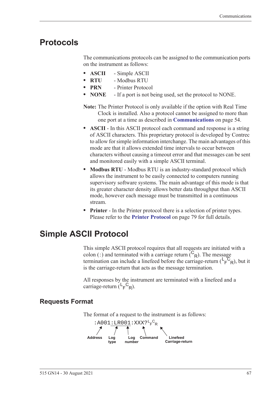# **Protocols**

<span id="page-76-1"></span>The communications protocols can be assigned to the communication ports on the instrument as follows:

- **• ASCII** Simple ASCII
- **• RTU** Modbus RTU
- **• PRN** Printer Protocol
- **• NONE** If a port is not being used, set the protocol to NONE.
- **Note:** The Printer Protocol is only available if the option with Real Time Clock is installed. Also a protocol cannot be assigned to more than one port at a time as described in **[Communications](#page-63-0)** on page 54.
- **• ASCII** In this ASCII protocol each command and response is a string of ASCII characters. This proprietary protocol is developed by Contrec to allow for simple information interchange. The main advantages of this mode are that it allows extended time intervals to occur between characters without causing a timeout error and that messages can be sent and monitored easily with a simple ASCII terminal.
- **• Modbus RTU** Modbus RTU is an industry-standard protocol which allows the instrument to be easily connected to computers running supervisory software systems. The main advantage of this mode is that its greater character density allows better data throughput than ASCII mode, however each message must be transmitted in a continuous stream.
- <span id="page-76-0"></span>**• Printer** - In the Printer protocol there is a selection of printer types. Please refer to the **[Printer Protocol](#page-88-0)** on page 79 for full details.

# **Simple ASCII Protocol**

This simple ASCII protocol requires that all requests are initiated with a colon (:) and terminated with a carriage return  $\binom{C_R}{R}$ . The message termination can include a linefeed before the carriage-return  $(\mathsf{L}_\mathsf{F}^\mathsf{C}_{\mathsf{R}})$ , but it is the carriage-return that acts as the message termination.

<span id="page-76-2"></span>All responses by the instrument are terminated with a linefeed and a carriage-return  $(L_F^C_R)$ .

# **Requests Format**

The format of a request to the instrument is as follows:

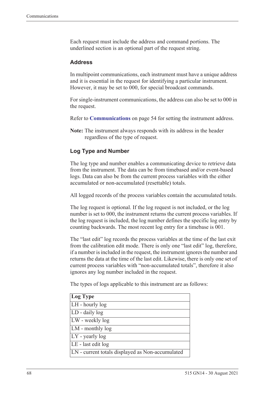Each request must include the address and command portions. The underlined section is an optional part of the request string.

#### <span id="page-77-0"></span>**Address**

In multipoint communications, each instrument must have a unique address and it is essential in the request for identifying a particular instrument. However, it may be set to 000, for special broadcast commands.

For single-instrument communications, the address can also be set to 000 in the request.

Refer to **[Communications](#page-63-0)** on page 54 for setting the instrument address.

**Note:** The instrument always responds with its address in the header regardless of the type of request.

#### **Log Type and Number**

The log type and number enables a communicating device to retrieve data from the instrument. The data can be from timebased and/or event-based logs. Data can also be from the current process variables with the either accumulated or non-accumulated (resettable) totals.

All logged records of the process variables contain the accumulated totals.

The log request is optional. If the log request is not included, or the log number is set to 000, the instrument returns the current process variables. If the log request is included, the log number defines the specific log entry by counting backwards. The most recent log entry for a timebase is 001.

The "last edit" log records the process variables at the time of the last exit from the calibration edit mode. There is only one "last edit" log, therefore, if a number is included in the request, the instrument ignores the number and returns the data at the time of the last edit. Likewise, there is only one set of current process variables with "non-accumulated totals", therefore it also ignores any log number included in the request.

The types of logs applicable to this instrument are as follows:

| Log Type                                         |
|--------------------------------------------------|
| LH - hourly log                                  |
| LD - daily log                                   |
| LW - weekly log                                  |
| LM - monthly log                                 |
| $LY$ - yearly log                                |
| LE - last edit log                               |
| LN - current totals displayed as Non-accumulated |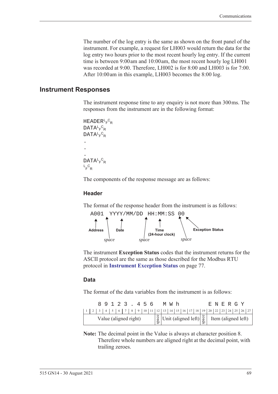The number of the log entry is the same as shown on the front panel of the instrument. For example, a request for LH003 would return the data for the log entry two hours prior to the most recent hourly log entry. If the current time is between 9:00 am and 10:00 am, the most recent hourly log LH001 was recorded at 9:00. Therefore, LH002 is for 8:00 and LH003 is for 7:00. After 10:00 am in this example, LH003 becomes the 8:00 log.

#### **Instrument Responses**

<span id="page-78-1"></span>The instrument response time to any enquiry is not more than 300 ms. The responses from the instrument are in the following format:

```
HEADER<sup>L</sup>F<sup>C</sup>R
DATA<sup>L</sup>F<sup>C</sup>R
DATA<sup>L</sup>F<sup>C</sup>R
.
.
.
DATA<sup>L</sup>F<sup>C</sup>R
L_F^CR
```
The components of the response message are as follows:

#### **Header**

The format of the response header from the instrument is as follows:



<span id="page-78-0"></span>The instrument **Exception Status** codes that the instrument returns for the ASCII protocol are the same as those described for the Modbus RTU protocol in **[Instrument Exception Status](#page-86-0)** on page 77.

#### **Data**

The format of the data variables from the instrument is as follows:

|  |  |  | 89123.456             |  |  |  | MW h                                                                                                                                                          |  |  |  |  | E N E R G Y |  |  |
|--|--|--|-----------------------|--|--|--|---------------------------------------------------------------------------------------------------------------------------------------------------------------|--|--|--|--|-------------|--|--|
|  |  |  |                       |  |  |  |                                                                                                                                                               |  |  |  |  |             |  |  |
|  |  |  | Value (aligned right) |  |  |  | $\begin{bmatrix} \frac{8}{9} \\ \frac{8}{9} \end{bmatrix}$ Unit (aligned left) $\begin{bmatrix} \frac{8}{9} \\ \frac{8}{9} \end{bmatrix}$ Item (aligned left) |  |  |  |  |             |  |  |

**Note:** The decimal point in the Value is always at character position 8. Therefore whole numbers are aligned right at the decimal point, with trailing zeroes.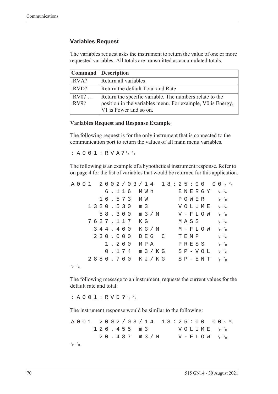#### **Variables Request**

The variables request asks the instrument to return the value of one or more requested variables. All totals are transmitted as accumulated totals.

|                  | <b>Command</b> Description                                                                                                                      |
|------------------|-------------------------------------------------------------------------------------------------------------------------------------------------|
| :RVA?            | Return all variables                                                                                                                            |
| :RVD?            | Return the default Total and Rate                                                                                                               |
| $:RV0?$<br>:RV9? | Return the specific variable. The numbers relate to the<br>position in the variables menu. For example, V0 is Energy,<br>V1 is Power and so on. |

#### **Variables Request and Response Example**

The following request is for the only instrument that is connected to the communication port to return the values of all main menu variables.

:  $A 0 0 1 : R V A ? \frac{c}{r} c_R$ 

The following is an example of a hypothetical instrument response. Refer to [on page 4](#page-13-0) for the list of variables that would be returned for this application.

|             |  |  |  |  |          |  |                  |  |       | $A\ 0\ 0\ 1\quad 2\ 0\ 0\ 2\ / \ 0\ 3\ / \ 1\ 4\quad 1\ 8:2\ 5:0\ 0\quad 0\ 0\ _{F}\ ^{c}{}_{R}$ |  |      |  |               |                                              |                                   |  |
|-------------|--|--|--|--|----------|--|------------------|--|-------|--------------------------------------------------------------------------------------------------|--|------|--|---------------|----------------------------------------------|-----------------------------------|--|
|             |  |  |  |  |          |  | 6.116 MWh        |  |       |                                                                                                  |  |      |  |               | ENERGY 'F <sup>c</sup> r                     |                                   |  |
|             |  |  |  |  |          |  | 16.573 MW        |  |       |                                                                                                  |  |      |  |               | POWER                                        | $L_{F}$ $C_{R}$                   |  |
|             |  |  |  |  |          |  | 1320.530 m 3     |  |       |                                                                                                  |  |      |  |               | VOLUME <sup>L<sub>E</sub>C<sub>R</sub></sup> |                                   |  |
|             |  |  |  |  |          |  |                  |  |       | 58.300 m 3/M                                                                                     |  |      |  |               | $V - F L O W \leftarrow c_R$                 |                                   |  |
|             |  |  |  |  | 7627.117 |  | КG               |  |       |                                                                                                  |  |      |  | MASS          |                                              | $L_F$ $C_R$                       |  |
|             |  |  |  |  | 344.460  |  |                  |  |       | K G / M                                                                                          |  |      |  |               | M – F L O W                                  | $L$ <sub>F</sub> $C$ <sub>R</sub> |  |
|             |  |  |  |  | 230.000  |  |                  |  | DEG C |                                                                                                  |  | TEMP |  |               |                                              | $L_F$ $C_R$                       |  |
|             |  |  |  |  | 1.260    |  | МРА              |  |       |                                                                                                  |  |      |  | PRESS         |                                              | $L_{F}$ $C_{R}$                   |  |
|             |  |  |  |  |          |  | $0.174$ m $3/KG$ |  |       |                                                                                                  |  |      |  | $S P - V O L$ |                                              | $L_{F}$ $C_{R}$                   |  |
|             |  |  |  |  |          |  |                  |  |       | 2886.760 KJ/KG SP-ENT FR                                                                         |  |      |  |               |                                              |                                   |  |
| $L_F$ $C_R$ |  |  |  |  |          |  |                  |  |       |                                                                                                  |  |      |  |               |                                              |                                   |  |

The following message to an instrument, requests the current values for the default rate and total:

: A 0 0 1 : R V D ?  $L_F$   $C_R$ 

The instrument response would be similar to the following:

A001 2002/03/14 18:25:00  $F$   $\circ$ <sub>R</sub>  $126.455 m3$ <sup>F</sup> <sup>C</sup> R  $20.437$  m  $3/M$  $F$   $\circ$ <sub>R</sub> L <sup>F</sup> <sup>C</sup> R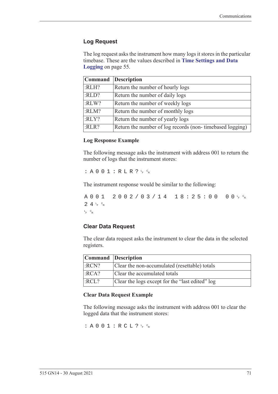#### **Log Request**

The log request asks the instrument how many logs it stores in the particular timebase. These are the values described in **[Time Settings and Data](#page-64-0)  Logging** [on page 55](#page-64-0).

|       | Command Description                                      |
|-------|----------------------------------------------------------|
| :RLH? | Return the number of hourly logs                         |
| :RLD? | Return the number of daily logs                          |
| :RLW? | Return the number of weekly logs                         |
| :RLM? | Return the number of monthly logs                        |
| :RLY? | Return the number of yearly logs                         |
| :RLR? | Return the number of log records (non-timebased logging) |

#### **Log Response Example**

The following message asks the instrument with address 001 to return the number of logs that the instrument stores:

 $: A 0 0 1 : R L R ? \nmid R$ 

The instrument response would be similar to the following:

A001 2002/03/14 18:25:00  $F$   $\circ$ R  $24r$ <sub>F</sub>  $c_R$ L <sup>F</sup> <sup>C</sup> R

#### **Clear Data Request**

The clear data request asks the instrument to clear the data in the selected registers.

| Command Description |                                                 |
|---------------------|-------------------------------------------------|
| :RCN?               | Clear the non-accumulated (resettable) totals   |
| :RCA?               | Clear the accumulated totals                    |
| :RCL?               | Clear the logs except for the "last edited" log |

#### **Clear Data Request Example**

The following message asks the instrument with address 001 to clear the logged data that the instrument stores:

: A 0 0 1 : R C L ?  $L_F$   $c_R$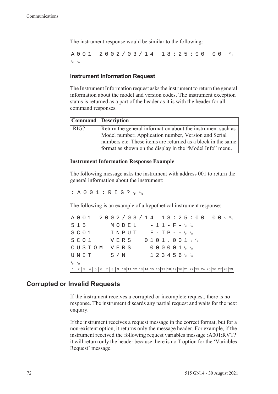The instrument response would be similar to the following:

A001 2002/03/14 18:25:00  $F$   $\circ$ <sub>R</sub> L <sup>F</sup> <sup>C</sup> R

#### **Instrument Information Request**

The Instrument Information request asks the instrument to return the general information about the model and version codes. The instrument exception status is returned as a part of the header as it is with the header for all command responses.

|      | Command Description                                                                                                      |
|------|--------------------------------------------------------------------------------------------------------------------------|
| RIG? | Return the general information about the instrument such as                                                              |
|      | Model number, Application number, Version and Serial                                                                     |
|      | numbers etc. These items are returned as a block in the same<br>format as shown on the display in the "Model Info" menu. |

#### **Instrument Information Response Example**

The following message asks the instrument with address 001 to return the general information about the instrument:

: A 0 0 1 : R I G ?  $L_F$   $C_R$ 

The following is an example of a hypothetical instrument response:

A001 2002/03/14 18:25:00 <sup>F</sup> <sup>C</sup> R  $515$   $MODEL$   $-11-F-F_{R}^{c}$  $S$  C O  $1$  I N P U T F - T P - - <sup>L</sup><sub>F</sub> <sup>C</sup>R  $S$  C O  $1$  V E R S O  $1$  O  $1$  J  $1$  , O  $0$   $1$   $1$   $1$   $6$   $8$ CUSTOM VERS 000001<sup>t</sup>F<sup>c</sup>r  $\texttt{UNIT}$  S/N 123456<sup>L</sup>F <sup>C</sup>R L <sup>F</sup> <sup>C</sup> R 1 2 3 4 5 6 7 8 9 10 11 12 13 14 15 16 17 18 19 20 21 22 23 24 25 26 27 28 29

### **Corrupted or Invalid Requests**

If the instrument receives a corrupted or incomplete request, there is no response. The instrument discards any partial request and waits for the next enquiry.

If the instrument receives a request message in the correct format, but for a non-existent option, it returns only the message header. For example, if the instrument received the following request variables message :A001:RVT? it will return only the header because there is no T option for the 'Variables Request' message.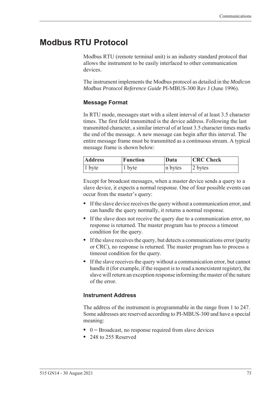# **Modbus RTU Protocol**

<span id="page-82-0"></span>Modbus RTU (remote terminal unit) is an industry standard protocol that allows the instrument to be easily interfaced to other communication devices.

The instrument implements the Modbus protocol as detailed in the *Modicon Modbus Protocol Reference Guide* PI-MBUS-300 Rev J (June 1996).

#### **Message Format**

In RTU mode, messages start with a silent interval of at least 3.5 character times. The first field transmitted is the device address. Following the last transmitted character, a similar interval of at least 3.5 character times marks the end of the message. A new message can begin after this interval. The entire message frame must be transmitted as a continuous stream. A typical message frame is shown below:

| <b>Address</b> | Function | Data    | <b>CRC</b> Check |  |  |  |  |  |
|----------------|----------|---------|------------------|--|--|--|--|--|
| $ 1$ byte      | 1 byte   | n bytes | 2 bytes          |  |  |  |  |  |

Except for broadcast messages, when a master device sends a query to a slave device, it expects a normal response. One of four possible events can occur from the master's query:

- **•** If the slave device receives the query without a communication error, and can handle the query normally, it returns a normal response.
- **•** If the slave does not receive the query due to a communication error, no response is returned. The master program has to process a timeout condition for the query.
- **•** If the slave receives the query, but detects a communications error (parity or CRC), no response is returned. The master program has to process a timeout condition for the query.
- **•** If the slave receives the query without a communication error, but cannot handle it (for example, if the request is to read a nonexistent register), the slave will return an exception response informing the master of the nature of the error.

#### **Instrument Address**

The address of the instrument is programmable in the range from 1 to 247. Some addresses are reserved according to PI-MBUS-300 and have a special meaning:

- 0 = Broadcast, no response required from slave devices
- **•** 248 to 255 Reserved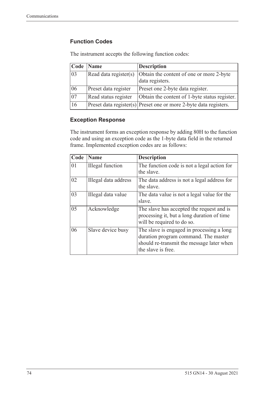## **Function Codes**

| Code            | <b>Name</b>           | <b>Description</b>                                                    |
|-----------------|-----------------------|-----------------------------------------------------------------------|
| 03              | Read data register(s) | Obtain the content of one or more 2-byte<br>data registers.           |
| 06              | Preset data register  | Preset one 2-byte data register.                                      |
| $\overline{07}$ | Read status register  | Obtain the content of 1-byte status register.                         |
| 16              |                       | $ $ Preset data register(s) Preset one or more 2-byte data registers. |

The instrument accepts the following function codes:

#### **Exception Response**

The instrument forms an exception response by adding 80H to the function code and using an exception code as the 1-byte data field in the returned frame. Implemented exception codes are as follows:

| Code | Name                    | <b>Description</b>                                                                                                                                   |
|------|-------------------------|------------------------------------------------------------------------------------------------------------------------------------------------------|
| 01   | <b>Illegal</b> function | The function code is not a legal action for<br>the slave.                                                                                            |
| 02   | Illegal data address    | The data address is not a legal address for<br>the slave.                                                                                            |
| 03   | Illegal data value      | The data value is not a legal value for the<br>slave.                                                                                                |
| 05   | Acknowledge             | The slave has accepted the request and is<br>processing it, but a long duration of time<br>will be required to do so.                                |
| 06   | Slave device busy       | The slave is engaged in processing a long<br>duration program command. The master<br>should re-transmit the message later when<br>the slave is free. |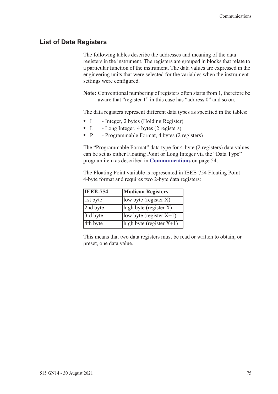# **List of Data Registers**

The following tables describe the addresses and meaning of the data registers in the instrument. The registers are grouped in blocks that relate to a particular function of the instrument. The data values are expressed in the engineering units that were selected for the variables when the instrument settings were configured.

**Note:** Conventional numbering of registers often starts from 1, therefore be aware that "register 1" in this case has "address 0" and so on.

The data registers represent different data types as specified in the tables:

- I Integer, 2 bytes (Holding Register)
- L Long Integer, 4 bytes (2 registers)
- P Programmable Format, 4 bytes (2 registers)

The "Programmable Format" data type for 4-byte (2 registers) data values can be set as either Floating Point or Long Integer via the "Data Type" program item as described in **[Communications](#page-63-0)** on page 54.

The Floating Point variable is represented in IEEE-754 Floating Point 4-byte format and requires two 2-byte data registers:

| <b>IEEE-754</b> | <b>Modicon Registers</b>                       |
|-----------------|------------------------------------------------|
| 1st byte        | low byte (register $X$ )                       |
| 2nd byte        | $\left  \text{high byte (register X)} \right $ |
| 3rd byte        | low byte (register $X+1$ )                     |
| 4th byte        | high byte (register $X+1$ )                    |

This means that two data registers must be read or written to obtain, or preset, one data value.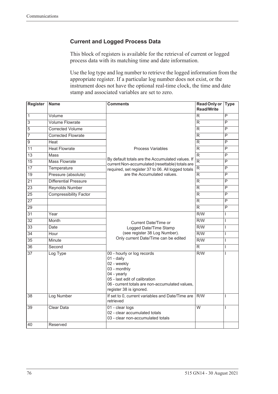## **Current and Logged Process Data**

This block of registers is available for the retrieval of current or logged process data with its matching time and date information.

Use the log type and log number to retrieve the logged information from the appropriate register. If a particular log number does not exist, or the instrument does not have the optional real-time clock, the time and date stamp and associated variables are set to zero.

| <b>Register</b> | <b>Name</b>                   | <b>Comments</b>                                                                                                                                                                                       | <b>Read Only or</b><br><b>Read/Write</b> | <b>Type</b>             |
|-----------------|-------------------------------|-------------------------------------------------------------------------------------------------------------------------------------------------------------------------------------------------------|------------------------------------------|-------------------------|
| $\mathbf{1}$    | Volume                        |                                                                                                                                                                                                       | R                                        | P                       |
| $\overline{3}$  | <b>Volume Flowrate</b>        |                                                                                                                                                                                                       | R                                        | P                       |
| 5               | <b>Corrected Volume</b>       |                                                                                                                                                                                                       | R                                        | $\overline{P}$          |
| 7               | <b>Corrected Flowrate</b>     |                                                                                                                                                                                                       | R                                        | $\overline{P}$          |
| $\overline{9}$  | Heat                          |                                                                                                                                                                                                       | R                                        | P                       |
| 11              | <b>Heat Flowrate</b>          | Process Variables                                                                                                                                                                                     | $\mathsf{R}$                             | $\overline{P}$          |
| 13              | Mass                          |                                                                                                                                                                                                       | R                                        | P                       |
| 15              | Mass Flowrate                 | By default totals are the Accumulated values. If<br>current Non-accumulated (resettable) totals are                                                                                                   | $\overline{\mathsf{R}}$                  | $\overline{\mathsf{P}}$ |
| $\overline{17}$ | Temperature                   | required, set register 37 to 06. All logged totals                                                                                                                                                    | R                                        | $\overline{\mathsf{P}}$ |
| $\overline{19}$ | Pressure (absolute)           | are the Accumulated values.                                                                                                                                                                           | R.                                       | P                       |
| $\overline{21}$ | Differential Pressure         |                                                                                                                                                                                                       | $\overline{\mathsf{R}}$                  | $\overline{\mathsf{P}}$ |
| $\overline{23}$ | <b>Reynolds Number</b>        |                                                                                                                                                                                                       | R.                                       | P                       |
| $\overline{25}$ | <b>Compressibility Factor</b> |                                                                                                                                                                                                       | $\overline{\mathsf{R}}$                  | $\overline{\mathsf{P}}$ |
| $\overline{27}$ |                               |                                                                                                                                                                                                       | R                                        | $\overline{\mathsf{P}}$ |
| $\overline{29}$ |                               |                                                                                                                                                                                                       | $\overline{R}$                           | P                       |
| $\overline{31}$ | Year                          |                                                                                                                                                                                                       | R/W                                      | L                       |
| $\overline{32}$ | Month                         | <b>Current Date/Time or</b>                                                                                                                                                                           | $\overline{R/W}$                         | L                       |
| $\overline{33}$ | Date                          | Logged Date/Time Stamp                                                                                                                                                                                | $\overline{R/W}$                         | T                       |
| $\overline{34}$ | Hour                          | (see register 38 Log Number).                                                                                                                                                                         | R/W                                      | $\overline{1}$          |
| $\overline{35}$ | Minute                        | Only current Date/Time can be edited                                                                                                                                                                  | $\overline{R/W}$                         | L                       |
| $\overline{36}$ | Second                        |                                                                                                                                                                                                       | $\overline{\mathsf{R}}$                  | L                       |
| 37              | Log Type                      | 00 - hourly or log records<br>01 - daily<br>02 - weekly<br>03 - monthly<br>04 - yearly<br>05 - last edit of calibration<br>06 - current totals are non-accumulated values,<br>register 38 is ignored. | R/W                                      | T                       |
| 38              | Log Number                    | If set to 0, current variables and Date/Time are<br>retrieved                                                                                                                                         | R/W                                      | I                       |
| 39              | <b>Clear Data</b>             | 01 - clear logs<br>02 - clear accumulated totals<br>03 - clear non-accumulated totals                                                                                                                 | $\overline{W}$                           | T                       |
| 40              | Reserved                      |                                                                                                                                                                                                       |                                          |                         |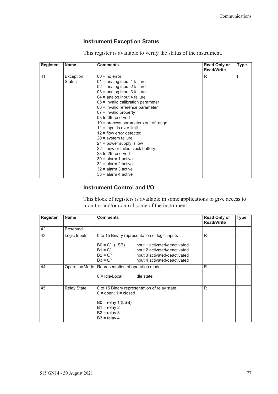## <span id="page-86-1"></span><span id="page-86-0"></span>**Instrument Exception Status**

This register is available to verify the status of the instrument.

| <b>Register</b> | <b>Name</b>   | <b>Comments</b><br><b>Read Only or</b><br><b>Read/Write</b> |   |  |  |  |
|-----------------|---------------|-------------------------------------------------------------|---|--|--|--|
| 41              | Exception     | $00 = no error$                                             | R |  |  |  |
|                 | <b>Status</b> | $01$ = analog input 1 failure                               |   |  |  |  |
|                 |               | $02$ = analog input 2 failure                               |   |  |  |  |
|                 |               | $03$ = analog input 3 failure                               |   |  |  |  |
|                 |               | $04$ = analog input 4 failure                               |   |  |  |  |
|                 |               | 05 = invalid calibration parameter                          |   |  |  |  |
|                 |               | 06 = invalid reference parameter                            |   |  |  |  |
|                 |               | $07$ = invalid property                                     |   |  |  |  |
|                 |               | 08 to 09 reserved                                           |   |  |  |  |
|                 |               | 10 = process parameters out of range                        |   |  |  |  |
|                 |               | $11 =$ input is over limit                                  |   |  |  |  |
|                 |               | $12$ = flow error detected                                  |   |  |  |  |
|                 |               | $20 =$ system failure                                       |   |  |  |  |
|                 |               | $21$ = power supply is low                                  |   |  |  |  |
|                 |               | $22$ = new or failed clock battery                          |   |  |  |  |
|                 |               | 23 to 29 reserved                                           |   |  |  |  |
|                 |               | $30 =$ alarm 1 active                                       |   |  |  |  |
|                 |               | $31$ = alarm 2 active                                       |   |  |  |  |
|                 |               | $32$ = alarm 3 active                                       |   |  |  |  |
|                 |               | $33$ = alarm 4 active                                       |   |  |  |  |

#### **Instrument Control and I/O**

This block of registers is available in some applications to give access to monitor and/or control some of the instrument.

| <b>Register</b> | <b>Name</b>        | <b>Comments</b>                                                                                                                                                                                | <b>Read Only or</b><br><b>Read/Write</b> | <b>Type</b> |
|-----------------|--------------------|------------------------------------------------------------------------------------------------------------------------------------------------------------------------------------------------|------------------------------------------|-------------|
| 42              | Reserved           |                                                                                                                                                                                                |                                          |             |
| 43              | Logic Inputs       | 0 to 15 Binary representation of logic inputs                                                                                                                                                  | R                                        |             |
|                 |                    | $B0 = 0/1$ (LSB)<br>input 1 activated/deactivated<br>$B1 = 0/1$<br>input 2 activated/deactivated<br>$B2 = 0/1$<br>input 3 activated/deactivated<br>$B3 = 0/1$<br>input 4 activated/deactivated |                                          |             |
| 44              |                    | Operation Mode   Representation of operation mode<br>$0 =$ Idle/Local<br>Idle state                                                                                                            | R                                        |             |
| 45              | <b>Relay State</b> | 0 to 15 Binary representation of relay state.<br>$0 =$ open; $1 =$ closed.<br>$B0 =$ relay 1 (LSB)<br>$B1 =$ relay 2<br>$B2 =$ relay 3<br>$B3 =$ relay 4                                       | R                                        |             |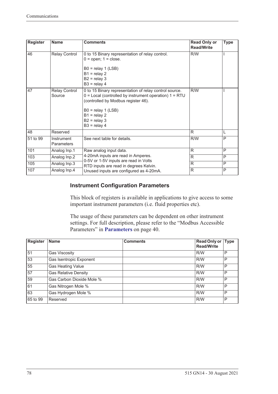| <b>Register</b> | <b>Name</b>              | <b>Comments</b>                                                                                                                                                                                                                           | <b>Read Only or</b><br><b>Read/Write</b> | <b>Type</b> |
|-----------------|--------------------------|-------------------------------------------------------------------------------------------------------------------------------------------------------------------------------------------------------------------------------------------|------------------------------------------|-------------|
| 46              | Relay Control            | 0 to 15 Binary representation of relay control.<br>$0 =$ open; $1 =$ close.<br>$B0 =$ relay 1 (LSB)<br>$B1 =$ relay 2<br>$B2 =$ relay 3<br>$B3 =$ relay 4                                                                                 | R/W                                      |             |
| 47              | Relay Control<br>Source  | 0 to 15 Binary representation of relay control source.<br>$0 =$ Local (controlled by instrument operation) $1 = RTU$<br>(controlled by Modbus register 46).<br>$B0 =$ relay 1 (LSB)<br>$B1 =$ relay 2<br>$B2 =$ relay 3<br>$B3 =$ relay 4 | R/W                                      |             |
| 48              | Reserved                 |                                                                                                                                                                                                                                           | R                                        | L           |
| 51 to 99        | Instrument<br>Parameters | See next table for details.                                                                                                                                                                                                               | R/W                                      | P           |
| 101             | Analog Inp.1             | Raw analog input data.                                                                                                                                                                                                                    | R                                        | P           |
| 103             | Analog Inp.2             | 4-20mA inputs are read in Amperes.<br>0-5V or 1-5V inputs are read in Volts                                                                                                                                                               | R                                        | P           |
| 105             | Analog Inp.3             | RTD inputs are read in degrees Kelvin.                                                                                                                                                                                                    | R                                        | P           |
| 107             | Analog Inp.4             | Unused inputs are configured as 4-20mA.                                                                                                                                                                                                   | R                                        | P           |

### **Instrument Configuration Parameters**

This block of registers is available in applications to give access to some important instrument parameters (i.e. fluid properties etc).

The usage of these parameters can be dependent on other instrument settings. For full description, please refer to the "Modbus Accessible Parameters" in **[Parameters](#page-49-0)** on page 40.

| <b>Register</b> | <b>Name</b>                 | <b>Comments</b> | Read Only or Type<br><b>Read/Write</b> |   |
|-----------------|-----------------------------|-----------------|----------------------------------------|---|
| 51              | <b>Gas Viscosity</b>        |                 | R/W                                    | P |
| 53              | Gas Isentropic Exponent     |                 | R/W                                    | P |
| 55              | Gas Heating Value           |                 | R/W                                    | P |
| 57              | <b>Gas Relative Density</b> |                 | R/W                                    | P |
| 59              | Gas Carbon Dioxide Mole %   |                 | R/W                                    | P |
| 61              | Gas Nitrogen Mole %         |                 | R/W                                    | P |
| 63              | Gas Hydrogen Mole %         |                 | R/W                                    | P |
| 65 to 99        | Reserved                    |                 | R/W                                    | P |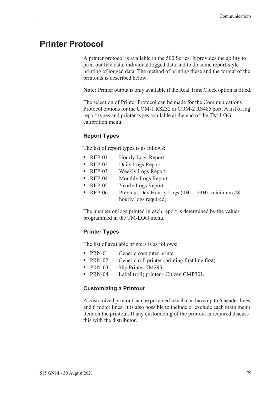# <span id="page-88-0"></span>**Printer Protocol**

<span id="page-88-2"></span>A printer protocol is available in the 500 Series. It provides the ability to print out live data, individual logged data and to do some report-style printing of logged data. The method of printing these and the format of the printouts is described below.

**Note:** Printer output is only available if the Real Time Clock option is fitted.

The selection of Printer Protocol can be made for the Communications Protocol options for the COM-1 RS232 or COM-2 RS485 port. A list of log report types and printer types available at the end of the TM-LOG calibration menu.

### <span id="page-88-3"></span>**Report Types**

The list of report types is as follows:

- REP-01 Hourly Logs Report
- **•** REP-02 Daily Logs Report
- **•** REP-03 Weekly Logs Report
- **•** REP-04 Monthly Logs Report
- **•** REP-05 Yearly Logs Report
- REP-06 Previous Day Hourly Logs (0Hr 23Hr, minimum 48 hourly logs required)

The number of logs printed in each report is determined by the values programmed in the TM-LOG menu.

#### <span id="page-88-4"></span>**Printer Types**

The list of available printers is as follows:

- PRN-01 Generic computer printer
- PRN-02 Generic roll printer (printing first line first)
- **•** PRN-03 Slip Printer TM295
- **•** PRN-04 Label (roll) printer Citizen CMP30L

#### <span id="page-88-1"></span>**Customizing a Printout**

A customized printout can be provided which can have up to 6 header lines and 6 footer lines. It is also possible to include or exclude each main menu item on the printout. If any customizing of the printout is required discuss this with the distributor.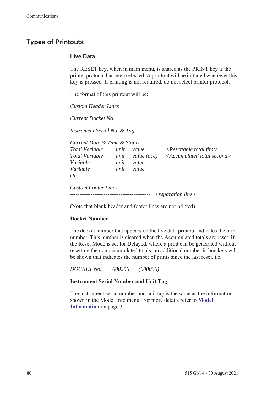# <span id="page-89-1"></span>**Types of Printouts**

#### <span id="page-89-0"></span>**Live Data**

The RESET key, when in main menu, is shared as the PRINT key if the printer protocol has been selected. A printout will be initiated whenever this key is pressed. If printing is not required, do not select printer protocol.

The format of this printout will be:

*Custom Header Lines*

*Current Docket No.* 

*Instrument Serial No. & Tag*

| Current Date & Time & Status                 |                      |                               |                                                                                   |
|----------------------------------------------|----------------------|-------------------------------|-----------------------------------------------------------------------------------|
| Total Variable<br>Total Variable<br>Variable | unit<br>unit<br>unit | value<br>value (acc)<br>value | $\langle$ Resettable total first $\rangle$<br>$\leq$ Accumulated total second $>$ |
| Variable<br>etc.                             | unit                 | value                         |                                                                                   |
| <b>Custom Footer Lines</b>                   |                      |                               | $\leq$ separation line $>$                                                        |

(Note that blank header and footer lines are not printed).

#### **Docket Number**

The docket number that appears on the live data printout indicates the print number. This number is cleared when the Accumulated totals are reset. If the Reset Mode is set for Delayed, where a print can be generated without resetting the non-accumulated totals, an additional number in brackets will be shown that indicates the number of prints since the last reset. i.e.

*DOCKET No. 000256 (000036)*

#### **Instrument Serial Number and Unit Tag**

The instrument serial number and unit tag is the same as the information shown in the Model Info menu. For more details refer to **[Model](#page-40-0)  [Information](#page-40-0)** on page 31.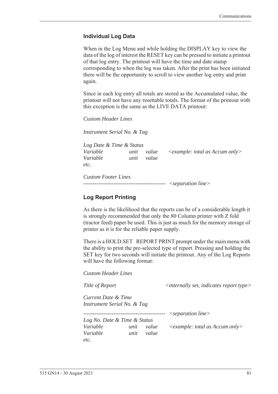#### <span id="page-90-0"></span>**Individual Log Data**

When in the Log Menu and while holding the DISPLAY key to view the data of the log of interest the RESET key can be pressed to initiate a printout of that log entry. The printout will have the time and date stamp corresponding to when the log was taken. After the print has been initiated there will be the opportunity to scroll to view another log entry and print again.

Since in each log entry all totals are stored as the Accumulated value, the printout will not have any resettable totals. The format of the printout with this exception is the same as the LIVE DATA printout:

*Custom Header Lines*

*Instrument Serial No. & Tag*

*Log Date & Time & Status Variable unit value <example: total as Accum only> Variable unit value etc.*

*Custom Footer Lines -------------------------------------------- <separation line>*

#### <span id="page-90-1"></span>**Log Report Printing**

As there is the likelihood that the reports can be of a considerable length it is strongly recommended that only the 80 Column printer with Z fold (tractor feed) paper be used. This is just as much for the memory storage of printer as it is for the reliable paper supply.

There is a HOLD.SET REPORT PRINT prompt under the main menu with the ability to print the pre-selected type of report. Pressing and holding the SET key for two seconds will initiate the printout. Any of the Log Reports will have the following format:

*Custom Header Lines*

*Title of Report*  $\langle$  *internally set, indicates report type>* 

*Current Date & Time Instrument Serial No. & Tag*

*-------------------------------------------- <separation line>*

*Log No. Date & Time & Status Variable unit value <example: total as Accum only> Variable unit value etc.*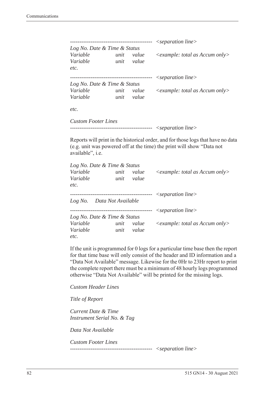|                              |      |          | $\leq$ separation line $>$                       |
|------------------------------|------|----------|--------------------------------------------------|
| Log No. Date & Time & Status |      |          |                                                  |
| Variable                     | unit | value    | $\langle$ example: total as Accum only $\rangle$ |
| Variable                     | unit | value    |                                                  |
| etc.                         |      |          |                                                  |
|                              |      | -------- | $\leq$ separation line $>$                       |
| Log No. Date & Time & Status |      |          |                                                  |
| Variable                     | unit | value    | $\leq$ example: total as Accum only $>$          |
| Variable                     | unit | value    |                                                  |
| etc.                         |      |          |                                                  |
| <b>Custom Footer Lines</b>   |      |          |                                                  |

```
-------------------------------------------- <separation line>
```
Reports will print in the historical order, and for those logs that have no data (e.g. unit was powered off at the time) the print will show "Data not available", i.e.

| Log No. Date & Time & Status |      |           |                                                  |
|------------------------------|------|-----------|--------------------------------------------------|
| Variable                     | unit | value     | $\langle$ example: total as Accum only $\rangle$ |
| Variable                     | unit | value     |                                                  |
| etc.                         |      |           |                                                  |
|                              |      |           | $\leq$ separation line $>$                       |
| Log No. Data Not Available   |      |           |                                                  |
|                              |      | --------- | $\leq$ separation line $>$                       |
| Log No. Date & Time & Status |      |           |                                                  |
| Variable                     | unit | value     | $\leq$ example: total as Accum only $>$          |
| Variable                     | unit | value     |                                                  |
| etc.                         |      |           |                                                  |

If the unit is programmed for 0 logs for a particular time base then the report for that time base will only consist of the header and ID information and a "Data Not Available" message. Likewise for the 0Hr to 23Hr report to print the complete report there must be a minimum of 48 hourly logs programmed otherwise "Data Not Available" will be printed for the missing logs.

*Custom Header Lines*

*Title of Report*

*Current Date & Time Instrument Serial No. & Tag*

*Data Not Available*

*Custom Footer Lines* 

*-------------------------------------------- <separation line>*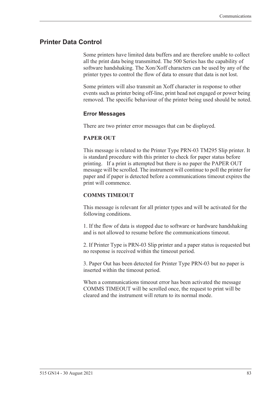## <span id="page-92-0"></span>**Printer Data Control**

Some printers have limited data buffers and are therefore unable to collect all the print data being transmitted. The 500 Series has the capability of software handshaking. The Xon/Xoff characters can be used by any of the printer types to control the flow of data to ensure that data is not lost.

Some printers will also transmit an Xoff character in response to other events such as printer being off-line, print head not engaged or power being removed. The specific behaviour of the printer being used should be noted.

#### <span id="page-92-1"></span>**Error Messages**

There are two printer error messages that can be displayed.

#### **PAPER OUT**

This message is related to the Printer Type PRN-03 TM295 Slip printer. It is standard procedure with this printer to check for paper status before printing. If a print is attempted but there is no paper the PAPER OUT message will be scrolled. The instrument will continue to poll the printer for paper and if paper is detected before a communications timeout expires the print will commence.

#### **COMMS TIMEOUT**

This message is relevant for all printer types and will be activated for the following conditions.

1. If the flow of data is stopped due to software or hardware handshaking and is not allowed to resume before the communications timeout.

2. If Printer Type is PRN-03 Slip printer and a paper status is requested but no response is received within the timeout period.

3. Paper Out has been detected for Printer Type PRN-03 but no paper is inserted within the timeout period.

When a communications timeout error has been activated the message COMMS TIMEOUT will be scrolled once, the request to print will be cleared and the instrument will return to its normal mode.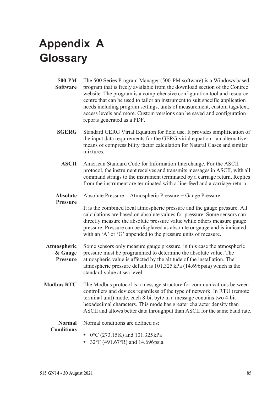# <span id="page-94-1"></span>**Appendix A Glossary**

<span id="page-94-0"></span>

| 500-PM<br><b>Software</b>                 | The 500 Series Program Manager (500-PM software) is a Windows based<br>program that is freely available from the download section of the Contrec<br>website. The program is a comprehensive configuration tool and resource<br>centre that can be used to tailor an instrument to suit specific application<br>needs including program settings, units of measurement, custom tags/text,<br>access levels and more. Custom versions can be saved and configuration<br>reports generated as a PDF. |  |  |  |  |  |  |
|-------------------------------------------|---------------------------------------------------------------------------------------------------------------------------------------------------------------------------------------------------------------------------------------------------------------------------------------------------------------------------------------------------------------------------------------------------------------------------------------------------------------------------------------------------|--|--|--|--|--|--|
| <b>SGERG</b>                              | Standard GERG Virial Equation for field use. It provides simplification of<br>the input data requirements for the GERG virial equation - an alternative<br>means of compressibility factor calculation for Natural Gases and similar<br>mixtures.                                                                                                                                                                                                                                                 |  |  |  |  |  |  |
| <b>ASCII</b>                              | American Standard Code for Information Interchange. For the ASCII<br>protocol, the instrument receives and transmits messages in ASCII, with all<br>command strings to the instrument terminated by a carriage return. Replies<br>from the instrument are terminated with a line-feed and a carriage-return.                                                                                                                                                                                      |  |  |  |  |  |  |
| <b>Absolute</b><br><b>Pressure</b>        | Absolute Pressure = Atmospheric Pressure + Gauge Pressure.<br>It is the combined local atmospheric pressure and the gauge pressure. All<br>calculations are based on absolute values for pressure. Some sensors can<br>directly measure the absolute pressure value while others measure gauge<br>pressure. Pressure can be displayed as absolute or gauge and is indicated<br>with an 'A' or 'G' appended to the pressure units of measure.                                                      |  |  |  |  |  |  |
| Atmospheric<br>& Gauge<br><b>Pressure</b> | Some sensors only measure gauge pressure, in this case the atmospheric<br>pressure must be programmed to determine the absolute value. The<br>atmospheric value is affected by the altitude of the installation. The<br>atmospheric pressure default is 101.325 kPa (14.696 psia) which is the<br>standard value at sea level.                                                                                                                                                                    |  |  |  |  |  |  |
| <b>Modbus RTU</b>                         | The Modbus protocol is a message structure for communications between<br>controllers and devices regardless of the type of network. In RTU (remote<br>terminal unit) mode, each 8-bit byte in a message contains two 4-bit<br>hexadecimal characters. This mode has greater character density than<br>ASCII and allows better data throughput than ASCII for the same baud rate.                                                                                                                  |  |  |  |  |  |  |
| <b>Normal</b><br><b>Conditions</b>        | Normal conditions are defined as:<br>$0^{\circ}$ C (273.15K) and 101.325 kPa<br>32°F (491.67°R) and 14.696 psia.                                                                                                                                                                                                                                                                                                                                                                                  |  |  |  |  |  |  |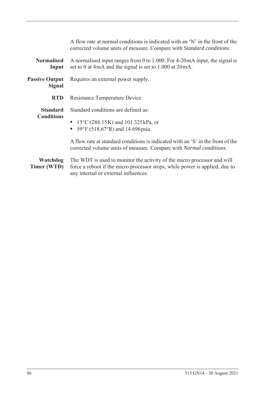|                                        | A flow rate at normal conditions is indicated with an 'N' in the front of the<br>corrected volume units of measure. Compare with Standard conditions.                                          |
|----------------------------------------|------------------------------------------------------------------------------------------------------------------------------------------------------------------------------------------------|
| <b>Normalised</b><br>Input             | A normalised input ranges from 0 to 1.000. For $4\n-20$ mA input, the signal is<br>set to 0 at 4mA and the signal is set to 1.000 at 20mA.                                                     |
| <b>Passive Output</b><br><b>Signal</b> | Requires an external power supply.                                                                                                                                                             |
| <b>RTD</b>                             | Resistance Temperature Device                                                                                                                                                                  |
| <b>Standard</b><br><b>Conditions</b>   | Standard conditions are defined as:<br>• 15°C (288.15K) and 101.325 kPa, or<br>• 59°F (518.67°R) and 14.696 psia.                                                                              |
|                                        | A flow rate at standard conditions is indicated with an 'S' in the front of the<br>corrected volume units of measure. Compare with Normal conditions.                                          |
| Watchdog<br>Timer (WTD)                | The WDT is used to monitor the activity of the micro processor and will<br>force a reboot if the micro processor stops, while power is applied, due to<br>any internal or external influences. |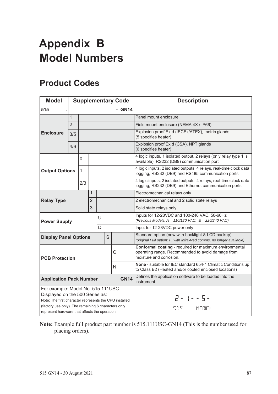# <span id="page-96-1"></span>**Appendix B Model Numbers**

# <span id="page-96-0"></span>**Product Codes**

| <b>Model</b>                                                                                                                                                                          | <b>Supplementary Code</b> |              |                                                                                                                        | <b>Description</b> |                                                                                                                                        |  |                               |                                                                                                                             |
|---------------------------------------------------------------------------------------------------------------------------------------------------------------------------------------|---------------------------|--------------|------------------------------------------------------------------------------------------------------------------------|--------------------|----------------------------------------------------------------------------------------------------------------------------------------|--|-------------------------------|-----------------------------------------------------------------------------------------------------------------------------|
| 515                                                                                                                                                                                   |                           |              |                                                                                                                        |                    |                                                                                                                                        |  | - GN14                        |                                                                                                                             |
|                                                                                                                                                                                       | $\mathbf{1}$              |              |                                                                                                                        |                    |                                                                                                                                        |  |                               | Panel mount enclosure                                                                                                       |
|                                                                                                                                                                                       | $\overline{2}$            |              |                                                                                                                        |                    |                                                                                                                                        |  |                               | Field mount enclosure (NEMA 4X / IP66)                                                                                      |
| <b>Enclosure</b>                                                                                                                                                                      | 3/5                       |              |                                                                                                                        |                    |                                                                                                                                        |  |                               | Explosion proof Ex d (IECEx/ATEX), metric glands<br>(5 specifies heater)                                                    |
|                                                                                                                                                                                       | 4/6                       |              |                                                                                                                        |                    |                                                                                                                                        |  |                               | Explosion proof Ex d (CSA), NPT glands<br>(6 specifies heater)                                                              |
|                                                                                                                                                                                       |                           | 0            |                                                                                                                        |                    |                                                                                                                                        |  |                               | 4 logic inputs, 1 isolated output, 2 relays (only relay type 1 is<br>available), RS232 (DB9) communication port             |
| <b>Output Options</b>                                                                                                                                                                 |                           | $\mathbf{1}$ |                                                                                                                        |                    |                                                                                                                                        |  |                               | 4 logic inputs, 2 isolated outputs, 4 relays, real-time clock data<br>logging, RS232 (DB9) and RS485 communication ports    |
|                                                                                                                                                                                       |                           | 2/3          |                                                                                                                        |                    |                                                                                                                                        |  |                               | 4 logic inputs, 2 isolated outputs, 4 relays, real-time clock data<br>logging, RS232 (DB9) and Ethernet communication ports |
|                                                                                                                                                                                       |                           |              | 1                                                                                                                      |                    |                                                                                                                                        |  |                               | Electromechanical relays only                                                                                               |
| <b>Relay Type</b>                                                                                                                                                                     |                           |              | $\overline{2}$                                                                                                         |                    |                                                                                                                                        |  |                               | 2 electromechanical and 2 solid state relays                                                                                |
|                                                                                                                                                                                       |                           |              | $\overline{3}$                                                                                                         |                    |                                                                                                                                        |  |                               | Solid state relays only                                                                                                     |
| <b>Power Supply</b>                                                                                                                                                                   |                           |              |                                                                                                                        | U                  |                                                                                                                                        |  |                               | Inputs for 12-28VDC and 100-240 VAC, 50-60Hz<br>(Previous Models: $A = 110/120$ VAC, $E = 220/240$ VAC)                     |
|                                                                                                                                                                                       |                           |              |                                                                                                                        | D                  |                                                                                                                                        |  |                               | Input for 12-28VDC power only                                                                                               |
| <b>Display Panel Options</b>                                                                                                                                                          |                           |              |                                                                                                                        |                    | S                                                                                                                                      |  |                               | Standard option (now with backlight & LCD backup)<br>(original Full option: F, with Infra-Red comms, no longer available)   |
| C<br><b>PCB Protection</b>                                                                                                                                                            |                           |              |                                                                                                                        |                    | Conformal coating - required for maximum environmental<br>operating range. Recommended to avoid damage from<br>moisture and corrosion. |  |                               |                                                                                                                             |
| N                                                                                                                                                                                     |                           |              | None - suitable for IEC standard 654-1 Climatic Conditions up<br>to Class B2 (Heated and/or cooled enclosed locations) |                    |                                                                                                                                        |  |                               |                                                                                                                             |
| <b>GN14</b><br><b>Application Pack Number</b>                                                                                                                                         |                           |              |                                                                                                                        |                    | Defines the application software to be loaded into the<br>instrument                                                                   |  |                               |                                                                                                                             |
| For example: Model No. 515.111USC<br>Displayed on the 500 Series as:<br>Note: The first character represents the CPU installed<br>(factory use only). The remaining 6 characters only |                           |              |                                                                                                                        |                    |                                                                                                                                        |  | $2 - 1 - 5 -$<br>MODEL<br>515 |                                                                                                                             |
| represent hardware that affects the operation.                                                                                                                                        |                           |              |                                                                                                                        |                    |                                                                                                                                        |  |                               |                                                                                                                             |

**Note:** Example full product part number is 515.111USC-GN14 (This is the number used for placing orders).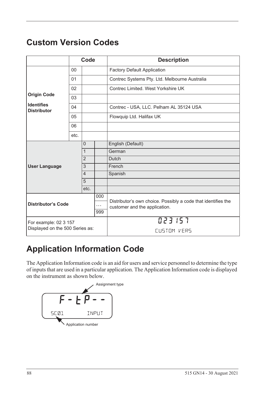# <span id="page-97-1"></span>**Custom Version Codes**

|                                                          | Code |                |        | <b>Description</b>                                                                             |  |
|----------------------------------------------------------|------|----------------|--------|------------------------------------------------------------------------------------------------|--|
|                                                          | 00   |                |        | <b>Factory Default Application</b>                                                             |  |
|                                                          | 01   |                |        | Contrec Systems Pty. Ltd. Melbourne Australia                                                  |  |
|                                                          | 02   |                |        | Contrec Limited. West Yorkshire UK                                                             |  |
| <b>Origin Code</b>                                       | 03   |                |        |                                                                                                |  |
| <b>Identifies</b><br><b>Distributor</b>                  | 04   |                |        | Contrec - USA, LLC. Pelham AL 35124 USA                                                        |  |
|                                                          | 05   |                |        | Flowquip Ltd. Halifax UK                                                                       |  |
|                                                          | 06   |                |        |                                                                                                |  |
|                                                          | etc. |                |        |                                                                                                |  |
|                                                          |      | $\Omega$       |        | English (Default)                                                                              |  |
| $\mathbf{1}$                                             |      |                |        | German                                                                                         |  |
|                                                          |      | $\overline{2}$ |        | Dutch                                                                                          |  |
| <b>User Language</b>                                     | 3    |                | French |                                                                                                |  |
|                                                          |      | $\overline{4}$ |        | Spanish                                                                                        |  |
|                                                          |      | 5              |        |                                                                                                |  |
|                                                          |      | etc.           |        |                                                                                                |  |
| 000<br><b>Distributor's Code</b><br>$\cdots$<br>999      |      |                |        | Distributor's own choice. Possibly a code that identifies the<br>customer and the application. |  |
|                                                          |      |                |        |                                                                                                |  |
|                                                          |      |                |        |                                                                                                |  |
| For example: 02 3 157<br>Displayed on the 500 Series as: |      |                |        | 023157                                                                                         |  |
|                                                          |      |                |        | CUSTOM VERS                                                                                    |  |

# **Application Information Code**

The Application Information code is an aid for users and service personnel to determine the type of inputs that are used in a particular application. The Application Information code is displayed on the instrument as shown below.

<span id="page-97-0"></span>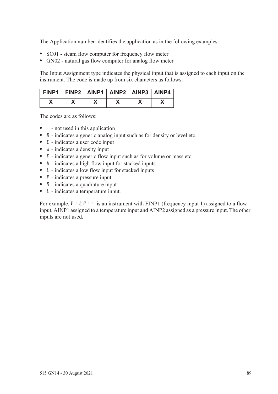The Application number identifies the application as in the following examples:

- **•** SC01 steam flow computer for frequency flow meter
- **•** GN02 natural gas flow computer for analog flow meter

The Input Assignment type indicates the physical input that is assigned to each input on the instrument. The code is made up from six characters as follows:

| FINP1   FINP2   AINP1   AINP2   AINP3   AINP4 |  |  |  |
|-----------------------------------------------|--|--|--|
|                                               |  |  |  |

The codes are as follows:

- - not used in this application
- **A** indicates a generic analog input such as for density or level etc.
- **•** C indicates a user code input
- d indicates a density input
- **•** F indicates a generic flow input such as for volume or mass etc.
- H indicates a high flow input for stacked inputs
- **•** L indicates a low flow input for stacked inputs
- **•** P indicates a pressure input
- **q** indicates a quadrature input
- *k* indicates a temperature input.

For example,  $F - tP - -$  is an instrument with FINP1 (frequency input 1) assigned to a flow input, AINP1 assigned to a temperature input and AINP2 assigned as a pressure input. The other inputs are not used.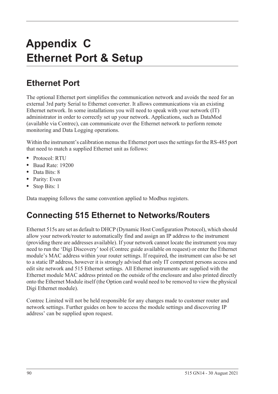# <span id="page-99-0"></span>**Appendix C Ethernet Port & Setup**

# **Ethernet Port**

The optional Ethernet port simplifies the communication network and avoids the need for an external 3rd party Serial to Ethernet converter. It allows communications via an existing Ethernet network. In some installations you will need to speak with your network (IT) administrator in order to correctly set up your network. Applications, such as DataMod (available via Contrec), can communicate over the Ethernet network to perform remote monitoring and Data Logging operations.

Within the instrument's calibration menus the Ethernet port uses the settings for the RS-485 port that need to match a supplied Ethernet unit as follows:

- **•** Protocol: RTU
- **•** Baud Rate: 19200
- **•** Data Bits: 8
- **•** Parity: Even
- **•** Stop Bits: 1

Data mapping follows the same convention applied to Modbus registers.

# **Connecting 515 Ethernet to Networks/Routers**

Ethernet 515s are set as default to DHCP (Dynamic Host Configuration Protocol), which should allow your network/router to automatically find and assign an IP address to the instrument (providing there are addresses available). If your network cannot locate the instrument you may need to run the 'Digi Discovery' tool (Contrec guide available on request) or enter the Ethernet module's MAC address within your router settings. If required, the instrument can also be set to a static IP address, however it is strongly advised that only IT competent persons access and edit site network and 515 Ethernet settings. All Ethernet instruments are supplied with the Ethernet module MAC address printed on the outside of the enclosure and also printed directly onto the Ethernet Module itself (the Option card would need to be removed to view the physical Digi Ethernet module).

Contrec Limited will not be held responsible for any changes made to customer router and network settings. Further guides on how to access the module settings and discovering IP address' can be supplied upon request.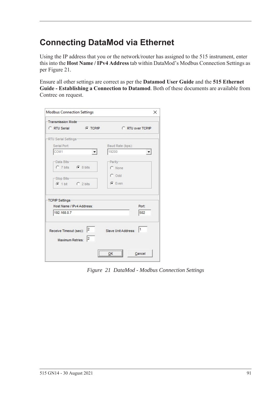# **Connecting DataMod via Ethernet**

Using the IP address that you or the network/router has assigned to the 515 instrument, enter this into the **Host Name / IPv4 Address** tab within DataMod's Modbus Connection Settings as per [Figure 21.](#page-100-0)

Ensure all other settings are correct as per the **Datamod User Guide** and the **515 Ethernet Guide - Establishing a Connection to Datamod**. Both of these documents are available from Contrec on request.

| Transmission Mode-                                            |                      |                     |                      |
|---------------------------------------------------------------|----------------------|---------------------|----------------------|
| C RTU Serial                                                  | <b>C</b> TCP/IP      | C RTU over TCP/IP   |                      |
| -RTU Serial Settings-                                         |                      |                     |                      |
| Serial Port:                                                  |                      | Baud Rate (bps):    |                      |
| COM1                                                          |                      | 19200               | $\blacktriangledown$ |
| -Data Bits-                                                   |                      | -Parity-            |                      |
| C 7 bits C 8 bits                                             |                      | C None              |                      |
|                                                               |                      | $C$ Odd             |                      |
| -Stop Bits-                                                   |                      |                     |                      |
| $C$ 1 bit $C$ 2 bits                                          |                      | $G$ Even            |                      |
|                                                               |                      |                     |                      |
| TCP/IP Settings                                               |                      |                     |                      |
| Host Name / IPv4 Address:                                     |                      |                     | Port:                |
| 192.168.0.7                                                   |                      |                     | 502                  |
|                                                               |                      |                     |                      |
|                                                               |                      |                     | 11                   |
| Receive Timeout (sec): $\begin{vmatrix} 2 \\ 1 \end{vmatrix}$ |                      | Slave Unit Address: |                      |
| Maximum Retries:                                              | $\vert$ <sub>2</sub> |                     |                      |
|                                                               |                      |                     |                      |
|                                                               |                      | <br>$\frac{QK}{2}$  | Cancel               |

<span id="page-100-0"></span>*Figure 21 DataMod - Modbus Connection Settings*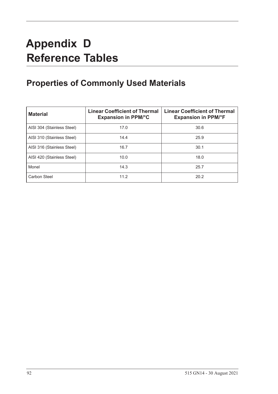# **Appendix D Reference Tables**

# **Properties of Commonly Used Materials**

<span id="page-101-0"></span>

| <b>Material</b>            | <b>Linear Coefficient of Thermal</b><br><b>Expansion in PPM/°C</b> | <b>Linear Coefficient of Thermal</b><br><b>Expansion in PPM/°F</b> |
|----------------------------|--------------------------------------------------------------------|--------------------------------------------------------------------|
| AISI 304 (Stainless Steel) | 17.0                                                               | 30.6                                                               |
| AISI 310 (Stainless Steel) | 14.4                                                               | 25.9                                                               |
| AISI 316 (Stainless Steel) | 16.7                                                               | 30.1                                                               |
| AISI 420 (Stainless Steel) | 10.0                                                               | 18.0                                                               |
| Monel                      | 14.3                                                               | 25.7                                                               |
| Carbon Steel               | 11.2                                                               | 20.2                                                               |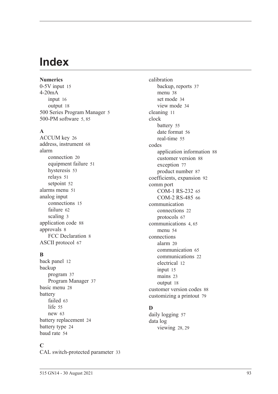# **Index**

**Numerics** 0-5V inpu[t 15](#page-24-0) 4-20mA input [16](#page-25-0) output [18](#page-27-0) 500 Series Program Manage[r 5](#page-14-0) 500-PM software [5,](#page-14-0) [85](#page-94-0)

#### **A**

ACCUM ke[y 26](#page-35-0) address, instrumen[t 68](#page-77-0) alarm connection [20](#page-29-0) equipment failur[e 51](#page-60-0) hysteresi[s 53](#page-62-0) relays [51](#page-60-1) setpoin[t 52](#page-61-0) alarms menu [51](#page-60-2) analog input connection[s 15](#page-24-1) failur[e 62](#page-71-0) scalin[g 3](#page-12-0) application cod[e 88](#page-97-0) approvals [8](#page-17-0) FCC Declaration [8](#page-17-1) ASCII protoco[l 67](#page-76-0)

### **B**

back panel [12](#page-21-0) backup program [37](#page-46-0) Program Manage[r 37](#page-46-1) basic men[u 28](#page-37-0) battery faile[d 63](#page-72-0) lif[e 55](#page-64-1) ne[w 63](#page-72-0) battery replacemen[t 24](#page-33-0) battery typ[e 24](#page-33-1) baud rat[e 54](#page-63-1)

### **C**

CAL switch-protected parameter [33](#page-42-0)

calibration backup, reports [37](#page-46-0) menu [38](#page-47-0) set mode [34](#page-43-0) view mode [34](#page-43-1) cleaning [11](#page-20-0) clock batter[y 55](#page-64-1) date format [56](#page-65-0) real-tim[e 55](#page-64-2) codes application information [88](#page-97-0) customer versio[n 88](#page-97-1) exception [77](#page-86-1) product numbe[r 87](#page-96-0) coefficients, expansion [92](#page-101-0) comm port COM-1 RS-232 [65](#page-74-1) COM-2 RS-485 [66](#page-75-1) communication connection[s 22](#page-31-0) protocols [67](#page-76-1) communication[s 4,](#page-13-1) [65](#page-74-2) menu [54](#page-63-2) connections alar[m 20](#page-29-0) communication [65](#page-74-3) communication[s 22](#page-31-0) electrical [12](#page-21-1) input [15](#page-24-2) mains [23](#page-32-0) output [18](#page-27-1) customer version codes [88](#page-97-1) customizing a printout [79](#page-88-1)

# **D**

daily logging [57](#page-66-0) data log viewing [28,](#page-37-1) [29](#page-38-0)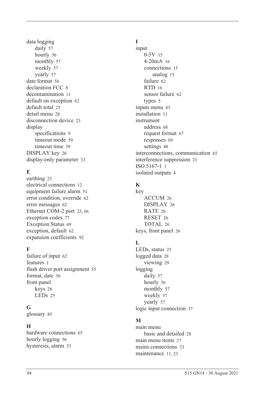data logging daily [57](#page-66-0) hourl[y 56](#page-65-1) monthly [57](#page-66-1) weekl[y 57](#page-66-2) yearly [57](#page-66-3) date format [56](#page-65-0) declaration FCC [8](#page-17-1) decontamination [11](#page-20-0) default on exception [62](#page-71-1) default tota[l 25](#page-34-0) detail men[u 28](#page-37-0) disconnection device [23](#page-32-1) display specifications [9](#page-18-0) timeout mod[e 59](#page-68-0) timeout time [59](#page-68-1) DISPLAY key [26](#page-35-1) display-only parameter [33](#page-42-1)

# **E**

earthin[g 23](#page-32-2) electrical connections [12](#page-21-1) equipment failure alarm [51](#page-60-0) error condition, overrid[e 62](#page-71-2) error message[s 62](#page-71-3) Ethernet COM-2 por[t 23,](#page-32-3) [66](#page-75-2) exception codes [77](#page-86-1) Exception Status [69](#page-78-0) exception, default [62](#page-71-1) expansion coefficient[s 92](#page-101-0)

### **F**

failure of input [62](#page-71-0) features [1](#page-10-0) flash driver port assignmen[t 55](#page-64-3) format, date [56](#page-65-0) front panel keys [26](#page-35-2) LEDs [25](#page-34-1)

### **G**

glossary [85](#page-94-1)

# **H**

hardware connections [65](#page-74-3) hourly logging [56](#page-65-1) hysteresis, alar[m 53](#page-62-0)

# **I**

input 0-5[V 15](#page-24-0) 4-20mA [16](#page-25-0) connections [15](#page-24-2) analog [15](#page-24-1) failure [62](#page-71-0) RTD [16](#page-25-1) sensor failure [62](#page-71-0) types [5](#page-14-1) inputs menu [43](#page-52-0) installation [11](#page-20-1) instrument address [68](#page-77-0) request forma[t 67](#page-76-2) response[s 69](#page-78-1) setting[s 40](#page-49-1) interconnections, communication [65](#page-74-3) interference suppression [21](#page-30-0) ISO 5167-1 [1](#page-10-1) isolated output[s 4](#page-13-2)

# **K**

key ACCUM [26](#page-35-0) DISPLA[Y 26](#page-35-1) RATE [26](#page-35-3) RESE[T 26](#page-35-4) TOTAL [26](#page-35-5) keys, front panel [26](#page-35-2)

# **L**

LEDs, status [25](#page-34-1) logged dat[a 28](#page-37-1) viewin[g 29](#page-38-0) logging daily [57](#page-66-0) hourly [56](#page-65-1) monthly [57](#page-66-1) weekl[y 57](#page-66-2) yearly [57](#page-66-3) logic input connection [17](#page-26-0)

# **M**

main menu basic and detailed [28](#page-37-0) main menu item[s 27](#page-36-0) mains connections [23](#page-32-0) maintenanc[e 11,](#page-20-1) [23](#page-32-4)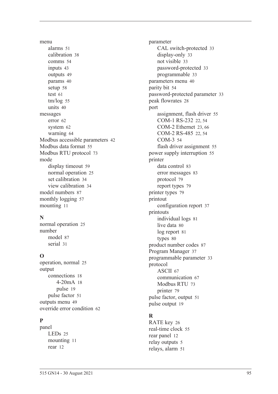menu alarm[s 51](#page-60-2) calibratio[n 38](#page-47-0) comms [54](#page-63-2) input[s 43](#page-52-0) output[s 49](#page-58-0) params [40](#page-49-2) setu[p 58](#page-67-0) test [61](#page-70-0) tm/lo[g 55](#page-64-4) unit[s 40](#page-49-3) messages erro[r 62](#page-71-3) syste[m 62](#page-71-4) warnin[g 64](#page-73-0) Modbus accessible parameters [42](#page-51-0) Modbus data forma[t 55](#page-64-5) Modbus RTU protoco[l 73](#page-82-0) mode display timeou[t 59](#page-68-0) normal operatio[n 25](#page-34-2) set calibration [34](#page-43-0) view calibration [34](#page-43-1) model number[s 87](#page-96-1) monthly logging [57](#page-66-1) mountin[g 11](#page-20-2)

# **N**

normal operatio[n 25](#page-34-2) number mode[l 87](#page-96-1) seria[l 31](#page-40-1)

# **O**

operation, norma[l 25](#page-34-2) output connection[s 18](#page-27-1) 4-20m[A 18](#page-27-0) puls[e 19](#page-28-0) pulse facto[r 51](#page-60-3) outputs men[u 49](#page-58-0) override error condition [62](#page-71-2)

# **P**

panel LED[s 25](#page-34-1) mountin[g 11](#page-20-2) rear [12](#page-21-0)

parameter CAL switch-protected [33](#page-42-0) display-only [33](#page-42-1) not visibl[e 33](#page-42-2) password-protected [33](#page-42-3) programmable [33](#page-42-4) parameters men[u 40](#page-49-2) parity bit [54](#page-63-3) password-protected parameter [33](#page-42-3) peak flowrate[s 28](#page-37-2) port assignment, flash driver [55](#page-64-3) COM-1 RS-232 [22,](#page-31-1) [54](#page-63-4) COM-2 Ethernet [23,](#page-32-3) [66](#page-75-2) COM-2 RS-485 [22,](#page-31-2) [54](#page-63-5) COM-[3 54](#page-63-6) flash driver assignment [55](#page-64-3) power supply interruption [55](#page-64-1) printer data control [83](#page-92-0) error messages [83](#page-92-1) protocol [79](#page-88-2) report types [79](#page-88-3) printer type[s 79](#page-88-4) printout configuration repor[t 37](#page-46-2) printouts individual logs [81](#page-90-0) live data [80](#page-89-0) log report [81](#page-90-1) type[s 80](#page-89-1) product number codes [87](#page-96-0) Program Manager [37](#page-46-1) programmable parameter [33](#page-42-4) protocol ASCI[I 67](#page-76-0) communication [67](#page-76-1) Modbus RT[U 73](#page-82-0) printer [79](#page-88-2) pulse factor, output [51](#page-60-3) pulse output [19](#page-28-0)

# **R**

RATE key [26](#page-35-3) real-time cloc[k 55](#page-64-2) rear panel [12](#page-21-0) relay output[s 5](#page-14-2) relays, alarm [51](#page-60-1)